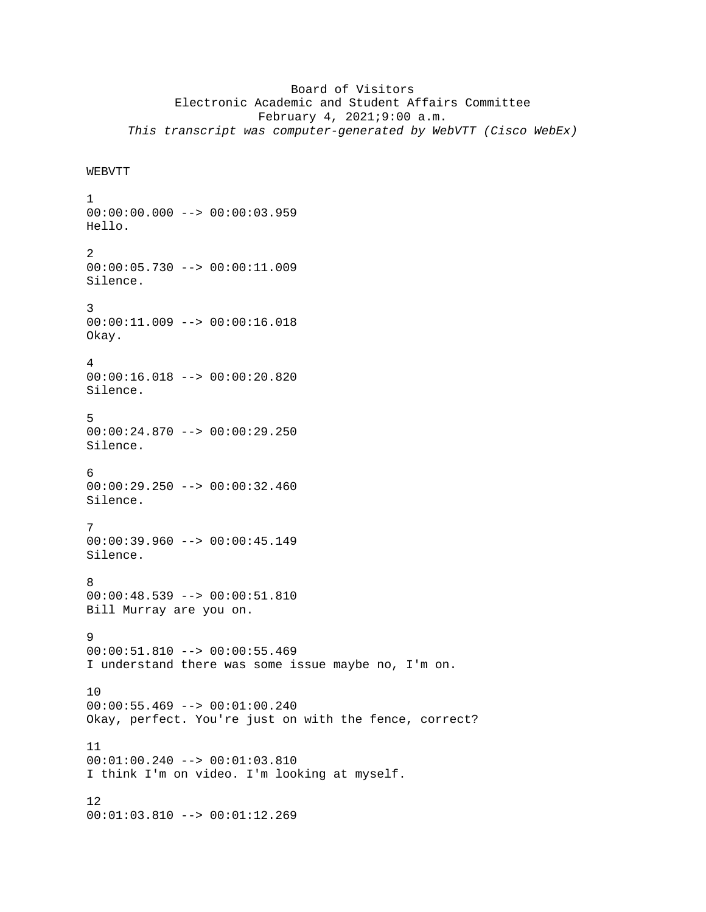## Board of Visitors Electronic Academic and Student Affairs Committee February 4, 2021;9:00 a.m. *This transcript was computer-generated by WebVTT (Cisco WebEx)*

```
WEBVTT
```
1  $00:00:00.000$  -->  $00:00:03.959$ Hello. 2 00:00:05.730 --> 00:00:11.009 Silence. 3 00:00:11.009 --> 00:00:16.018 Okay. 4 00:00:16.018 --> 00:00:20.820 Silence. 5  $00:00:24.870$  -->  $00:00:29.250$ Silence. 6 00:00:29.250 --> 00:00:32.460 Silence. 7 00:00:39.960 --> 00:00:45.149 Silence. 8 00:00:48.539 --> 00:00:51.810 Bill Murray are you on. 9 00:00:51.810 --> 00:00:55.469 I understand there was some issue maybe no, I'm on. 10 00:00:55.469 --> 00:01:00.240 Okay, perfect. You're just on with the fence, correct? 11 00:01:00.240 --> 00:01:03.810 I think I'm on video. I'm looking at myself. 12

00:01:03.810 --> 00:01:12.269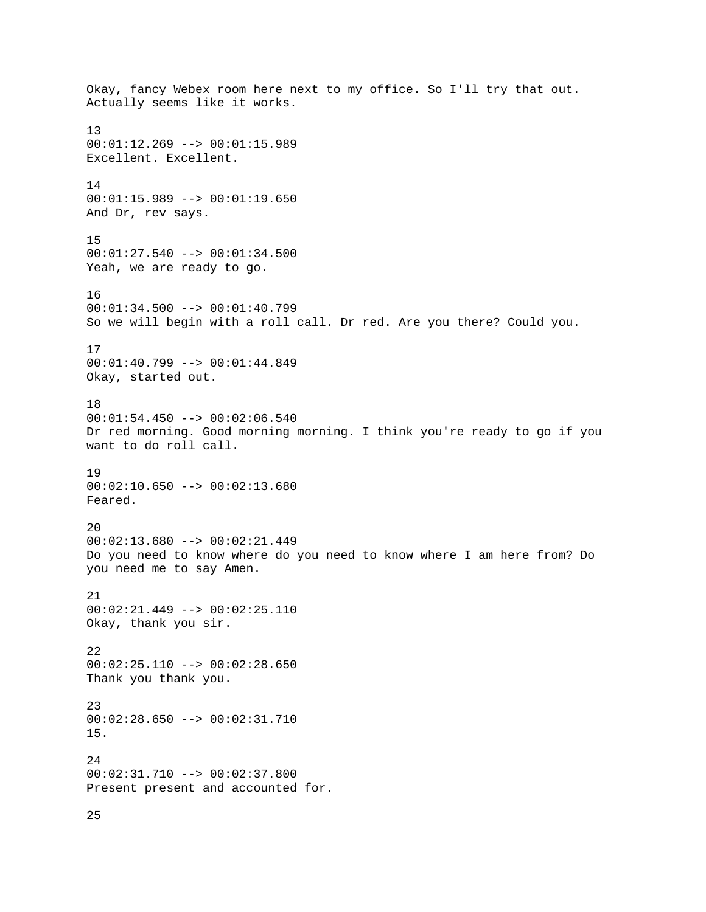Okay, fancy Webex room here next to my office. So I'll try that out. Actually seems like it works. 13 00:01:12.269 --> 00:01:15.989 Excellent. Excellent. 14 00:01:15.989 --> 00:01:19.650 And Dr, rev says. 15 00:01:27.540 --> 00:01:34.500 Yeah, we are ready to go. 16 00:01:34.500 --> 00:01:40.799 So we will begin with a roll call. Dr red. Are you there? Could you. 17 00:01:40.799 --> 00:01:44.849 Okay, started out. 18 00:01:54.450 --> 00:02:06.540 Dr red morning. Good morning morning. I think you're ready to go if you want to do roll call. 19 00:02:10.650 --> 00:02:13.680 Feared. 20  $00:02:13.680$  -->  $00:02:21.449$ Do you need to know where do you need to know where I am here from? Do you need me to say Amen. 21 00:02:21.449 --> 00:02:25.110 Okay, thank you sir. 22 00:02:25.110 --> 00:02:28.650 Thank you thank you. 23 00:02:28.650 --> 00:02:31.710 15. 24 00:02:31.710 --> 00:02:37.800 Present present and accounted for.

25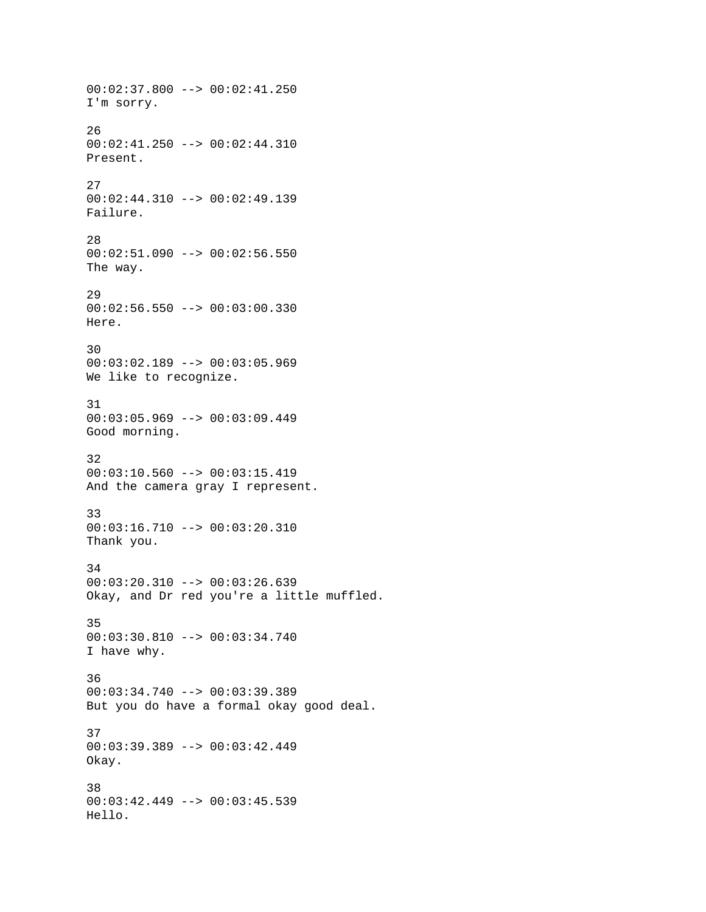00:02:37.800 --> 00:02:41.250 I'm sorry. 26 00:02:41.250 --> 00:02:44.310 Present. 27 00:02:44.310 --> 00:02:49.139 Failure. 28  $00:02:51.090$  -->  $00:02:56.550$ The way. 29 00:02:56.550 --> 00:03:00.330 Here. 30 00:03:02.189 --> 00:03:05.969 We like to recognize. 31 00:03:05.969 --> 00:03:09.449 Good morning. 32 00:03:10.560 --> 00:03:15.419 And the camera gray I represent. 33 00:03:16.710 --> 00:03:20.310 Thank you. 34 00:03:20.310 --> 00:03:26.639 Okay, and Dr red you're a little muffled. 35 00:03:30.810 --> 00:03:34.740 I have why. 36 00:03:34.740 --> 00:03:39.389 But you do have a formal okay good deal. 37 00:03:39.389 --> 00:03:42.449 Okay. 38 00:03:42.449 --> 00:03:45.539 Hello.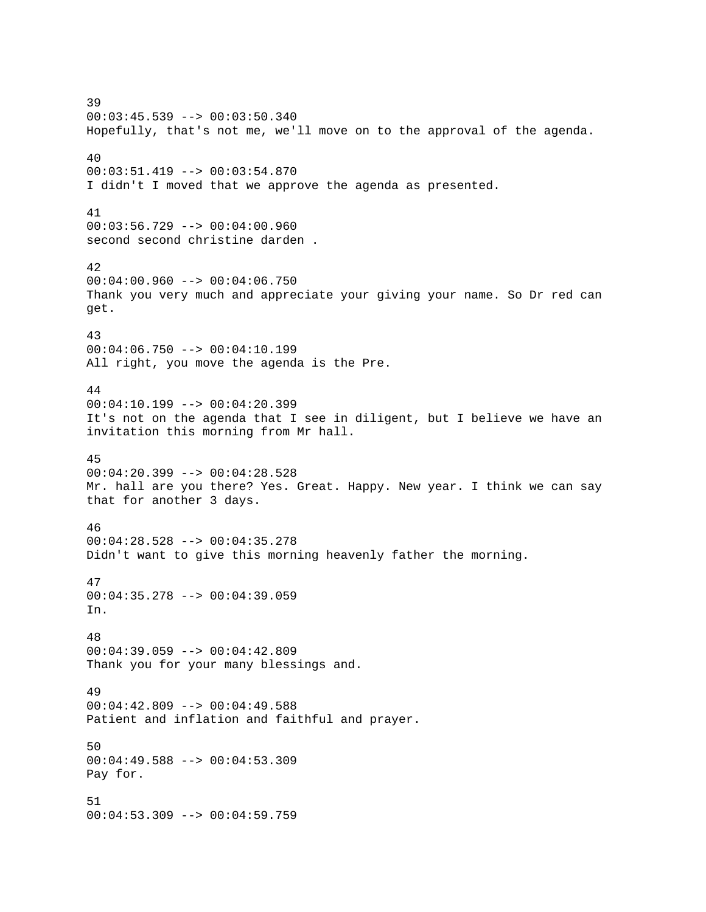39 00:03:45.539 --> 00:03:50.340 Hopefully, that's not me, we'll move on to the approval of the agenda. 40 00:03:51.419 --> 00:03:54.870 I didn't I moved that we approve the agenda as presented. 41 00:03:56.729 --> 00:04:00.960 second second christine darden . 42  $00:04:00.960$  -->  $00:04:06.750$ Thank you very much and appreciate your giving your name. So Dr red can get. 43  $00:04:06.750$  -->  $00:04:10.199$ All right, you move the agenda is the Pre. 44  $00:04:10.199$  -->  $00:04:20.399$ It's not on the agenda that I see in diligent, but I believe we have an invitation this morning from Mr hall. 45 00:04:20.399 --> 00:04:28.528 Mr. hall are you there? Yes. Great. Happy. New year. I think we can say that for another 3 days. 46 00:04:28.528 --> 00:04:35.278 Didn't want to give this morning heavenly father the morning. 47 00:04:35.278 --> 00:04:39.059 In. 48 00:04:39.059 --> 00:04:42.809 Thank you for your many blessings and. 49 00:04:42.809 --> 00:04:49.588 Patient and inflation and faithful and prayer. 50 00:04:49.588 --> 00:04:53.309 Pay for. 51 00:04:53.309 --> 00:04:59.759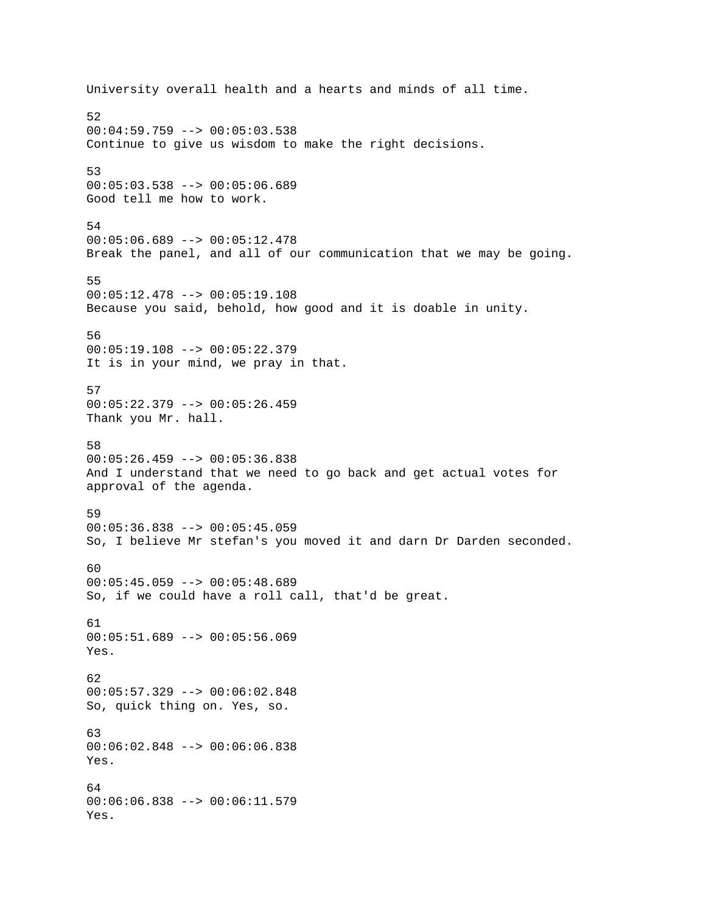University overall health and a hearts and minds of all time. 52 00:04:59.759 --> 00:05:03.538 Continue to give us wisdom to make the right decisions. 53 00:05:03.538 --> 00:05:06.689 Good tell me how to work. 54  $00:05:06.689$  -->  $00:05:12.478$ Break the panel, and all of our communication that we may be going. 55 00:05:12.478 --> 00:05:19.108 Because you said, behold, how good and it is doable in unity. 56 00:05:19.108 --> 00:05:22.379 It is in your mind, we pray in that. 57 00:05:22.379 --> 00:05:26.459 Thank you Mr. hall. 58  $00:05:26.459$  -->  $00:05:36.838$ And I understand that we need to go back and get actual votes for approval of the agenda. 59 00:05:36.838 --> 00:05:45.059 So, I believe Mr stefan's you moved it and darn Dr Darden seconded. 60 00:05:45.059 --> 00:05:48.689 So, if we could have a roll call, that'd be great. 61  $00:05:51.689$  -->  $00:05:56.069$ Yes. 62 00:05:57.329 --> 00:06:02.848 So, quick thing on. Yes, so. 63 00:06:02.848 --> 00:06:06.838 Yes. 64 00:06:06.838 --> 00:06:11.579 Yes.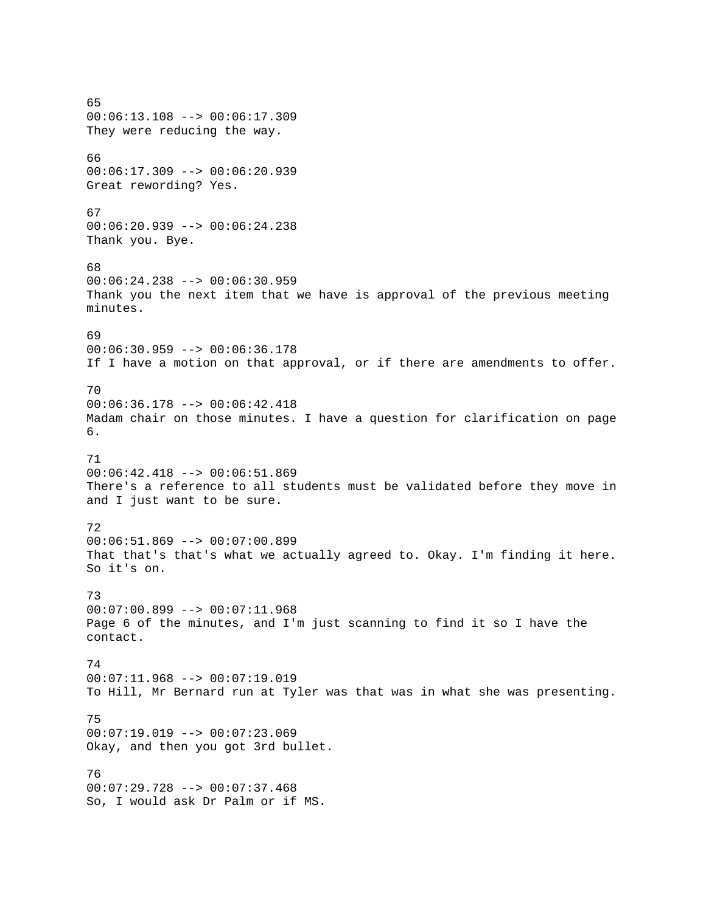65 00:06:13.108 --> 00:06:17.309 They were reducing the way. 66 00:06:17.309 --> 00:06:20.939 Great rewording? Yes. 67 00:06:20.939 --> 00:06:24.238 Thank you. Bye. 68  $00:06:24.238$  -->  $00:06:30.959$ Thank you the next item that we have is approval of the previous meeting minutes. 69  $00:06:30.959$  -->  $00:06:36.178$ If I have a motion on that approval, or if there are amendments to offer. 70 00:06:36.178 --> 00:06:42.418 Madam chair on those minutes. I have a question for clarification on page 6. 71 00:06:42.418 --> 00:06:51.869 There's a reference to all students must be validated before they move in and I just want to be sure. 72 00:06:51.869 --> 00:07:00.899 That that's that's what we actually agreed to. Okay. I'm finding it here. So it's on. 73 00:07:00.899 --> 00:07:11.968 Page 6 of the minutes, and I'm just scanning to find it so I have the contact. 74 00:07:11.968 --> 00:07:19.019 To Hill, Mr Bernard run at Tyler was that was in what she was presenting. 75  $00:07:19.019$  -->  $00:07:23.069$ Okay, and then you got 3rd bullet. 76 00:07:29.728 --> 00:07:37.468 So, I would ask Dr Palm or if MS.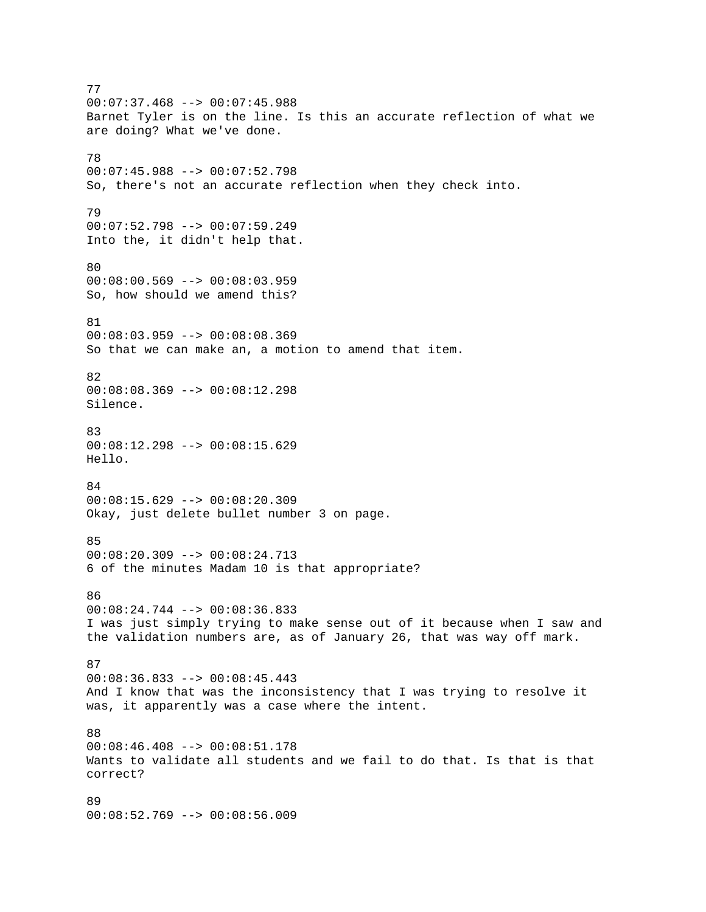77  $00:07:37.468$  -->  $00:07:45.988$ Barnet Tyler is on the line. Is this an accurate reflection of what we are doing? What we've done. 78 00:07:45.988 --> 00:07:52.798 So, there's not an accurate reflection when they check into. 79 00:07:52.798 --> 00:07:59.249 Into the, it didn't help that. 80 00:08:00.569 --> 00:08:03.959 So, how should we amend this? 81 00:08:03.959 --> 00:08:08.369 So that we can make an, a motion to amend that item. 82 00:08:08.369 --> 00:08:12.298 Silence. 83 00:08:12.298 --> 00:08:15.629 Hello. 84 00:08:15.629 --> 00:08:20.309 Okay, just delete bullet number 3 on page. 85 00:08:20.309 --> 00:08:24.713 6 of the minutes Madam 10 is that appropriate? 86 00:08:24.744 --> 00:08:36.833 I was just simply trying to make sense out of it because when I saw and the validation numbers are, as of January 26, that was way off mark. 87 00:08:36.833 --> 00:08:45.443 And I know that was the inconsistency that I was trying to resolve it was, it apparently was a case where the intent. 88 00:08:46.408 --> 00:08:51.178 Wants to validate all students and we fail to do that. Is that is that correct? 89 00:08:52.769 --> 00:08:56.009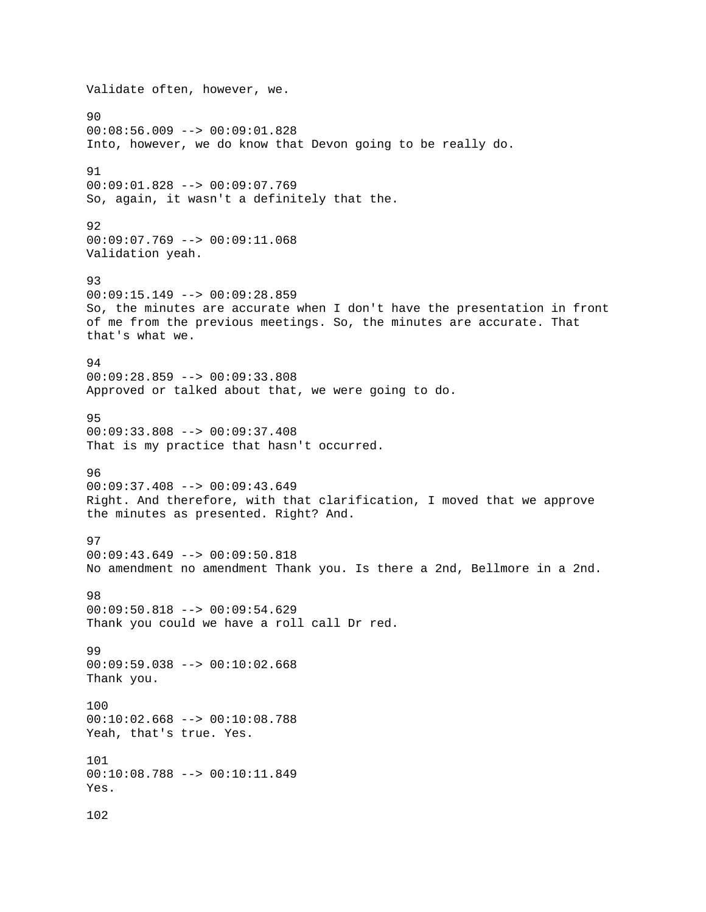Validate often, however, we. 90 00:08:56.009 --> 00:09:01.828 Into, however, we do know that Devon going to be really do. 91 00:09:01.828 --> 00:09:07.769 So, again, it wasn't a definitely that the. 92 00:09:07.769 --> 00:09:11.068 Validation yeah. 93  $00:09:15.149$  -->  $00:09:28.859$ So, the minutes are accurate when I don't have the presentation in front of me from the previous meetings. So, the minutes are accurate. That that's what we. 94 00:09:28.859 --> 00:09:33.808 Approved or talked about that, we were going to do. 95 00:09:33.808 --> 00:09:37.408 That is my practice that hasn't occurred. 96 00:09:37.408 --> 00:09:43.649 Right. And therefore, with that clarification, I moved that we approve the minutes as presented. Right? And. 97 00:09:43.649 --> 00:09:50.818 No amendment no amendment Thank you. Is there a 2nd, Bellmore in a 2nd. 98 00:09:50.818 --> 00:09:54.629 Thank you could we have a roll call Dr red. 99 00:09:59.038 --> 00:10:02.668 Thank you. 100 00:10:02.668 --> 00:10:08.788 Yeah, that's true. Yes. 101 00:10:08.788 --> 00:10:11.849 Yes. 102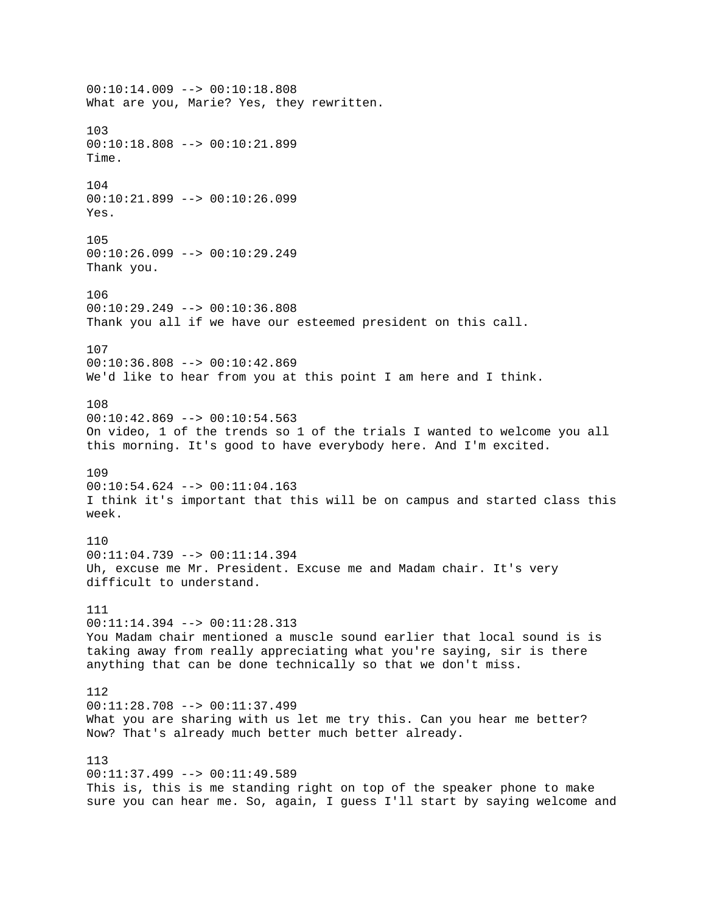00:10:14.009 --> 00:10:18.808 What are you, Marie? Yes, they rewritten. 103 00:10:18.808 --> 00:10:21.899 Time. 104 00:10:21.899 --> 00:10:26.099 Yes. 105  $00:10:26.099$  -->  $00:10:29.249$ Thank you. 106 00:10:29.249 --> 00:10:36.808 Thank you all if we have our esteemed president on this call. 107 00:10:36.808 --> 00:10:42.869 We'd like to hear from you at this point I am here and I think. 108 00:10:42.869 --> 00:10:54.563 On video, 1 of the trends so 1 of the trials I wanted to welcome you all this morning. It's good to have everybody here. And I'm excited. 109 00:10:54.624 --> 00:11:04.163 I think it's important that this will be on campus and started class this week. 110 00:11:04.739 --> 00:11:14.394 Uh, excuse me Mr. President. Excuse me and Madam chair. It's very difficult to understand. 111  $00:11:14.394$  -->  $00:11:28.313$ You Madam chair mentioned a muscle sound earlier that local sound is is taking away from really appreciating what you're saying, sir is there anything that can be done technically so that we don't miss. 112 00:11:28.708 --> 00:11:37.499 What you are sharing with us let me try this. Can you hear me better? Now? That's already much better much better already. 113 00:11:37.499 --> 00:11:49.589 This is, this is me standing right on top of the speaker phone to make sure you can hear me. So, again, I guess I'll start by saying welcome and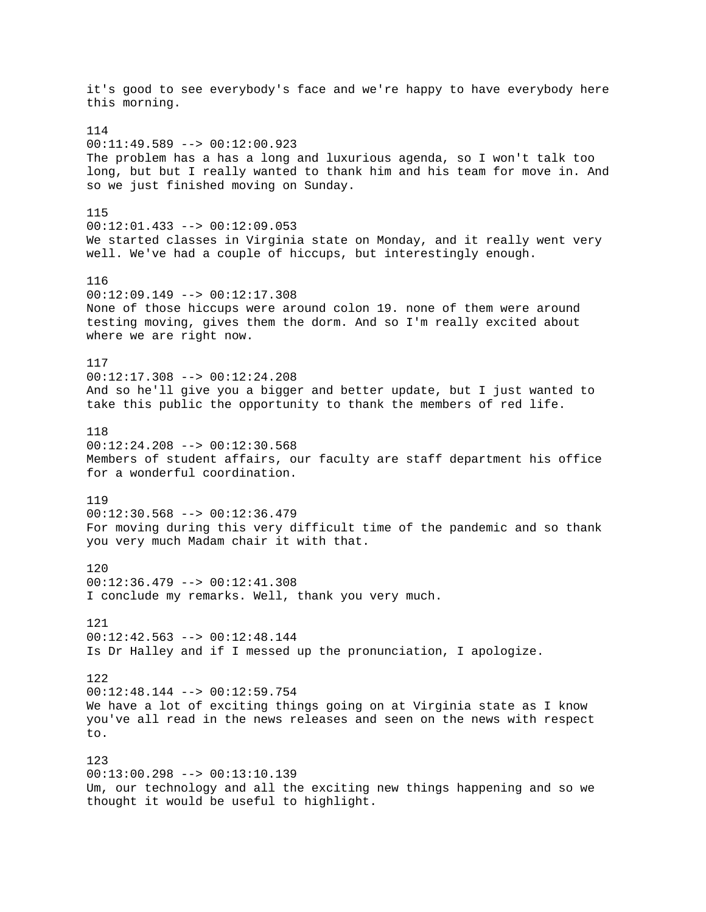it's good to see everybody's face and we're happy to have everybody here this morning. 114 00:11:49.589 --> 00:12:00.923 The problem has a has a long and luxurious agenda, so I won't talk too long, but but I really wanted to thank him and his team for move in. And so we just finished moving on Sunday. 115 00:12:01.433 --> 00:12:09.053 We started classes in Virginia state on Monday, and it really went very well. We've had a couple of hiccups, but interestingly enough. 116  $00:12:09.149$  -->  $00:12:17.308$ None of those hiccups were around colon 19. none of them were around testing moving, gives them the dorm. And so I'm really excited about where we are right now. 117 00:12:17.308 --> 00:12:24.208 And so he'll give you a bigger and better update, but I just wanted to take this public the opportunity to thank the members of red life. 118  $00:12:24.208$  -->  $00:12:30.568$ Members of student affairs, our faculty are staff department his office for a wonderful coordination. 119 00:12:30.568 --> 00:12:36.479 For moving during this very difficult time of the pandemic and so thank you very much Madam chair it with that. 120 00:12:36.479 --> 00:12:41.308 I conclude my remarks. Well, thank you very much. 121 00:12:42.563 --> 00:12:48.144 Is Dr Halley and if I messed up the pronunciation, I apologize. 122 00:12:48.144 --> 00:12:59.754 We have a lot of exciting things going on at Virginia state as I know you've all read in the news releases and seen on the news with respect to. 123 00:13:00.298 --> 00:13:10.139 Um, our technology and all the exciting new things happening and so we thought it would be useful to highlight.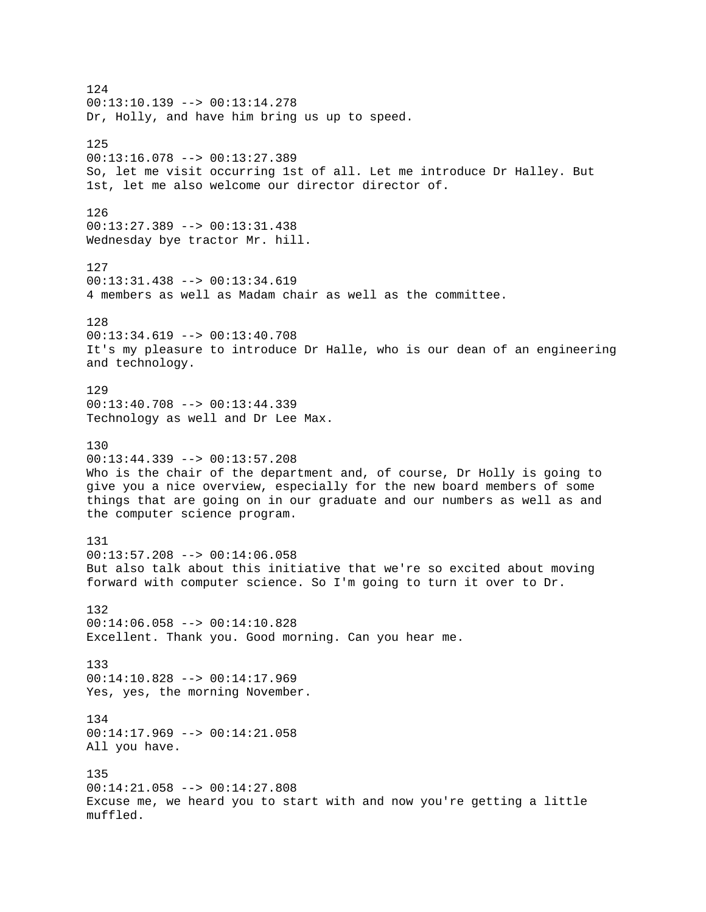124  $00:13:10.139$  -->  $00:13:14.278$ Dr, Holly, and have him bring us up to speed. 125 00:13:16.078 --> 00:13:27.389 So, let me visit occurring 1st of all. Let me introduce Dr Halley. But 1st, let me also welcome our director director of. 126 00:13:27.389 --> 00:13:31.438 Wednesday bye tractor Mr. hill. 127 00:13:31.438 --> 00:13:34.619 4 members as well as Madam chair as well as the committee. 128 00:13:34.619 --> 00:13:40.708 It's my pleasure to introduce Dr Halle, who is our dean of an engineering and technology. 129 00:13:40.708 --> 00:13:44.339 Technology as well and Dr Lee Max. 130  $00:13:44.339$  -->  $00:13:57.208$ Who is the chair of the department and, of course, Dr Holly is going to give you a nice overview, especially for the new board members of some things that are going on in our graduate and our numbers as well as and the computer science program. 131 00:13:57.208 --> 00:14:06.058 But also talk about this initiative that we're so excited about moving forward with computer science. So I'm going to turn it over to Dr. 132 00:14:06.058 --> 00:14:10.828 Excellent. Thank you. Good morning. Can you hear me. 133 00:14:10.828 --> 00:14:17.969 Yes, yes, the morning November. 134 00:14:17.969 --> 00:14:21.058 All you have. 135 00:14:21.058 --> 00:14:27.808 Excuse me, we heard you to start with and now you're getting a little muffled.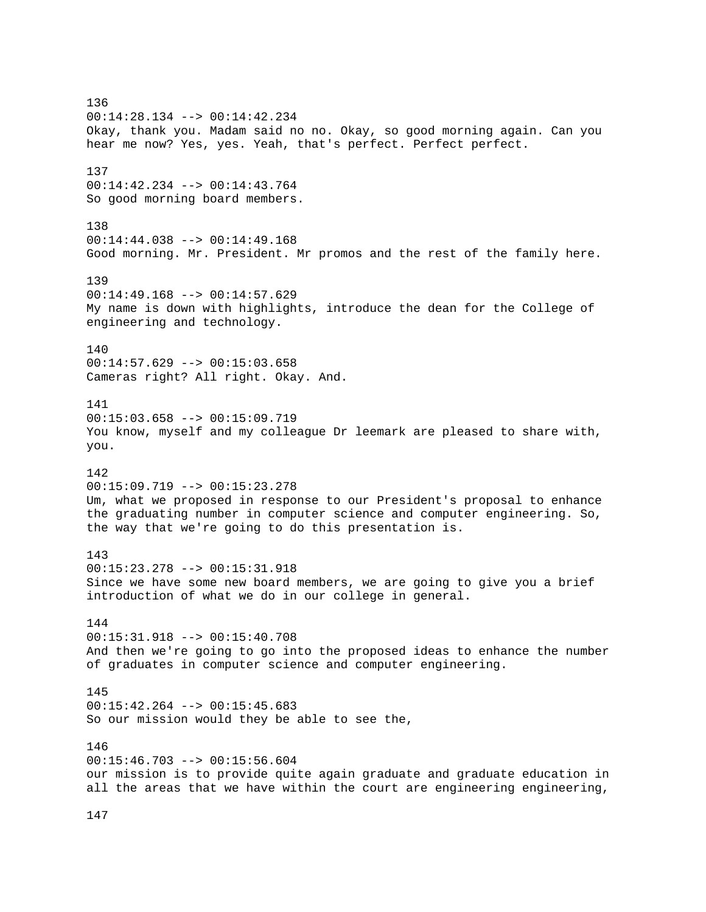136 00:14:28.134 --> 00:14:42.234 Okay, thank you. Madam said no no. Okay, so good morning again. Can you hear me now? Yes, yes. Yeah, that's perfect. Perfect perfect. 137 00:14:42.234 --> 00:14:43.764 So good morning board members. 138 00:14:44.038 --> 00:14:49.168 Good morning. Mr. President. Mr promos and the rest of the family here. 139  $00:14:49.168$  -->  $00:14:57.629$ My name is down with highlights, introduce the dean for the College of engineering and technology. 140 00:14:57.629 --> 00:15:03.658 Cameras right? All right. Okay. And. 141 00:15:03.658 --> 00:15:09.719 You know, myself and my colleague Dr leemark are pleased to share with, you. 142 00:15:09.719 --> 00:15:23.278 Um, what we proposed in response to our President's proposal to enhance the graduating number in computer science and computer engineering. So, the way that we're going to do this presentation is. 143 00:15:23.278 --> 00:15:31.918 Since we have some new board members, we are going to give you a brief introduction of what we do in our college in general. 144 00:15:31.918 --> 00:15:40.708 And then we're going to go into the proposed ideas to enhance the number of graduates in computer science and computer engineering. 145 00:15:42.264 --> 00:15:45.683 So our mission would they be able to see the, 146 00:15:46.703 --> 00:15:56.604 our mission is to provide quite again graduate and graduate education in all the areas that we have within the court are engineering engineering,

147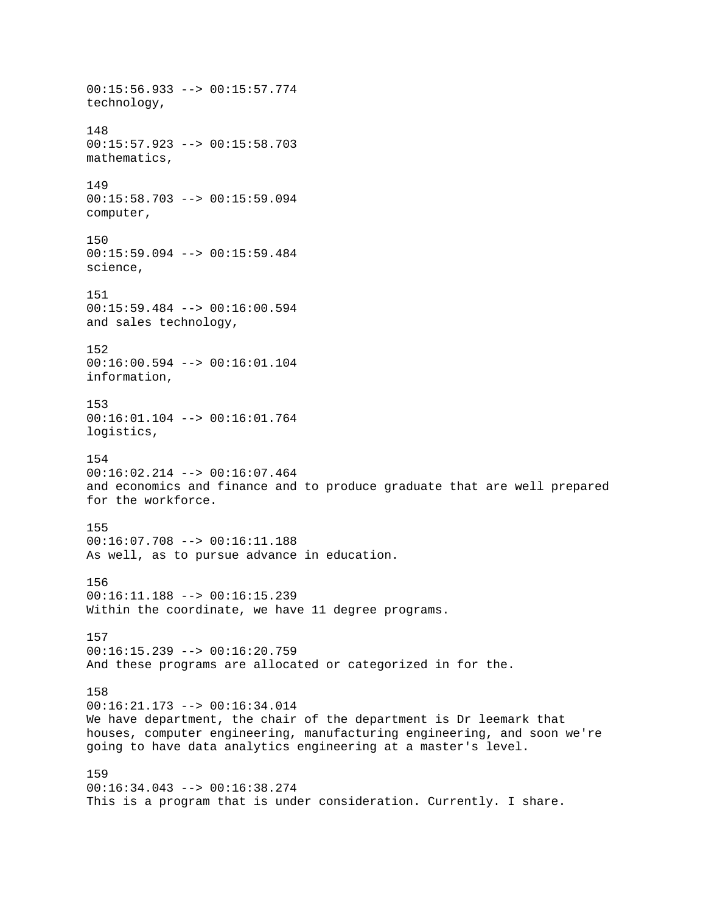00:15:56.933 --> 00:15:57.774 technology, 148 00:15:57.923 --> 00:15:58.703 mathematics, 149 00:15:58.703 --> 00:15:59.094 computer, 150 00:15:59.094 --> 00:15:59.484 science, 151 00:15:59.484 --> 00:16:00.594 and sales technology, 152 00:16:00.594 --> 00:16:01.104 information, 153 00:16:01.104 --> 00:16:01.764 logistics, 154 00:16:02.214 --> 00:16:07.464 and economics and finance and to produce graduate that are well prepared for the workforce. 155 00:16:07.708 --> 00:16:11.188 As well, as to pursue advance in education. 156 00:16:11.188 --> 00:16:15.239 Within the coordinate, we have 11 degree programs. 157  $00:16:15.239$  -->  $00:16:20.759$ And these programs are allocated or categorized in for the. 158 00:16:21.173 --> 00:16:34.014 We have department, the chair of the department is Dr leemark that houses, computer engineering, manufacturing engineering, and soon we're going to have data analytics engineering at a master's level. 159 00:16:34.043 --> 00:16:38.274 This is a program that is under consideration. Currently. I share.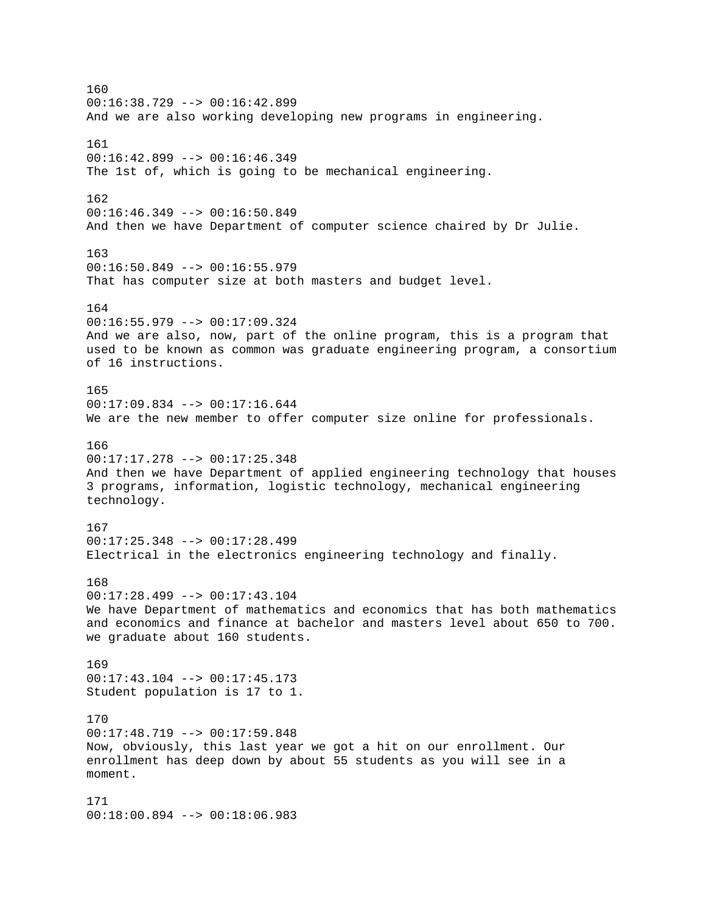160 00:16:38.729 --> 00:16:42.899 And we are also working developing new programs in engineering. 161  $00:16:42.899$  -->  $00:16:46.349$ The 1st of, which is going to be mechanical engineering. 162 00:16:46.349 --> 00:16:50.849 And then we have Department of computer science chaired by Dr Julie. 163 00:16:50.849 --> 00:16:55.979 That has computer size at both masters and budget level. 164 00:16:55.979 --> 00:17:09.324 And we are also, now, part of the online program, this is a program that used to be known as common was graduate engineering program, a consortium of 16 instructions. 165  $00:17:09.834$  -->  $00:17:16.644$ We are the new member to offer computer size online for professionals. 166  $00:17:17.278$  -->  $00:17:25.348$ And then we have Department of applied engineering technology that houses 3 programs, information, logistic technology, mechanical engineering technology. 167 00:17:25.348 --> 00:17:28.499 Electrical in the electronics engineering technology and finally. 168 00:17:28.499 --> 00:17:43.104 We have Department of mathematics and economics that has both mathematics and economics and finance at bachelor and masters level about 650 to 700. we graduate about 160 students. 169  $00:17:43.104$  -->  $00:17:45.173$ Student population is 17 to 1. 170 00:17:48.719 --> 00:17:59.848 Now, obviously, this last year we got a hit on our enrollment. Our enrollment has deep down by about 55 students as you will see in a moment. 171 00:18:00.894 --> 00:18:06.983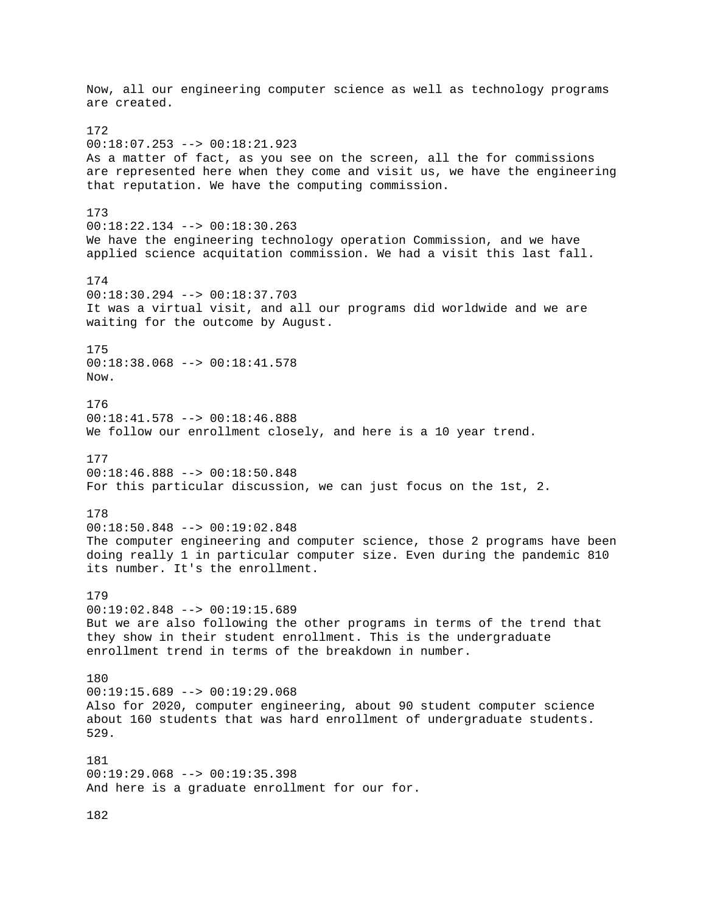Now, all our engineering computer science as well as technology programs are created. 172 00:18:07.253 --> 00:18:21.923 As a matter of fact, as you see on the screen, all the for commissions are represented here when they come and visit us, we have the engineering that reputation. We have the computing commission. 173 00:18:22.134 --> 00:18:30.263 We have the engineering technology operation Commission, and we have applied science acquitation commission. We had a visit this last fall. 174 00:18:30.294 --> 00:18:37.703 It was a virtual visit, and all our programs did worldwide and we are waiting for the outcome by August. 175 00:18:38.068 --> 00:18:41.578 Now. 176 00:18:41.578 --> 00:18:46.888 We follow our enrollment closely, and here is a 10 year trend. 177 00:18:46.888 --> 00:18:50.848 For this particular discussion, we can just focus on the 1st, 2. 178 00:18:50.848 --> 00:19:02.848 The computer engineering and computer science, those 2 programs have been doing really 1 in particular computer size. Even during the pandemic 810 its number. It's the enrollment. 179 00:19:02.848 --> 00:19:15.689 But we are also following the other programs in terms of the trend that they show in their student enrollment. This is the undergraduate enrollment trend in terms of the breakdown in number. 180  $00:19:15.689$  -->  $00:19:29.068$ Also for 2020, computer engineering, about 90 student computer science about 160 students that was hard enrollment of undergraduate students. 529. 181 00:19:29.068 --> 00:19:35.398 And here is a graduate enrollment for our for.

182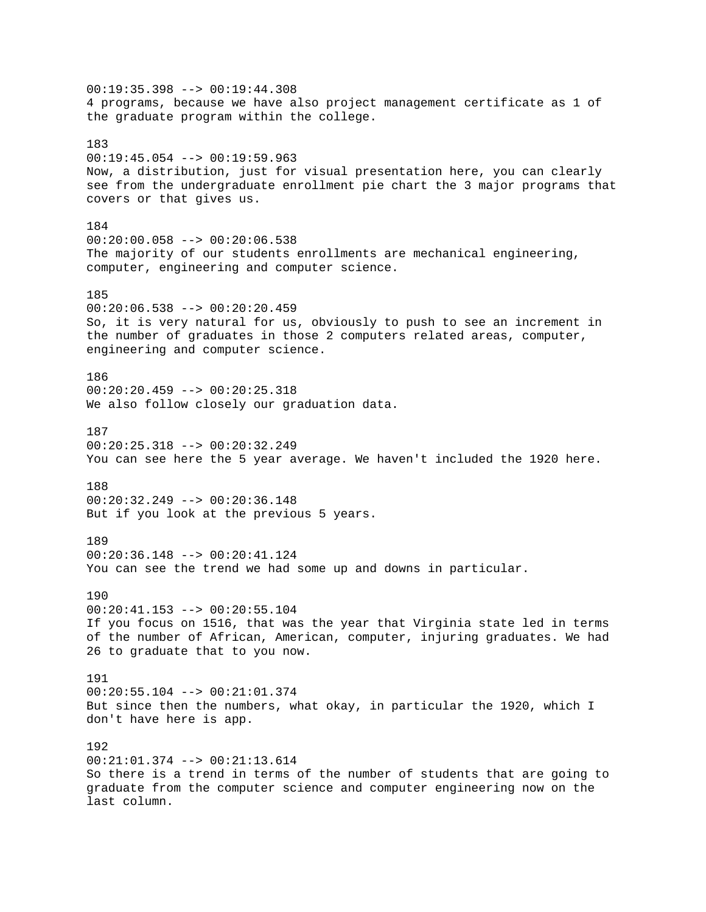00:19:35.398 --> 00:19:44.308 4 programs, because we have also project management certificate as 1 of the graduate program within the college. 183  $00:19:45.054$  -->  $00:19:59.963$ Now, a distribution, just for visual presentation here, you can clearly see from the undergraduate enrollment pie chart the 3 major programs that covers or that gives us. 184  $00:20:00.058$  -->  $00:20:06.538$ The majority of our students enrollments are mechanical engineering, computer, engineering and computer science. 185 00:20:06.538 --> 00:20:20.459 So, it is very natural for us, obviously to push to see an increment in the number of graduates in those 2 computers related areas, computer, engineering and computer science. 186 00:20:20.459 --> 00:20:25.318 We also follow closely our graduation data. 187  $00:20:25.318$  -->  $00:20:32.249$ You can see here the 5 year average. We haven't included the 1920 here. 188 00:20:32.249 --> 00:20:36.148 But if you look at the previous 5 years. 189 00:20:36.148 --> 00:20:41.124 You can see the trend we had some up and downs in particular. 190 00:20:41.153 --> 00:20:55.104 If you focus on 1516, that was the year that Virginia state led in terms of the number of African, American, computer, injuring graduates. We had 26 to graduate that to you now. 191  $00:20:55.104$  -->  $00:21:01.374$ But since then the numbers, what okay, in particular the 1920, which I don't have here is app. 192 00:21:01.374 --> 00:21:13.614 So there is a trend in terms of the number of students that are going to graduate from the computer science and computer engineering now on the last column.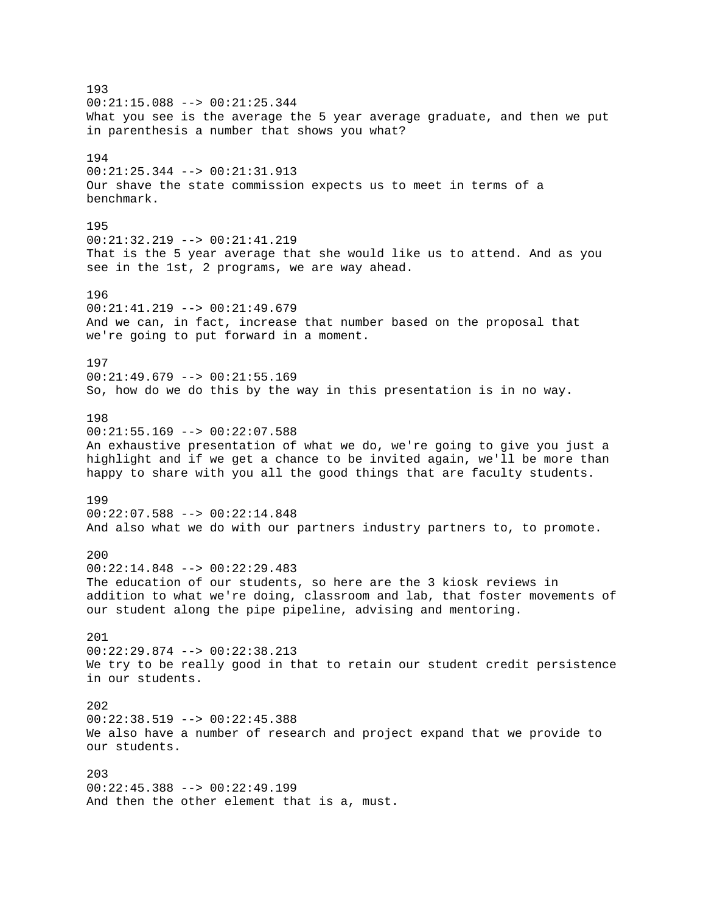193  $00:21:15.088$  -->  $00:21:25.344$ What you see is the average the 5 year average graduate, and then we put in parenthesis a number that shows you what? 194 00:21:25.344 --> 00:21:31.913 Our shave the state commission expects us to meet in terms of a benchmark. 195 00:21:32.219 --> 00:21:41.219 That is the 5 year average that she would like us to attend. And as you see in the 1st, 2 programs, we are way ahead. 196 00:21:41.219 --> 00:21:49.679 And we can, in fact, increase that number based on the proposal that we're going to put forward in a moment. 197  $00:21:49.679$  -->  $00:21:55.169$ So, how do we do this by the way in this presentation is in no way. 198 00:21:55.169 --> 00:22:07.588 An exhaustive presentation of what we do, we're going to give you just a highlight and if we get a chance to be invited again, we'll be more than happy to share with you all the good things that are faculty students. 199 00:22:07.588 --> 00:22:14.848 And also what we do with our partners industry partners to, to promote. 200  $00:22:14.848$  -->  $00:22:29.483$ The education of our students, so here are the 3 kiosk reviews in addition to what we're doing, classroom and lab, that foster movements of our student along the pipe pipeline, advising and mentoring. 201 00:22:29.874 --> 00:22:38.213 We try to be really good in that to retain our student credit persistence in our students. 202 00:22:38.519 --> 00:22:45.388 We also have a number of research and project expand that we provide to our students. 203  $00:22:45.388$  -->  $00:22:49.199$ And then the other element that is a, must.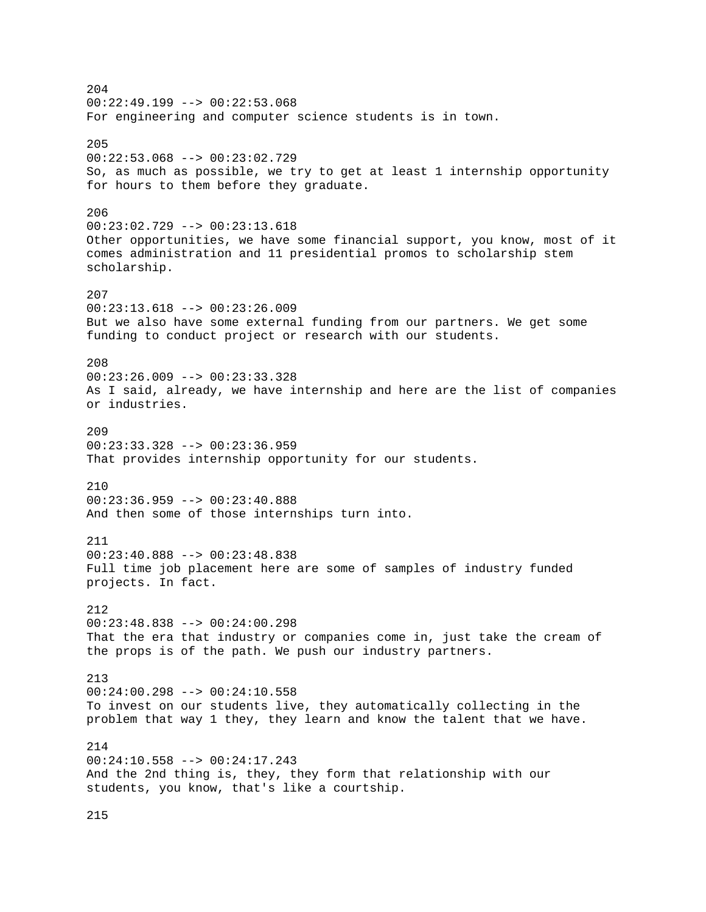204  $00:22:49.199$  -->  $00:22:53.068$ For engineering and computer science students is in town. 205 00:22:53.068 --> 00:23:02.729 So, as much as possible, we try to get at least 1 internship opportunity for hours to them before they graduate. 206 00:23:02.729 --> 00:23:13.618 Other opportunities, we have some financial support, you know, most of it comes administration and 11 presidential promos to scholarship stem scholarship. 207 00:23:13.618 --> 00:23:26.009 But we also have some external funding from our partners. We get some funding to conduct project or research with our students. 208  $00:23:26.009$  -->  $00:23:33.328$ As I said, already, we have internship and here are the list of companies or industries.  $209$ 00:23:33.328 --> 00:23:36.959 That provides internship opportunity for our students. 210 00:23:36.959 --> 00:23:40.888 And then some of those internships turn into. 211 00:23:40.888 --> 00:23:48.838 Full time job placement here are some of samples of industry funded projects. In fact. 212 00:23:48.838 --> 00:24:00.298 That the era that industry or companies come in, just take the cream of the props is of the path. We push our industry partners. 213  $00:24:00.298$  -->  $00:24:10.558$ To invest on our students live, they automatically collecting in the problem that way 1 they, they learn and know the talent that we have. 214 00:24:10.558 --> 00:24:17.243 And the 2nd thing is, they, they form that relationship with our students, you know, that's like a courtship.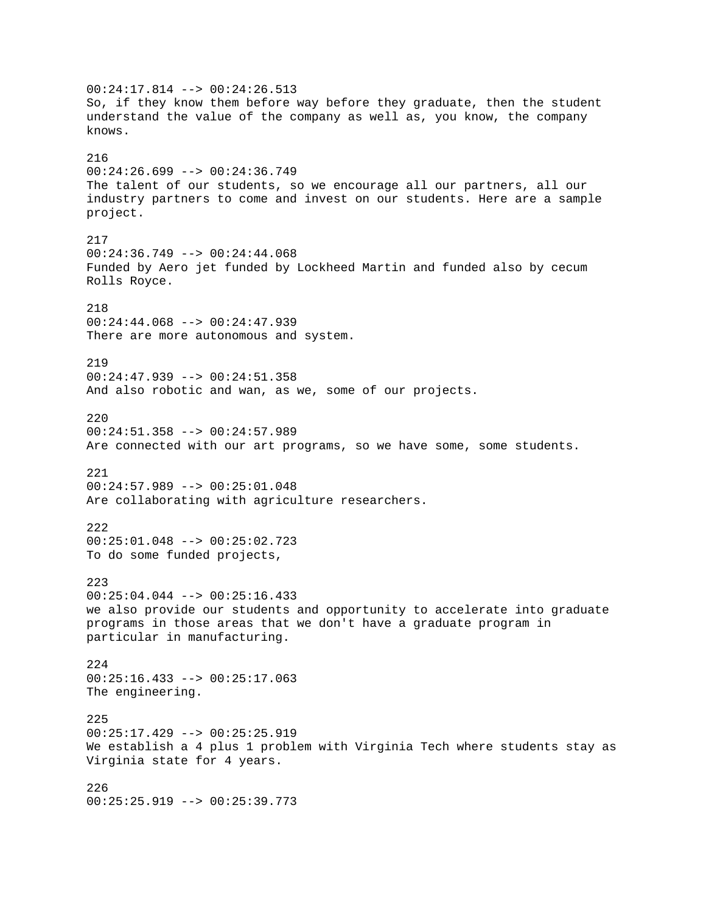$00:24:17.814$  -->  $00:24:26.513$ So, if they know them before way before they graduate, then the student understand the value of the company as well as, you know, the company knows. 216 00:24:26.699 --> 00:24:36.749 The talent of our students, so we encourage all our partners, all our industry partners to come and invest on our students. Here are a sample project. 217  $00:24:36.749$  -->  $00:24:44.068$ Funded by Aero jet funded by Lockheed Martin and funded also by cecum Rolls Royce. 218 00:24:44.068 --> 00:24:47.939 There are more autonomous and system. 219  $00:24:47.939$  -->  $00:24:51.358$ And also robotic and wan, as we, some of our projects. 220 00:24:51.358 --> 00:24:57.989 Are connected with our art programs, so we have some, some students. 221 00:24:57.989 --> 00:25:01.048 Are collaborating with agriculture researchers. 222 00:25:01.048 --> 00:25:02.723 To do some funded projects, 223 00:25:04.044 --> 00:25:16.433 we also provide our students and opportunity to accelerate into graduate programs in those areas that we don't have a graduate program in particular in manufacturing. 224 00:25:16.433 --> 00:25:17.063 The engineering. 225  $00:25:17.429$  -->  $00:25:25.919$ We establish a 4 plus 1 problem with Virginia Tech where students stay as Virginia state for 4 years. 226 00:25:25.919 --> 00:25:39.773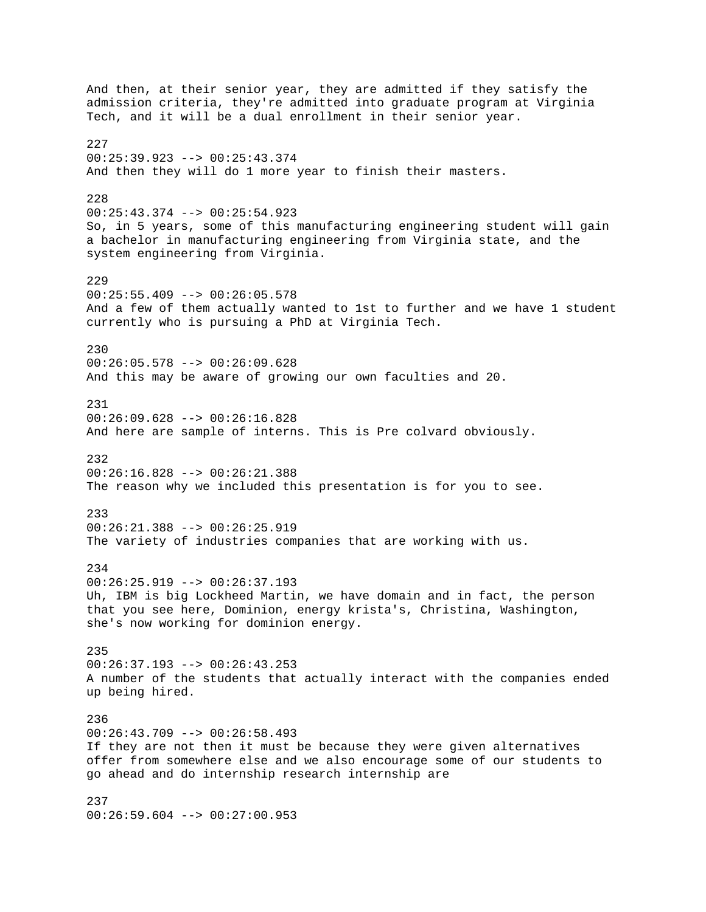And then, at their senior year, they are admitted if they satisfy the admission criteria, they're admitted into graduate program at Virginia Tech, and it will be a dual enrollment in their senior year. 227 00:25:39.923 --> 00:25:43.374 And then they will do 1 more year to finish their masters. 228 00:25:43.374 --> 00:25:54.923 So, in 5 years, some of this manufacturing engineering student will gain a bachelor in manufacturing engineering from Virginia state, and the system engineering from Virginia. 229  $00:25:55.409$  -->  $00:26:05.578$ And a few of them actually wanted to 1st to further and we have 1 student currently who is pursuing a PhD at Virginia Tech. 230 00:26:05.578 --> 00:26:09.628 And this may be aware of growing our own faculties and 20. 231 00:26:09.628 --> 00:26:16.828 And here are sample of interns. This is Pre colvard obviously. 232 00:26:16.828 --> 00:26:21.388 The reason why we included this presentation is for you to see. 233 00:26:21.388 --> 00:26:25.919 The variety of industries companies that are working with us. 234 00:26:25.919 --> 00:26:37.193 Uh, IBM is big Lockheed Martin, we have domain and in fact, the person that you see here, Dominion, energy krista's, Christina, Washington, she's now working for dominion energy. 235 00:26:37.193 --> 00:26:43.253 A number of the students that actually interact with the companies ended up being hired. 236  $00:26:43.709$  -->  $00:26:58.493$ If they are not then it must be because they were given alternatives offer from somewhere else and we also encourage some of our students to go ahead and do internship research internship are 237 00:26:59.604 --> 00:27:00.953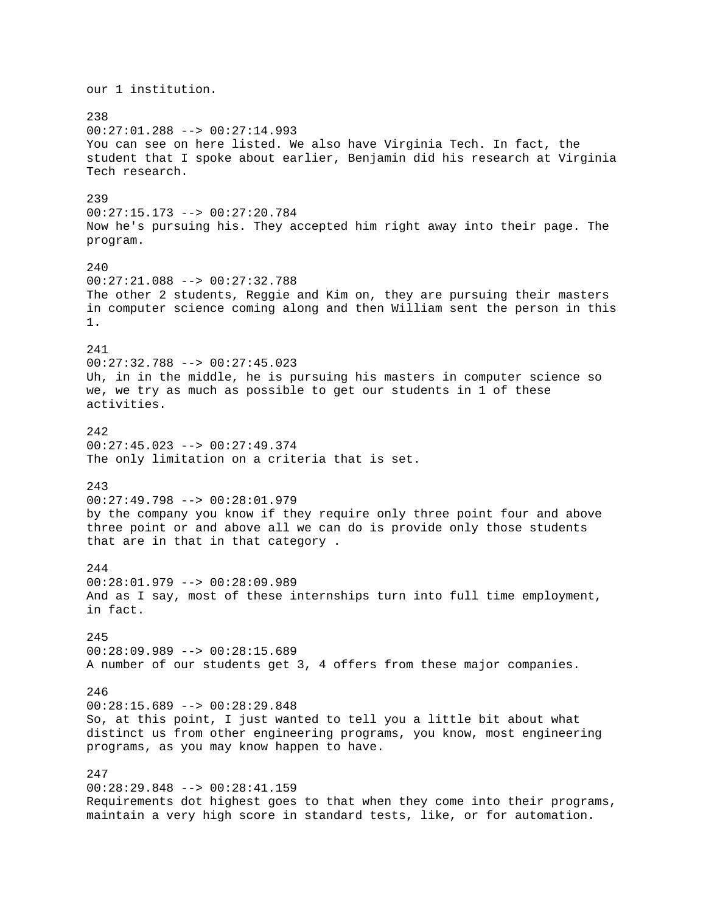our 1 institution. 238 00:27:01.288 --> 00:27:14.993 You can see on here listed. We also have Virginia Tech. In fact, the student that I spoke about earlier, Benjamin did his research at Virginia Tech research. 239 00:27:15.173 --> 00:27:20.784 Now he's pursuing his. They accepted him right away into their page. The program. 240 00:27:21.088 --> 00:27:32.788 The other 2 students, Reggie and Kim on, they are pursuing their masters in computer science coming along and then William sent the person in this 1. 241 00:27:32.788 --> 00:27:45.023 Uh, in in the middle, he is pursuing his masters in computer science so we, we try as much as possible to get our students in 1 of these activities.  $242$ 00:27:45.023 --> 00:27:49.374 The only limitation on a criteria that is set. 243 00:27:49.798 --> 00:28:01.979 by the company you know if they require only three point four and above three point or and above all we can do is provide only those students that are in that in that category . 244 00:28:01.979 --> 00:28:09.989 And as I say, most of these internships turn into full time employment, in fact. 245 00:28:09.989 --> 00:28:15.689 A number of our students get 3, 4 offers from these major companies. 246 00:28:15.689 --> 00:28:29.848 So, at this point, I just wanted to tell you a little bit about what distinct us from other engineering programs, you know, most engineering programs, as you may know happen to have. 247 00:28:29.848 --> 00:28:41.159 Requirements dot highest goes to that when they come into their programs, maintain a very high score in standard tests, like, or for automation.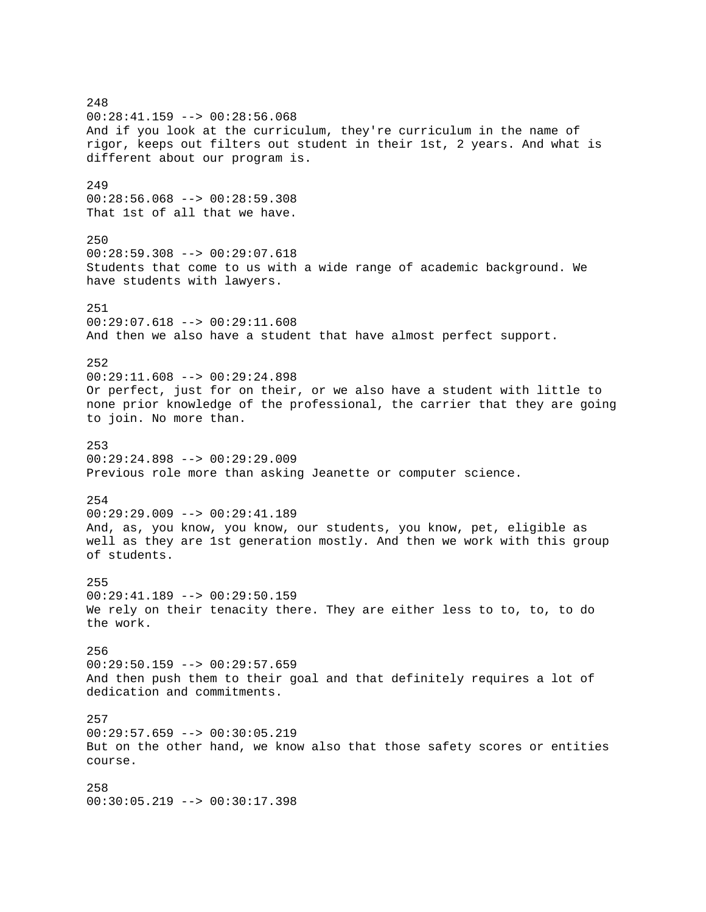248 00:28:41.159 --> 00:28:56.068 And if you look at the curriculum, they're curriculum in the name of rigor, keeps out filters out student in their 1st, 2 years. And what is different about our program is. 249 00:28:56.068 --> 00:28:59.308 That 1st of all that we have. 250 00:28:59.308 --> 00:29:07.618 Students that come to us with a wide range of academic background. We have students with lawyers. 251 00:29:07.618 --> 00:29:11.608 And then we also have a student that have almost perfect support. 252  $00:29:11.608$  -->  $00:29:24.898$ Or perfect, just for on their, or we also have a student with little to none prior knowledge of the professional, the carrier that they are going to join. No more than. 253  $00:29:24.898$  -->  $00:29:29.009$ Previous role more than asking Jeanette or computer science. 254 00:29:29.009 --> 00:29:41.189 And, as, you know, you know, our students, you know, pet, eligible as well as they are 1st generation mostly. And then we work with this group of students. 255 00:29:41.189 --> 00:29:50.159 We rely on their tenacity there. They are either less to to, to, to do the work. 256 00:29:50.159 --> 00:29:57.659 And then push them to their goal and that definitely requires a lot of dedication and commitments. 257  $00:29:57.659$  -->  $00:30:05.219$ But on the other hand, we know also that those safety scores or entities course. 258 00:30:05.219 --> 00:30:17.398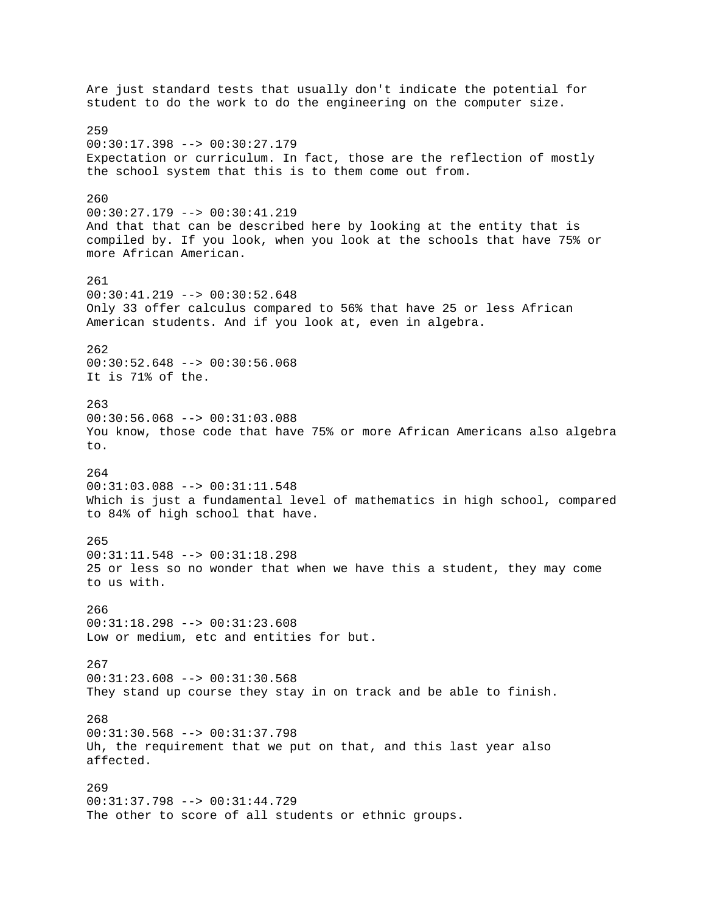Are just standard tests that usually don't indicate the potential for student to do the work to do the engineering on the computer size. 259 00:30:17.398 --> 00:30:27.179 Expectation or curriculum. In fact, those are the reflection of mostly the school system that this is to them come out from. 260 00:30:27.179 --> 00:30:41.219 And that that can be described here by looking at the entity that is compiled by. If you look, when you look at the schools that have 75% or more African American. 261  $00:30:41.219$  -->  $00:30:52.648$ Only 33 offer calculus compared to 56% that have 25 or less African American students. And if you look at, even in algebra. 262 00:30:52.648 --> 00:30:56.068 It is 71% of the. 263 00:30:56.068 --> 00:31:03.088 You know, those code that have 75% or more African Americans also algebra to. 264 00:31:03.088 --> 00:31:11.548 Which is just a fundamental level of mathematics in high school, compared to 84% of high school that have. 265 00:31:11.548 --> 00:31:18.298 25 or less so no wonder that when we have this a student, they may come to us with. 266 00:31:18.298 --> 00:31:23.608 Low or medium, etc and entities for but. 267 00:31:23.608 --> 00:31:30.568 They stand up course they stay in on track and be able to finish. 268 00:31:30.568 --> 00:31:37.798 Uh, the requirement that we put on that, and this last year also affected. 269 00:31:37.798 --> 00:31:44.729 The other to score of all students or ethnic groups.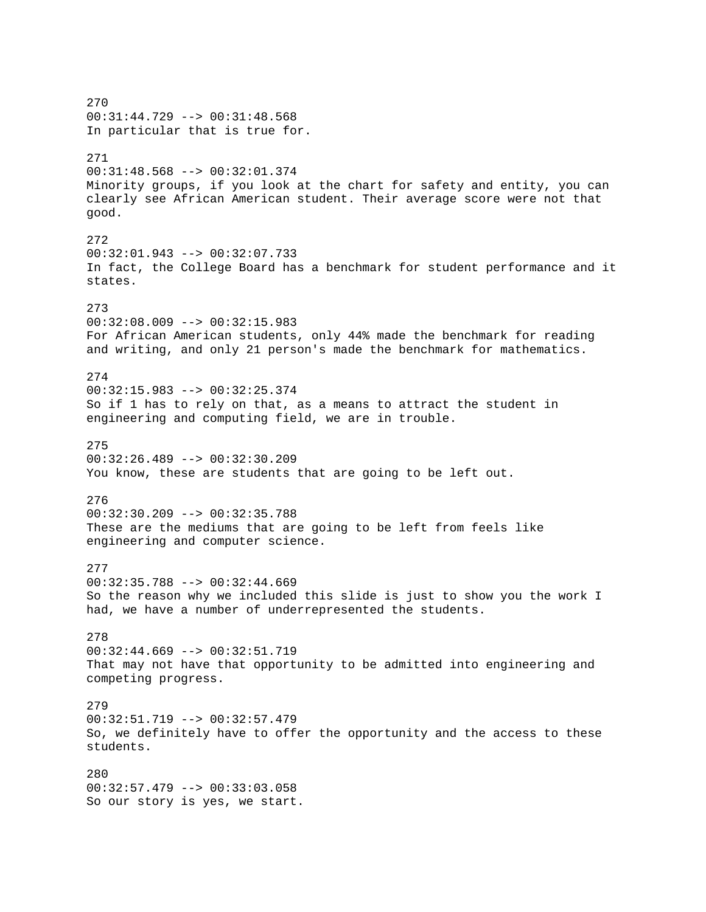270 00:31:44.729 --> 00:31:48.568 In particular that is true for. 271 00:31:48.568 --> 00:32:01.374 Minority groups, if you look at the chart for safety and entity, you can clearly see African American student. Their average score were not that good. 272 00:32:01.943 --> 00:32:07.733 In fact, the College Board has a benchmark for student performance and it states. 273 00:32:08.009 --> 00:32:15.983 For African American students, only 44% made the benchmark for reading and writing, and only 21 person's made the benchmark for mathematics. 274 00:32:15.983 --> 00:32:25.374 So if 1 has to rely on that, as a means to attract the student in engineering and computing field, we are in trouble. 275  $00:32:26.489$  -->  $00:32:30.209$ You know, these are students that are going to be left out. 276 00:32:30.209 --> 00:32:35.788 These are the mediums that are going to be left from feels like engineering and computer science. 277 00:32:35.788 --> 00:32:44.669 So the reason why we included this slide is just to show you the work I had, we have a number of underrepresented the students. 278 00:32:44.669 --> 00:32:51.719 That may not have that opportunity to be admitted into engineering and competing progress. 279 00:32:51.719 --> 00:32:57.479 So, we definitely have to offer the opportunity and the access to these students. 280  $00:32:57.479$  -->  $00:33:03.058$ So our story is yes, we start.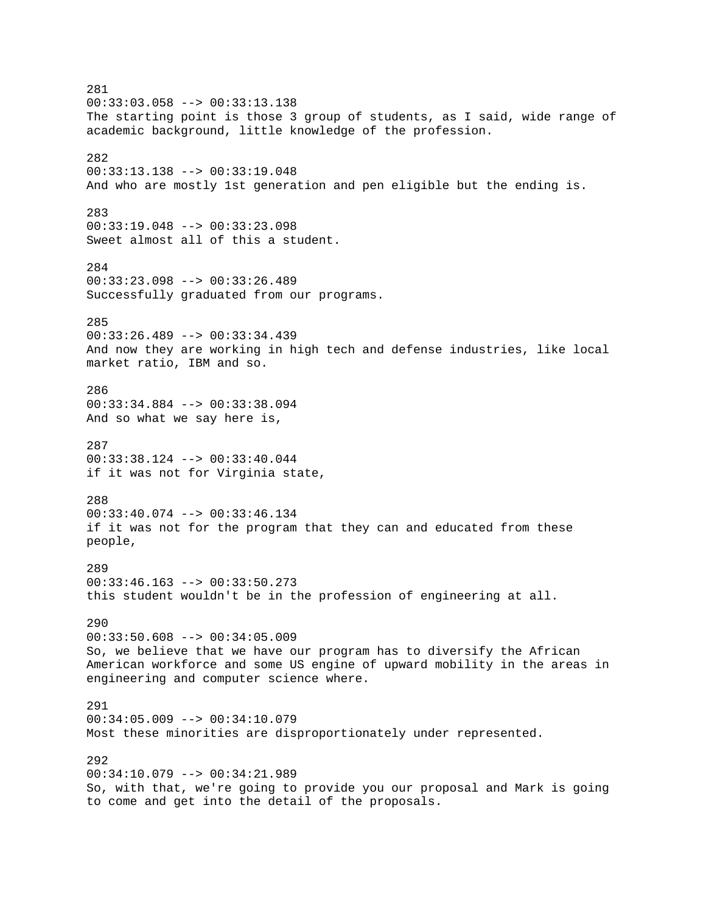281 00:33:03.058 --> 00:33:13.138 The starting point is those 3 group of students, as I said, wide range of academic background, little knowledge of the profession. 282 00:33:13.138 --> 00:33:19.048 And who are mostly 1st generation and pen eligible but the ending is. 283 00:33:19.048 --> 00:33:23.098 Sweet almost all of this a student. 284 00:33:23.098 --> 00:33:26.489 Successfully graduated from our programs. 285 00:33:26.489 --> 00:33:34.439 And now they are working in high tech and defense industries, like local market ratio, IBM and so. 286 00:33:34.884 --> 00:33:38.094 And so what we say here is, 287 00:33:38.124 --> 00:33:40.044 if it was not for Virginia state, 288 00:33:40.074 --> 00:33:46.134 if it was not for the program that they can and educated from these people, 289 00:33:46.163 --> 00:33:50.273 this student wouldn't be in the profession of engineering at all. 290 00:33:50.608 --> 00:34:05.009 So, we believe that we have our program has to diversify the African American workforce and some US engine of upward mobility in the areas in engineering and computer science where. 291 00:34:05.009 --> 00:34:10.079 Most these minorities are disproportionately under represented. 292 00:34:10.079 --> 00:34:21.989 So, with that, we're going to provide you our proposal and Mark is going to come and get into the detail of the proposals.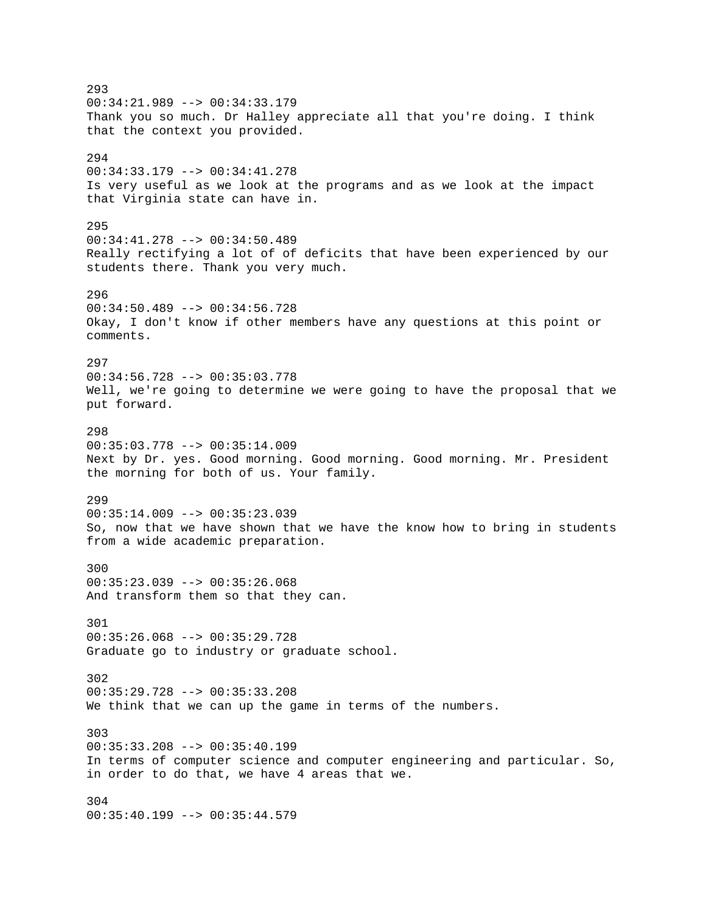293 00:34:21.989 --> 00:34:33.179 Thank you so much. Dr Halley appreciate all that you're doing. I think that the context you provided. 294 00:34:33.179 --> 00:34:41.278 Is very useful as we look at the programs and as we look at the impact that Virginia state can have in. 295 00:34:41.278 --> 00:34:50.489 Really rectifying a lot of of deficits that have been experienced by our students there. Thank you very much. 296 00:34:50.489 --> 00:34:56.728 Okay, I don't know if other members have any questions at this point or comments. 297 00:34:56.728 --> 00:35:03.778 Well, we're going to determine we were going to have the proposal that we put forward. 298 00:35:03.778 --> 00:35:14.009 Next by Dr. yes. Good morning. Good morning. Good morning. Mr. President the morning for both of us. Your family. 299  $00:35:14.009$  -->  $00:35:23.039$ So, now that we have shown that we have the know how to bring in students from a wide academic preparation. 300 00:35:23.039 --> 00:35:26.068 And transform them so that they can. 301 00:35:26.068 --> 00:35:29.728 Graduate go to industry or graduate school. 302 00:35:29.728 --> 00:35:33.208 We think that we can up the game in terms of the numbers. 303 00:35:33.208 --> 00:35:40.199 In terms of computer science and computer engineering and particular. So, in order to do that, we have 4 areas that we. 304 00:35:40.199 --> 00:35:44.579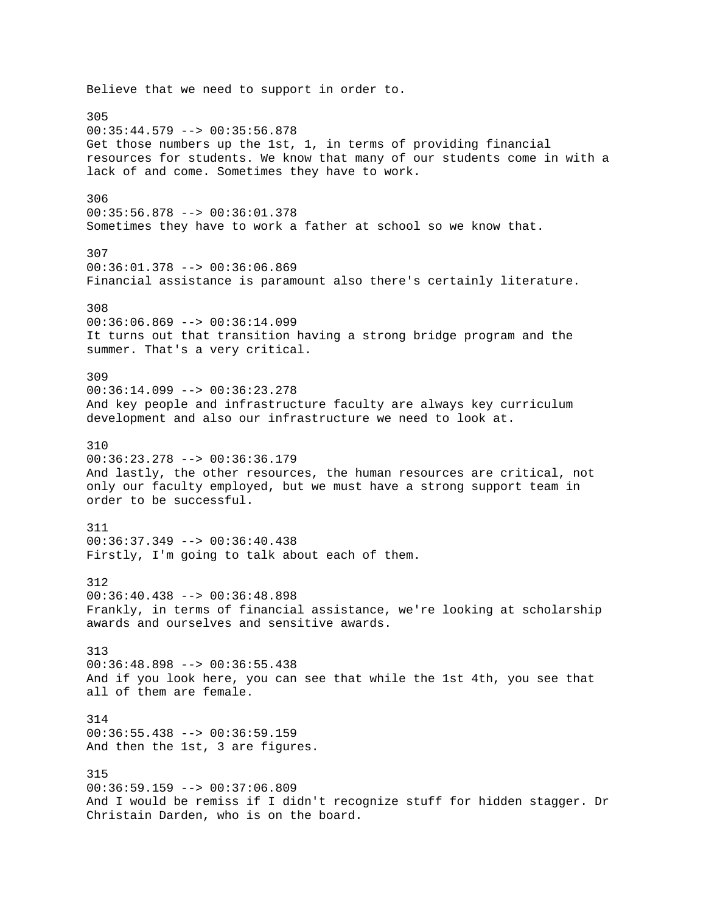Believe that we need to support in order to. 305 00:35:44.579 --> 00:35:56.878 Get those numbers up the 1st, 1, in terms of providing financial resources for students. We know that many of our students come in with a lack of and come. Sometimes they have to work. 306 00:35:56.878 --> 00:36:01.378 Sometimes they have to work a father at school so we know that. 307 00:36:01.378 --> 00:36:06.869 Financial assistance is paramount also there's certainly literature. 308  $00:36:06.869$  -->  $00:36:14.099$ It turns out that transition having a strong bridge program and the summer. That's a very critical. 309 00:36:14.099 --> 00:36:23.278 And key people and infrastructure faculty are always key curriculum development and also our infrastructure we need to look at. 310 00:36:23.278 --> 00:36:36.179 And lastly, the other resources, the human resources are critical, not only our faculty employed, but we must have a strong support team in order to be successful. 311 00:36:37.349 --> 00:36:40.438 Firstly, I'm going to talk about each of them. 312 00:36:40.438 --> 00:36:48.898 Frankly, in terms of financial assistance, we're looking at scholarship awards and ourselves and sensitive awards. 313 00:36:48.898 --> 00:36:55.438 And if you look here, you can see that while the 1st 4th, you see that all of them are female. 314  $00:36:55.438$  -->  $00:36:59.159$ And then the 1st, 3 are figures. 315  $00:36:59.159 --> 00:37:06.809$ And I would be remiss if I didn't recognize stuff for hidden stagger. Dr Christain Darden, who is on the board.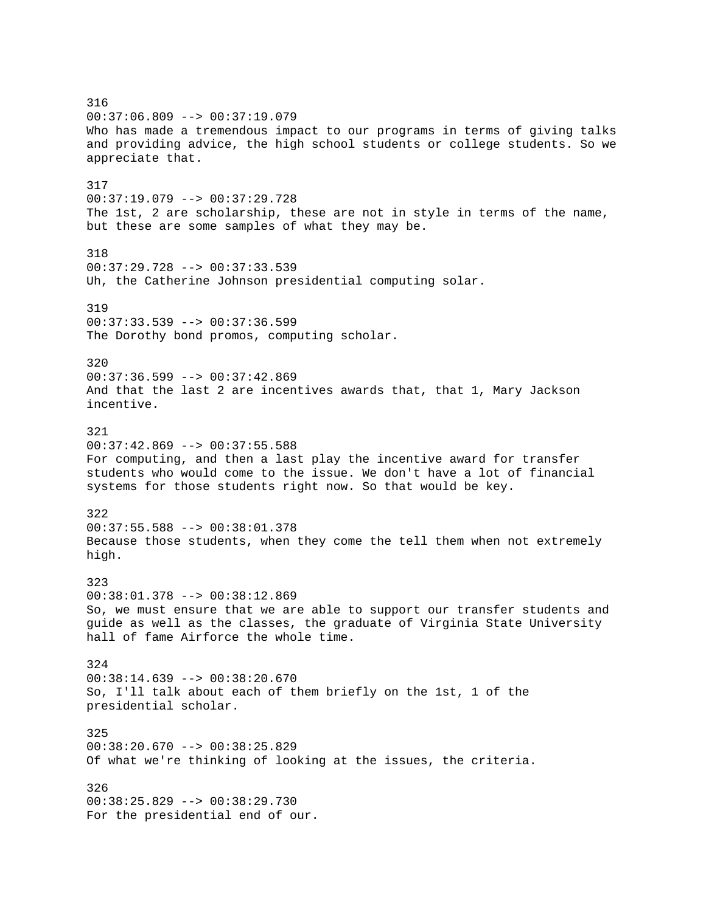316 00:37:06.809 --> 00:37:19.079 Who has made a tremendous impact to our programs in terms of giving talks and providing advice, the high school students or college students. So we appreciate that. 317 00:37:19.079 --> 00:37:29.728 The 1st, 2 are scholarship, these are not in style in terms of the name, but these are some samples of what they may be. 318 00:37:29.728 --> 00:37:33.539 Uh, the Catherine Johnson presidential computing solar. 319 00:37:33.539 --> 00:37:36.599 The Dorothy bond promos, computing scholar. 320  $00:37:36.599$  -->  $00:37:42.869$ And that the last 2 are incentives awards that, that 1, Mary Jackson incentive. 321  $00:37:42.869$  -->  $00:37:55.588$ For computing, and then a last play the incentive award for transfer students who would come to the issue. We don't have a lot of financial systems for those students right now. So that would be key. 322 00:37:55.588 --> 00:38:01.378 Because those students, when they come the tell them when not extremely high. 323 00:38:01.378 --> 00:38:12.869 So, we must ensure that we are able to support our transfer students and guide as well as the classes, the graduate of Virginia State University hall of fame Airforce the whole time. 324 00:38:14.639 --> 00:38:20.670 So, I'll talk about each of them briefly on the 1st, 1 of the presidential scholar. 325 00:38:20.670 --> 00:38:25.829 Of what we're thinking of looking at the issues, the criteria. 326 00:38:25.829 --> 00:38:29.730 For the presidential end of our.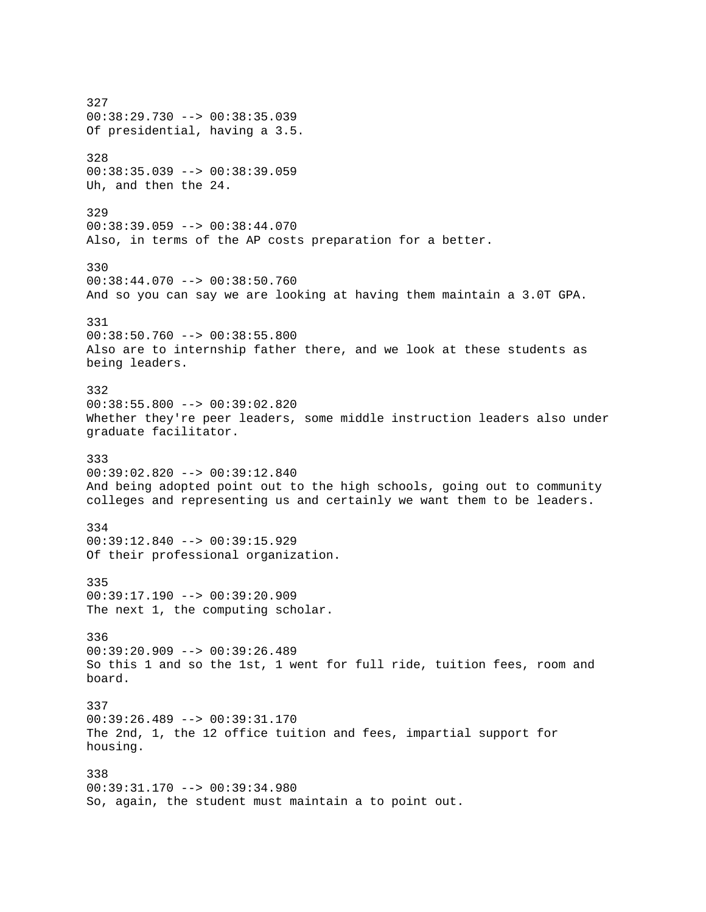327 00:38:29.730 --> 00:38:35.039 Of presidential, having a 3.5. 328 00:38:35.039 --> 00:38:39.059 Uh, and then the 24. 329 00:38:39.059 --> 00:38:44.070 Also, in terms of the AP costs preparation for a better. 330 00:38:44.070 --> 00:38:50.760 And so you can say we are looking at having them maintain a 3.0T GPA. 331  $00:38:50.760$  -->  $00:38:55.800$ Also are to internship father there, and we look at these students as being leaders. 332 00:38:55.800 --> 00:39:02.820 Whether they're peer leaders, some middle instruction leaders also under graduate facilitator. 333 00:39:02.820 --> 00:39:12.840 And being adopted point out to the high schools, going out to community colleges and representing us and certainly we want them to be leaders. 334  $00:39:12.840$  -->  $00:39:15.929$ Of their professional organization. 335 00:39:17.190 --> 00:39:20.909 The next 1, the computing scholar. 336 00:39:20.909 --> 00:39:26.489 So this 1 and so the 1st, 1 went for full ride, tuition fees, room and board. 337 00:39:26.489 --> 00:39:31.170 The 2nd, 1, the 12 office tuition and fees, impartial support for housing. 338 00:39:31.170 --> 00:39:34.980 So, again, the student must maintain a to point out.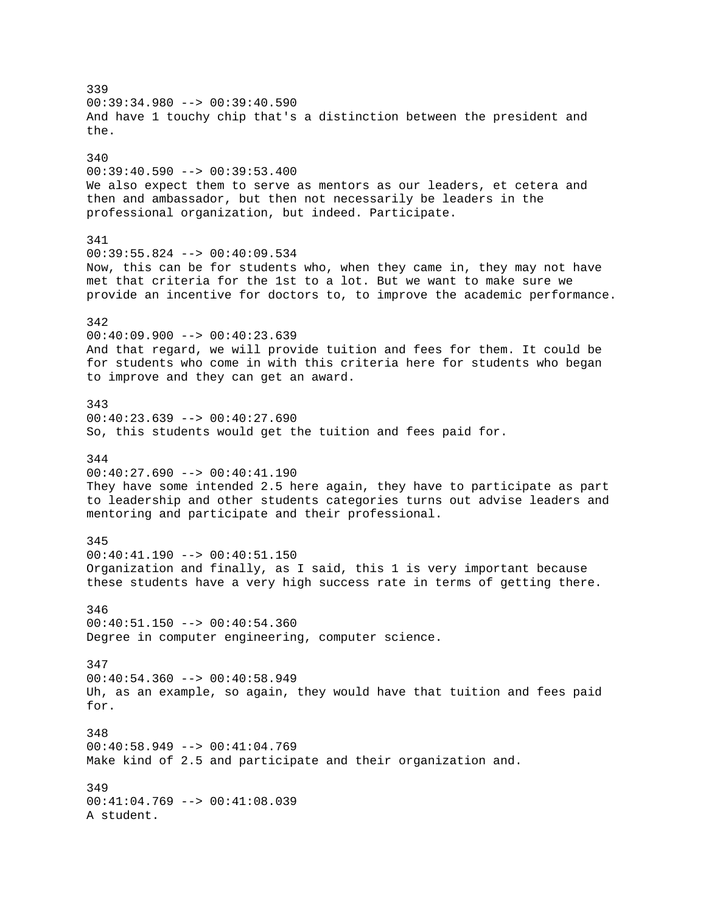339  $00:39:34.980$  -->  $00:39:40.590$ And have 1 touchy chip that's a distinction between the president and the. 340 00:39:40.590 --> 00:39:53.400 We also expect them to serve as mentors as our leaders, et cetera and then and ambassador, but then not necessarily be leaders in the professional organization, but indeed. Participate. 341 00:39:55.824 --> 00:40:09.534 Now, this can be for students who, when they came in, they may not have met that criteria for the 1st to a lot. But we want to make sure we provide an incentive for doctors to, to improve the academic performance. 342  $00:40:09.900 --> 00:40:23.639$ And that regard, we will provide tuition and fees for them. It could be for students who come in with this criteria here for students who began to improve and they can get an award. 343 00:40:23.639 --> 00:40:27.690 So, this students would get the tuition and fees paid for. 344 00:40:27.690 --> 00:40:41.190 They have some intended 2.5 here again, they have to participate as part to leadership and other students categories turns out advise leaders and mentoring and participate and their professional. 345 00:40:41.190 --> 00:40:51.150 Organization and finally, as I said, this 1 is very important because these students have a very high success rate in terms of getting there. 346  $00:40:51.150$  -->  $00:40:54.360$ Degree in computer engineering, computer science. 347 00:40:54.360 --> 00:40:58.949 Uh, as an example, so again, they would have that tuition and fees paid for. 348 00:40:58.949 --> 00:41:04.769 Make kind of 2.5 and participate and their organization and. 349 00:41:04.769 --> 00:41:08.039 A student.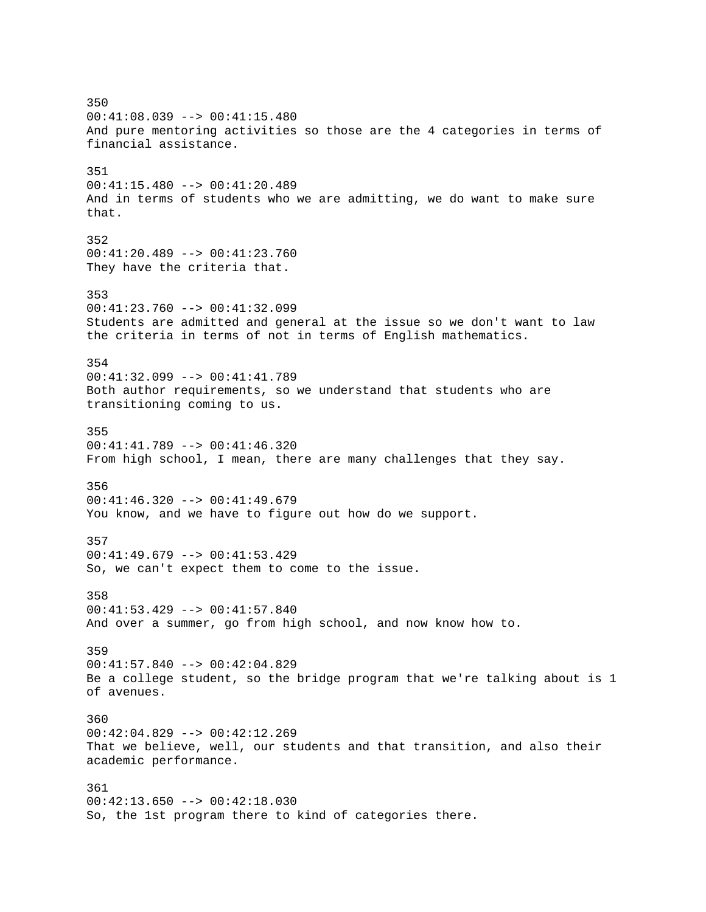350 00:41:08.039 --> 00:41:15.480 And pure mentoring activities so those are the 4 categories in terms of financial assistance. 351 00:41:15.480 --> 00:41:20.489 And in terms of students who we are admitting, we do want to make sure that. 352 00:41:20.489 --> 00:41:23.760 They have the criteria that. 353 00:41:23.760 --> 00:41:32.099 Students are admitted and general at the issue so we don't want to law the criteria in terms of not in terms of English mathematics. 354 00:41:32.099 --> 00:41:41.789 Both author requirements, so we understand that students who are transitioning coming to us. 355 00:41:41.789 --> 00:41:46.320 From high school, I mean, there are many challenges that they say. 356 00:41:46.320 --> 00:41:49.679 You know, and we have to figure out how do we support. 357 00:41:49.679 --> 00:41:53.429 So, we can't expect them to come to the issue. 358 00:41:53.429 --> 00:41:57.840 And over a summer, go from high school, and now know how to. 359 00:41:57.840 --> 00:42:04.829 Be a college student, so the bridge program that we're talking about is 1 of avenues. 360 00:42:04.829 --> 00:42:12.269 That we believe, well, our students and that transition, and also their academic performance. 361 00:42:13.650 --> 00:42:18.030 So, the 1st program there to kind of categories there.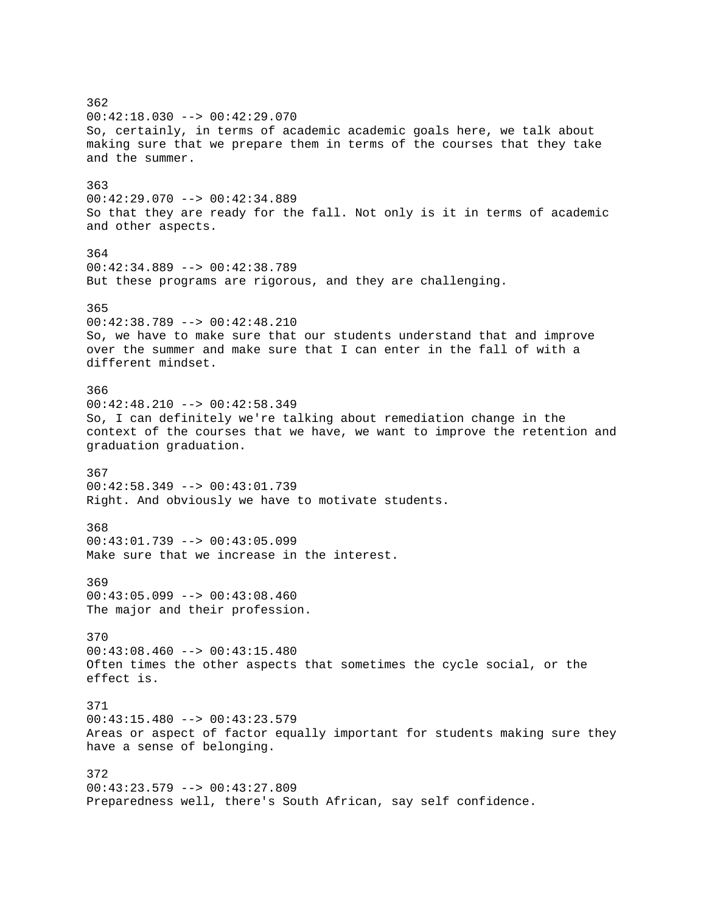362 00:42:18.030 --> 00:42:29.070 So, certainly, in terms of academic academic goals here, we talk about making sure that we prepare them in terms of the courses that they take and the summer. 363 00:42:29.070 --> 00:42:34.889 So that they are ready for the fall. Not only is it in terms of academic and other aspects. 364 00:42:34.889 --> 00:42:38.789 But these programs are rigorous, and they are challenging. 365 00:42:38.789 --> 00:42:48.210 So, we have to make sure that our students understand that and improve over the summer and make sure that I can enter in the fall of with a different mindset. 366  $00:42:48.210$  -->  $00:42:58.349$ So, I can definitely we're talking about remediation change in the context of the courses that we have, we want to improve the retention and graduation graduation. 367 00:42:58.349 --> 00:43:01.739 Right. And obviously we have to motivate students. 368 00:43:01.739 --> 00:43:05.099 Make sure that we increase in the interest. 369 00:43:05.099 --> 00:43:08.460 The major and their profession. 370 00:43:08.460 --> 00:43:15.480 Often times the other aspects that sometimes the cycle social, or the effect is. 371 00:43:15.480 --> 00:43:23.579 Areas or aspect of factor equally important for students making sure they have a sense of belonging. 372 00:43:23.579 --> 00:43:27.809 Preparedness well, there's South African, say self confidence.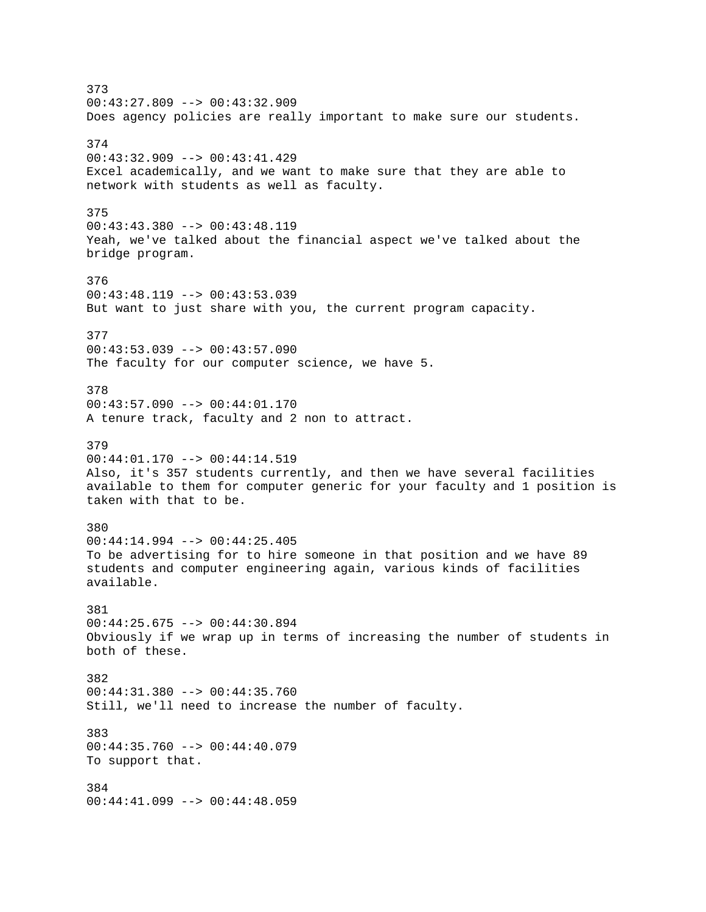373 00:43:27.809 --> 00:43:32.909 Does agency policies are really important to make sure our students. 374 00:43:32.909 --> 00:43:41.429 Excel academically, and we want to make sure that they are able to network with students as well as faculty. 375 00:43:43.380 --> 00:43:48.119 Yeah, we've talked about the financial aspect we've talked about the bridge program. 376  $00:43:48.119$  -->  $00:43:53.039$ But want to just share with you, the current program capacity. 377  $00:43:53.039$  -->  $00:43:57.090$ The faculty for our computer science, we have 5. 378 00:43:57.090 --> 00:44:01.170 A tenure track, faculty and 2 non to attract. 379 00:44:01.170 --> 00:44:14.519 Also, it's 357 students currently, and then we have several facilities available to them for computer generic for your faculty and 1 position is taken with that to be. 380 00:44:14.994 --> 00:44:25.405 To be advertising for to hire someone in that position and we have 89 students and computer engineering again, various kinds of facilities available. 381 00:44:25.675 --> 00:44:30.894 Obviously if we wrap up in terms of increasing the number of students in both of these. 382 00:44:31.380 --> 00:44:35.760 Still, we'll need to increase the number of faculty. 383  $00:44:35.760$  -->  $00:44:40.079$ To support that. 384 00:44:41.099 --> 00:44:48.059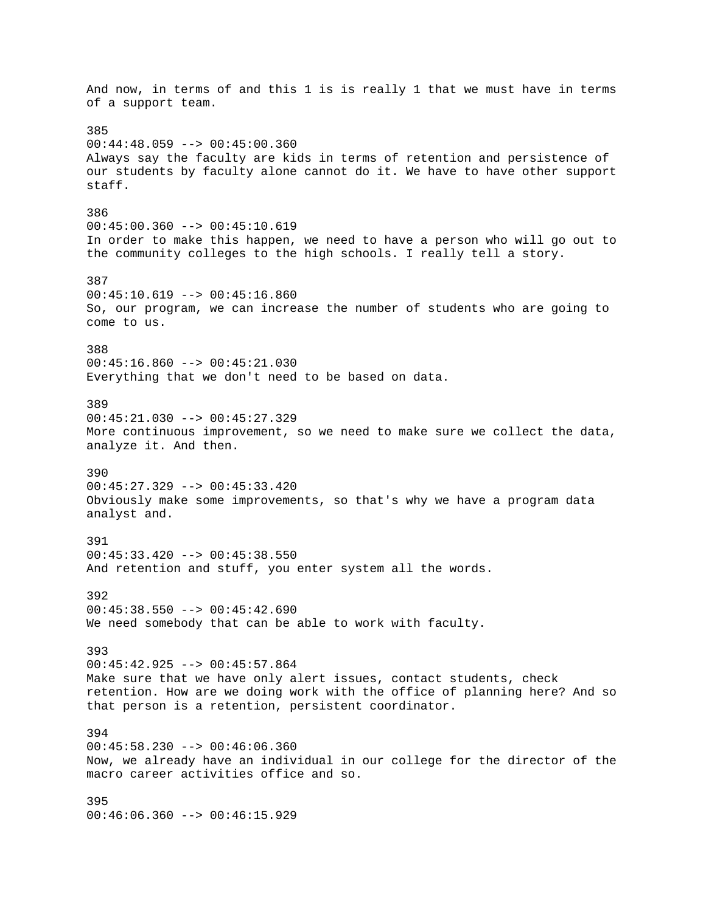And now, in terms of and this 1 is is really 1 that we must have in terms of a support team. 385 00:44:48.059 --> 00:45:00.360 Always say the faculty are kids in terms of retention and persistence of our students by faculty alone cannot do it. We have to have other support staff. 386 00:45:00.360 --> 00:45:10.619 In order to make this happen, we need to have a person who will go out to the community colleges to the high schools. I really tell a story. 387  $00:45:10.619$  -->  $00:45:16.860$ So, our program, we can increase the number of students who are going to come to us. 388 00:45:16.860 --> 00:45:21.030 Everything that we don't need to be based on data. 389 00:45:21.030 --> 00:45:27.329 More continuous improvement, so we need to make sure we collect the data, analyze it. And then. 390 00:45:27.329 --> 00:45:33.420 Obviously make some improvements, so that's why we have a program data analyst and. 391 00:45:33.420 --> 00:45:38.550 And retention and stuff, you enter system all the words. 392  $00:45:38.550$  -->  $00:45:42.690$ We need somebody that can be able to work with faculty. 393 00:45:42.925 --> 00:45:57.864 Make sure that we have only alert issues, contact students, check retention. How are we doing work with the office of planning here? And so that person is a retention, persistent coordinator. 394 00:45:58.230 --> 00:46:06.360 Now, we already have an individual in our college for the director of the macro career activities office and so. 395 00:46:06.360 --> 00:46:15.929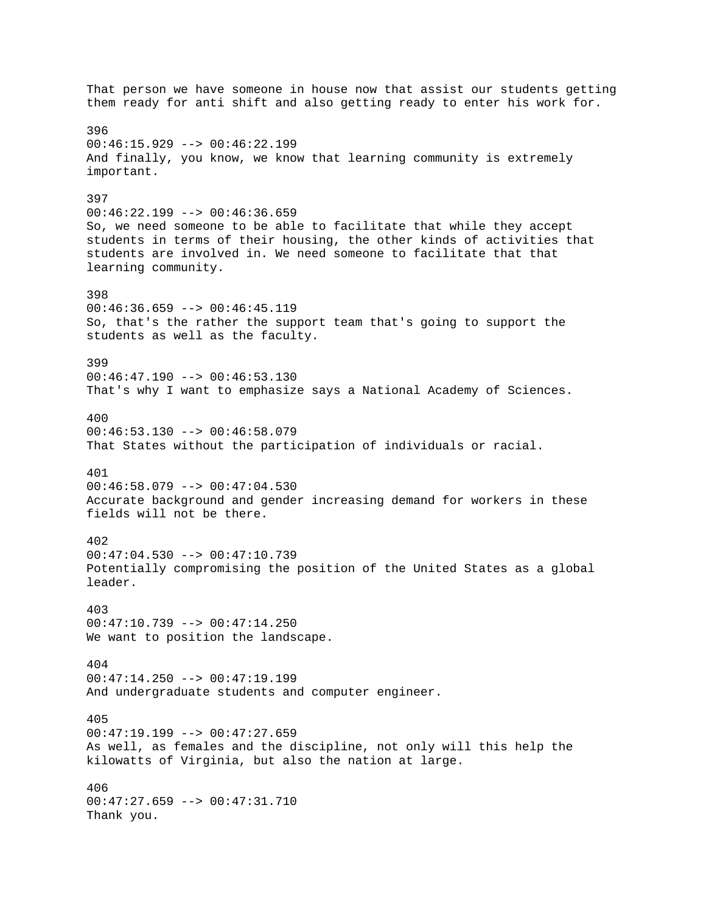That person we have someone in house now that assist our students getting them ready for anti shift and also getting ready to enter his work for. 396 00:46:15.929 --> 00:46:22.199 And finally, you know, we know that learning community is extremely important. 397 00:46:22.199 --> 00:46:36.659 So, we need someone to be able to facilitate that while they accept students in terms of their housing, the other kinds of activities that students are involved in. We need someone to facilitate that that learning community. 398 00:46:36.659 --> 00:46:45.119 So, that's the rather the support team that's going to support the students as well as the faculty. 399  $00:46:47.190$  -->  $00:46:53.130$ That's why I want to emphasize says a National Academy of Sciences. 400 00:46:53.130 --> 00:46:58.079 That States without the participation of individuals or racial. 401 00:46:58.079 --> 00:47:04.530 Accurate background and gender increasing demand for workers in these fields will not be there. 402 00:47:04.530 --> 00:47:10.739 Potentially compromising the position of the United States as a global leader. 403  $00:47:10.739$  -->  $00:47:14.250$ We want to position the landscape. 404 00:47:14.250 --> 00:47:19.199 And undergraduate students and computer engineer. 405 00:47:19.199 --> 00:47:27.659 As well, as females and the discipline, not only will this help the kilowatts of Virginia, but also the nation at large. 406 00:47:27.659 --> 00:47:31.710 Thank you.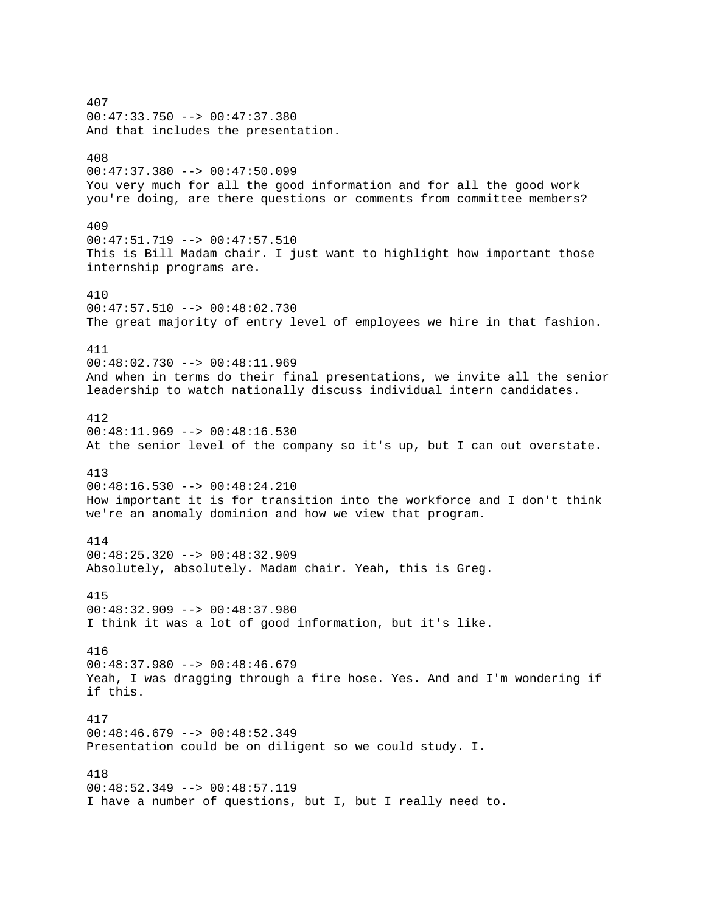407 00:47:33.750 --> 00:47:37.380 And that includes the presentation. 408 00:47:37.380 --> 00:47:50.099 You very much for all the good information and for all the good work you're doing, are there questions or comments from committee members? 409 00:47:51.719 --> 00:47:57.510 This is Bill Madam chair. I just want to highlight how important those internship programs are. 410 00:47:57.510 --> 00:48:02.730 The great majority of entry level of employees we hire in that fashion. 411 00:48:02.730 --> 00:48:11.969 And when in terms do their final presentations, we invite all the senior leadership to watch nationally discuss individual intern candidates. 412 00:48:11.969 --> 00:48:16.530 At the senior level of the company so it's up, but I can out overstate. 413 00:48:16.530 --> 00:48:24.210 How important it is for transition into the workforce and I don't think we're an anomaly dominion and how we view that program. 414 00:48:25.320 --> 00:48:32.909 Absolutely, absolutely. Madam chair. Yeah, this is Greg. 415 00:48:32.909 --> 00:48:37.980 I think it was a lot of good information, but it's like. 416 00:48:37.980 --> 00:48:46.679 Yeah, I was dragging through a fire hose. Yes. And and I'm wondering if if this. 417 00:48:46.679 --> 00:48:52.349 Presentation could be on diligent so we could study. I. 418  $00:48:52.349$  -->  $00:48:57.119$ I have a number of questions, but I, but I really need to.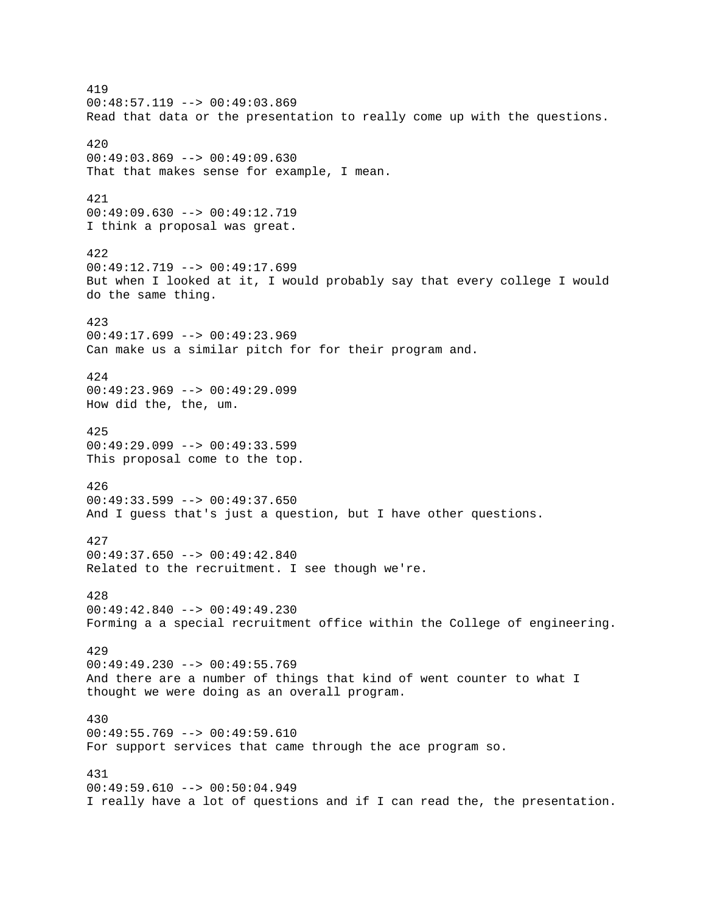419  $00:48:57.119$  -->  $00:49:03.869$ Read that data or the presentation to really come up with the questions. 420  $00:49:03.869$  -->  $00:49:09.630$ That that makes sense for example, I mean. 421 00:49:09.630 --> 00:49:12.719 I think a proposal was great. 422 00:49:12.719 --> 00:49:17.699 But when I looked at it, I would probably say that every college I would do the same thing. 423 00:49:17.699 --> 00:49:23.969 Can make us a similar pitch for for their program and. 424 00:49:23.969 --> 00:49:29.099 How did the, the, um. 425  $00:49:29.099$  -->  $00:49:33.599$ This proposal come to the top. 426 00:49:33.599 --> 00:49:37.650 And I guess that's just a question, but I have other questions. 427 00:49:37.650 --> 00:49:42.840 Related to the recruitment. I see though we're. 428 00:49:42.840 --> 00:49:49.230 Forming a a special recruitment office within the College of engineering. 429 00:49:49.230 --> 00:49:55.769 And there are a number of things that kind of went counter to what I thought we were doing as an overall program. 430  $00:49:55.769 --> 00:49:59.610$ For support services that came through the ace program so. 431  $00:49:59.610$  -->  $00:50:04.949$ I really have a lot of questions and if I can read the, the presentation.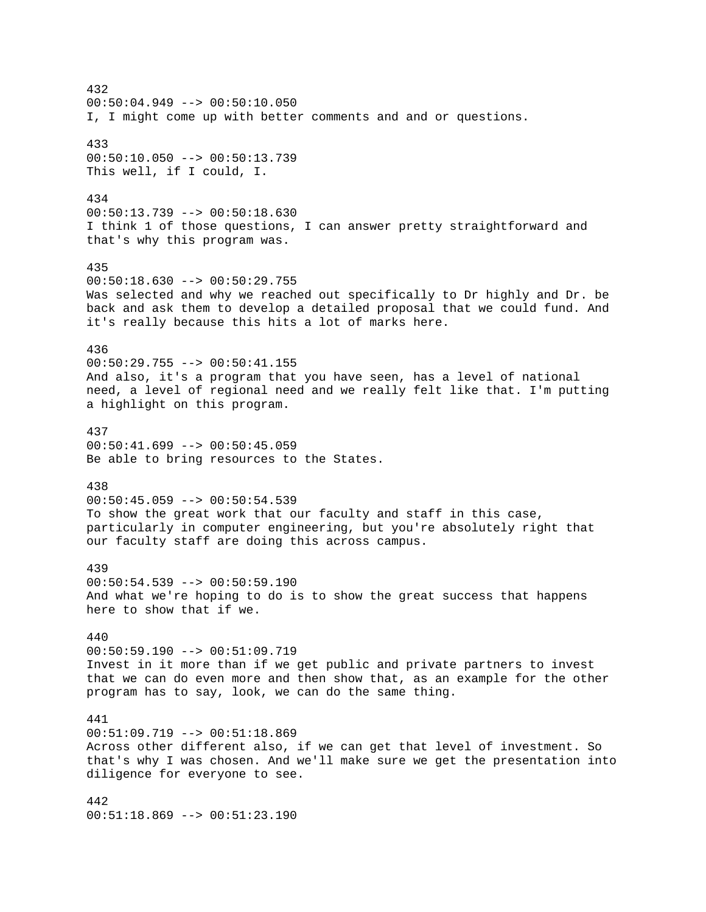432  $00:50:04.949$  -->  $00:50:10.050$ I, I might come up with better comments and and or questions. 433 00:50:10.050 --> 00:50:13.739 This well, if I could, I. 434 00:50:13.739 --> 00:50:18.630 I think 1 of those questions, I can answer pretty straightforward and that's why this program was. 435  $00:50:18.630$  -->  $00:50:29.755$ Was selected and why we reached out specifically to Dr highly and Dr. be back and ask them to develop a detailed proposal that we could fund. And it's really because this hits a lot of marks here. 436 00:50:29.755 --> 00:50:41.155 And also, it's a program that you have seen, has a level of national need, a level of regional need and we really felt like that. I'm putting a highlight on this program. 437  $00:50:41.699$  -->  $00:50:45.059$ Be able to bring resources to the States. 438 00:50:45.059 --> 00:50:54.539 To show the great work that our faculty and staff in this case, particularly in computer engineering, but you're absolutely right that our faculty staff are doing this across campus. 439 00:50:54.539 --> 00:50:59.190 And what we're hoping to do is to show the great success that happens here to show that if we. 440 00:50:59.190 --> 00:51:09.719 Invest in it more than if we get public and private partners to invest that we can do even more and then show that, as an example for the other program has to say, look, we can do the same thing. 441  $00:51:09.719 --> 00:51:18.869$ Across other different also, if we can get that level of investment. So that's why I was chosen. And we'll make sure we get the presentation into diligence for everyone to see. 442 00:51:18.869 --> 00:51:23.190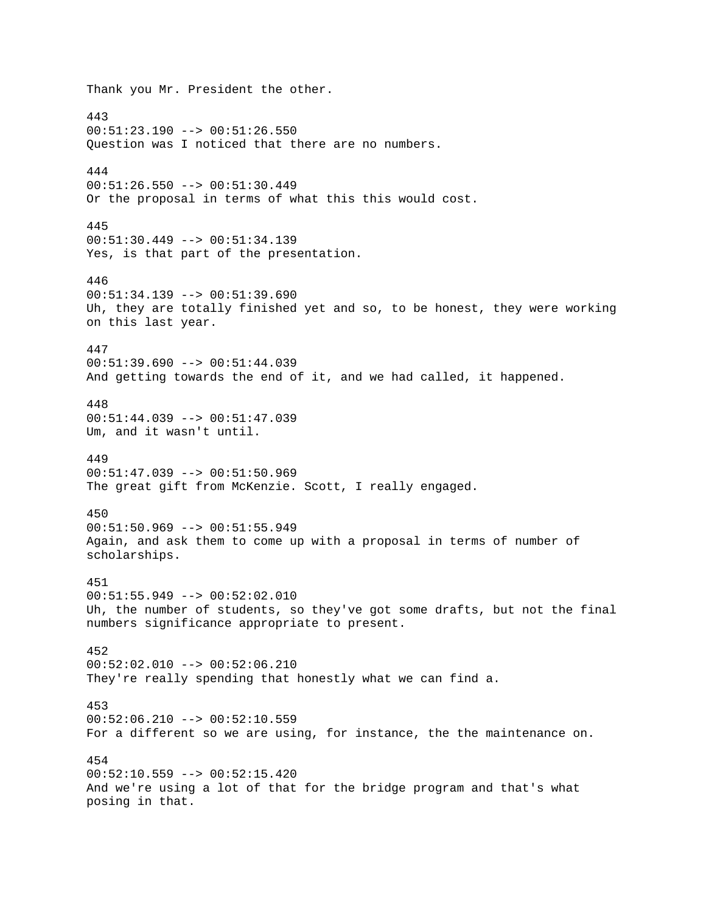Thank you Mr. President the other. 443 00:51:23.190 --> 00:51:26.550 Question was I noticed that there are no numbers. 444 00:51:26.550 --> 00:51:30.449 Or the proposal in terms of what this this would cost. 445 00:51:30.449 --> 00:51:34.139 Yes, is that part of the presentation. 446  $00:51:34.139$  -->  $00:51:39.690$ Uh, they are totally finished yet and so, to be honest, they were working on this last year. 447 00:51:39.690 --> 00:51:44.039 And getting towards the end of it, and we had called, it happened. 448 00:51:44.039 --> 00:51:47.039 Um, and it wasn't until. 449 00:51:47.039 --> 00:51:50.969 The great gift from McKenzie. Scott, I really engaged. 450 00:51:50.969 --> 00:51:55.949 Again, and ask them to come up with a proposal in terms of number of scholarships. 451 00:51:55.949 --> 00:52:02.010 Uh, the number of students, so they've got some drafts, but not the final numbers significance appropriate to present. 452 00:52:02.010 --> 00:52:06.210 They're really spending that honestly what we can find a. 453  $00:52:06.210$  -->  $00:52:10.559$ For a different so we are using, for instance, the the maintenance on. 454 00:52:10.559 --> 00:52:15.420 And we're using a lot of that for the bridge program and that's what posing in that.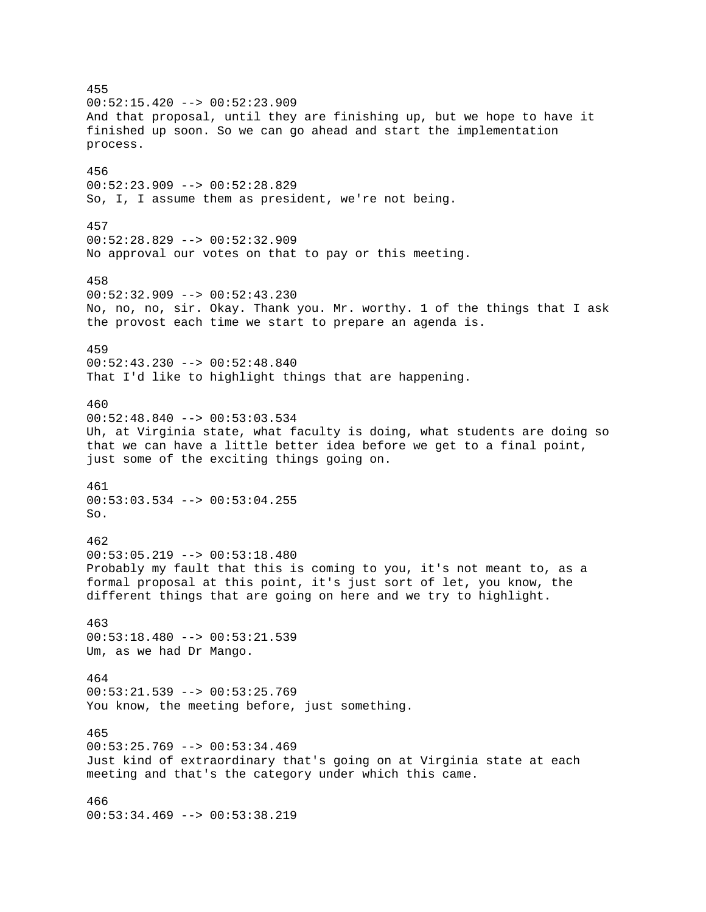455  $00:52:15.420$  -->  $00:52:23.909$ And that proposal, until they are finishing up, but we hope to have it finished up soon. So we can go ahead and start the implementation process. 456 00:52:23.909 --> 00:52:28.829 So, I, I assume them as president, we're not being. 457 00:52:28.829 --> 00:52:32.909 No approval our votes on that to pay or this meeting. 458  $00:52:32.909$  -->  $00:52:43.230$ No, no, no, sir. Okay. Thank you. Mr. worthy. 1 of the things that I ask the provost each time we start to prepare an agenda is. 459 00:52:43.230 --> 00:52:48.840 That I'd like to highlight things that are happening. 460 00:52:48.840 --> 00:53:03.534 Uh, at Virginia state, what faculty is doing, what students are doing so that we can have a little better idea before we get to a final point, just some of the exciting things going on. 461 00:53:03.534 --> 00:53:04.255 So. 462 00:53:05.219 --> 00:53:18.480 Probably my fault that this is coming to you, it's not meant to, as a formal proposal at this point, it's just sort of let, you know, the different things that are going on here and we try to highlight. 463  $00:53:18.480$  -->  $00:53:21.539$ Um, as we had Dr Mango. 464  $00:53:21.539$  -->  $00:53:25.769$ You know, the meeting before, just something. 465  $00:53:25.769$  -->  $00:53:34.469$ Just kind of extraordinary that's going on at Virginia state at each meeting and that's the category under which this came. 466 00:53:34.469 --> 00:53:38.219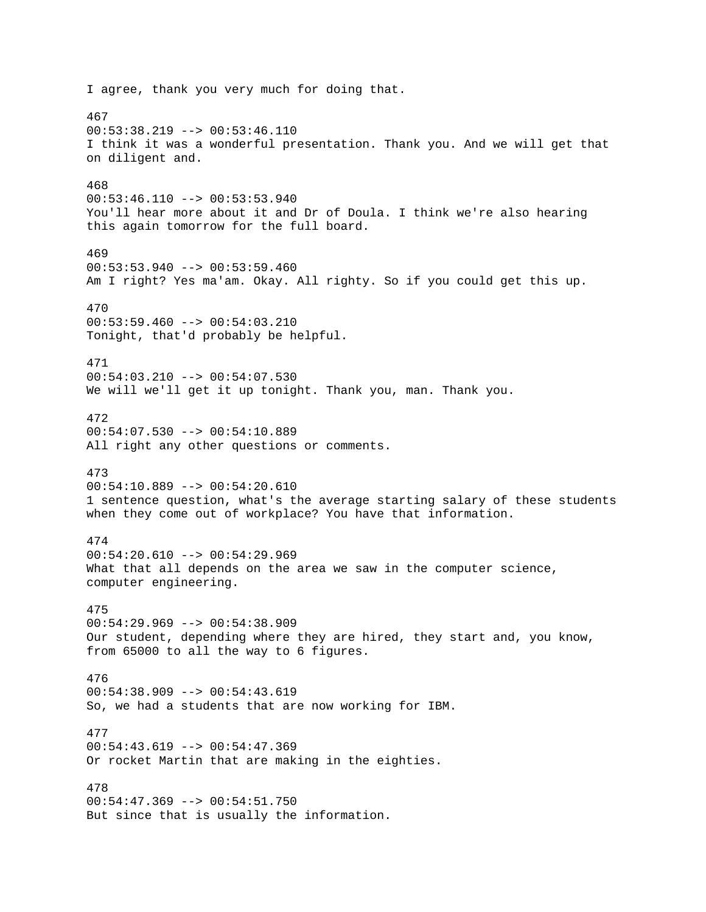I agree, thank you very much for doing that. 467 00:53:38.219 --> 00:53:46.110 I think it was a wonderful presentation. Thank you. And we will get that on diligent and. 468 00:53:46.110 --> 00:53:53.940 You'll hear more about it and Dr of Doula. I think we're also hearing this again tomorrow for the full board. 469 00:53:53.940 --> 00:53:59.460 Am I right? Yes ma'am. Okay. All righty. So if you could get this up. 470 00:53:59.460 --> 00:54:03.210 Tonight, that'd probably be helpful. 471  $00:54:03.210$  -->  $00:54:07.530$ We will we'll get it up tonight. Thank you, man. Thank you. 472 00:54:07.530 --> 00:54:10.889 All right any other questions or comments. 473 00:54:10.889 --> 00:54:20.610 1 sentence question, what's the average starting salary of these students when they come out of workplace? You have that information. 474  $00:54:20.610$  -->  $00:54:29.969$ What that all depends on the area we saw in the computer science, computer engineering. 475  $00:54:29.969$  -->  $00:54:38.909$ Our student, depending where they are hired, they start and, you know, from 65000 to all the way to 6 figures. 476  $00:54:38.909$  -->  $00:54:43.619$ So, we had a students that are now working for IBM. 477 00:54:43.619 --> 00:54:47.369 Or rocket Martin that are making in the eighties. 478 00:54:47.369 --> 00:54:51.750 But since that is usually the information.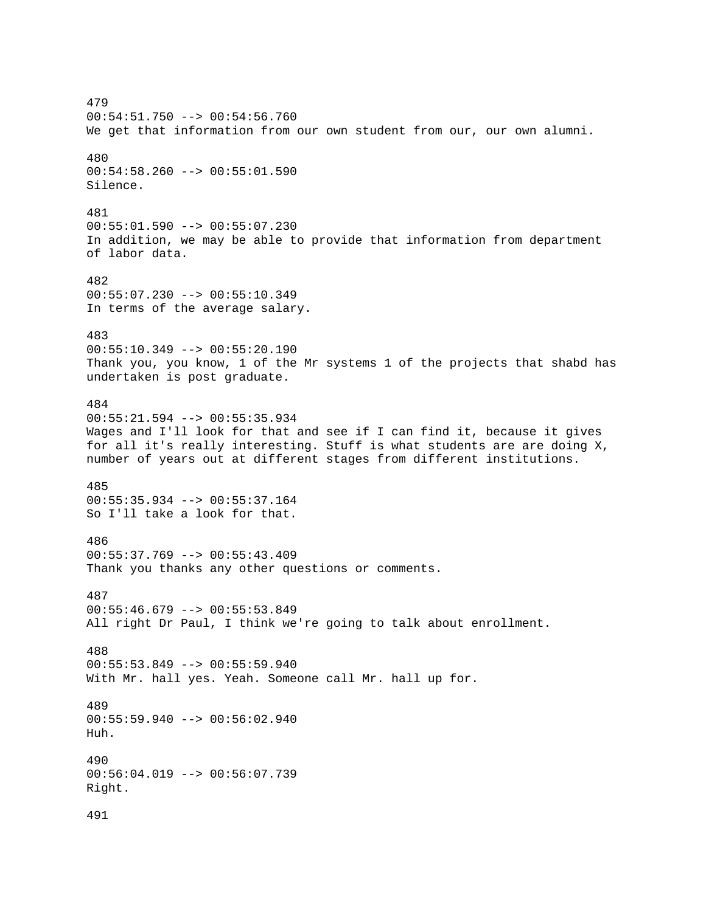479 00:54:51.750 --> 00:54:56.760 We get that information from our own student from our, our own alumni. 480 00:54:58.260 --> 00:55:01.590 Silence. 481 00:55:01.590 --> 00:55:07.230 In addition, we may be able to provide that information from department of labor data. 482  $00:55:07.230$  -->  $00:55:10.349$ In terms of the average salary. 483  $00:55:10.349$  -->  $00:55:20.190$ Thank you, you know, 1 of the Mr systems 1 of the projects that shabd has undertaken is post graduate. 484 00:55:21.594 --> 00:55:35.934 Wages and I'll look for that and see if I can find it, because it gives for all it's really interesting. Stuff is what students are are doing X, number of years out at different stages from different institutions. 485 00:55:35.934 --> 00:55:37.164 So I'll take a look for that. 486 00:55:37.769 --> 00:55:43.409 Thank you thanks any other questions or comments. 487 00:55:46.679 --> 00:55:53.849 All right Dr Paul, I think we're going to talk about enrollment. 488 00:55:53.849 --> 00:55:59.940 With Mr. hall yes. Yeah. Someone call Mr. hall up for. 489 00:55:59.940 --> 00:56:02.940 Huh. 490 00:56:04.019 --> 00:56:07.739 Right. 491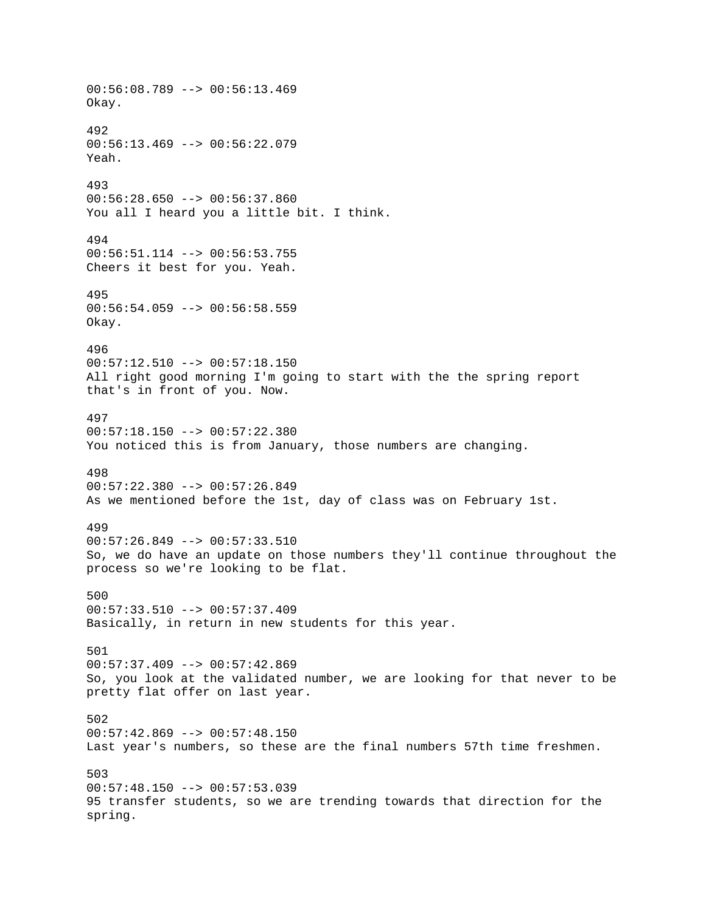00:56:08.789 --> 00:56:13.469 Okay. 492 00:56:13.469 --> 00:56:22.079 Yeah. 493 00:56:28.650 --> 00:56:37.860 You all I heard you a little bit. I think. 494 00:56:51.114 --> 00:56:53.755 Cheers it best for you. Yeah. 495 00:56:54.059 --> 00:56:58.559 Okay. 496 00:57:12.510 --> 00:57:18.150 All right good morning I'm going to start with the the spring report that's in front of you. Now. 497 00:57:18.150 --> 00:57:22.380 You noticed this is from January, those numbers are changing. 498  $00:57:22.380$  -->  $00:57:26.849$ As we mentioned before the 1st, day of class was on February 1st. 499  $00:57:26.849$  -->  $00:57:33.510$ So, we do have an update on those numbers they'll continue throughout the process so we're looking to be flat. 500 00:57:33.510 --> 00:57:37.409 Basically, in return in new students for this year. 501 00:57:37.409 --> 00:57:42.869 So, you look at the validated number, we are looking for that never to be pretty flat offer on last year. 502  $00:57:42.869$  -->  $00:57:48.150$ Last year's numbers, so these are the final numbers 57th time freshmen. 503  $00:57:48.150$  -->  $00:57:53.039$ 95 transfer students, so we are trending towards that direction for the spring.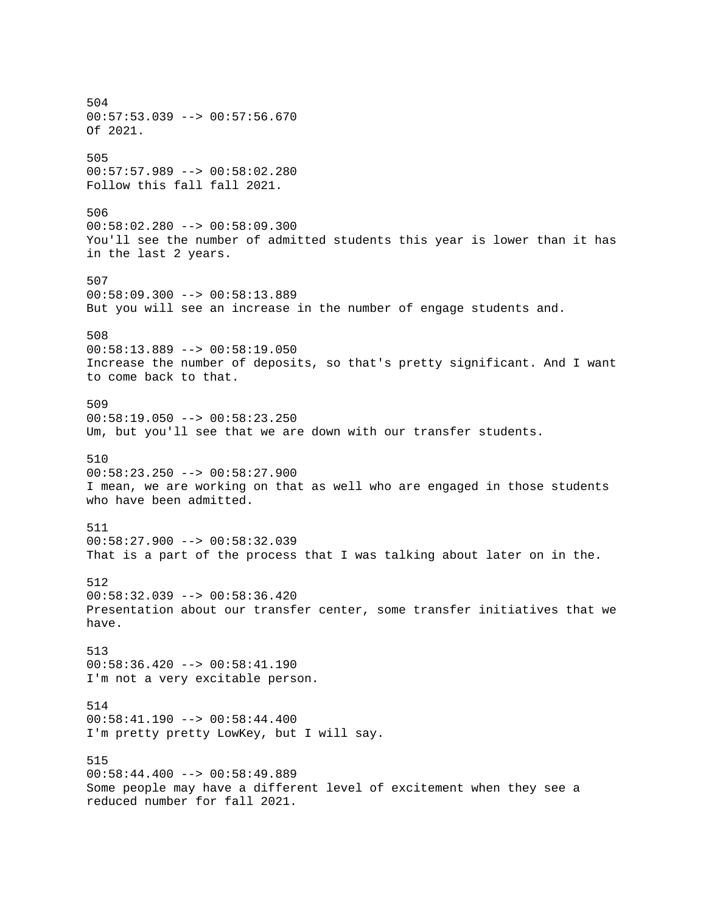504 00:57:53.039 --> 00:57:56.670 Of 2021. 505 00:57:57.989 --> 00:58:02.280 Follow this fall fall 2021. 506 00:58:02.280 --> 00:58:09.300 You'll see the number of admitted students this year is lower than it has in the last 2 years. 507 00:58:09.300 --> 00:58:13.889 But you will see an increase in the number of engage students and. 508 00:58:13.889 --> 00:58:19.050 Increase the number of deposits, so that's pretty significant. And I want to come back to that. 509 00:58:19.050 --> 00:58:23.250 Um, but you'll see that we are down with our transfer students. 510 00:58:23.250 --> 00:58:27.900 I mean, we are working on that as well who are engaged in those students who have been admitted. 511 00:58:27.900 --> 00:58:32.039 That is a part of the process that I was talking about later on in the. 512 00:58:32.039 --> 00:58:36.420 Presentation about our transfer center, some transfer initiatives that we have. 513 00:58:36.420 --> 00:58:41.190 I'm not a very excitable person. 514  $00:58:41.190$  -->  $00:58:44.400$ I'm pretty pretty LowKey, but I will say. 515  $00:58:44.400$  -->  $00:58:49.889$ Some people may have a different level of excitement when they see a reduced number for fall 2021.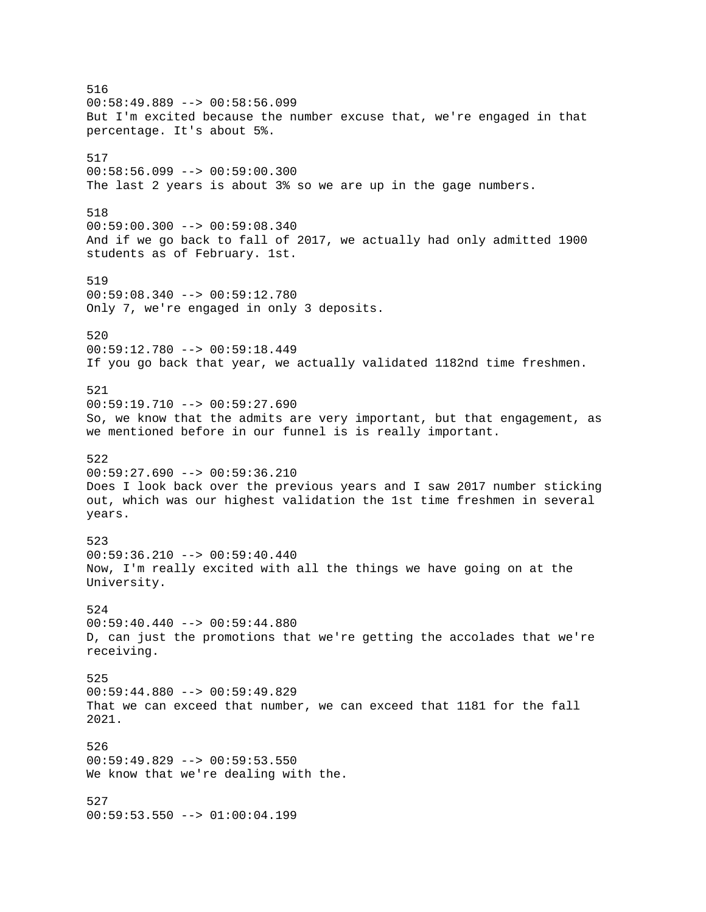516  $00:58:49.889$  -->  $00:58:56.099$ But I'm excited because the number excuse that, we're engaged in that percentage. It's about 5%. 517 00:58:56.099 --> 00:59:00.300 The last 2 years is about 3% so we are up in the gage numbers. 518 00:59:00.300 --> 00:59:08.340 And if we go back to fall of 2017, we actually had only admitted 1900 students as of February. 1st. 519  $00:59:08.340$  -->  $00:59:12.780$ Only 7, we're engaged in only 3 deposits. 520 00:59:12.780 --> 00:59:18.449 If you go back that year, we actually validated 1182nd time freshmen. 521  $00:59:19.710$  -->  $00:59:27.690$ So, we know that the admits are very important, but that engagement, as we mentioned before in our funnel is is really important. 522 00:59:27.690 --> 00:59:36.210 Does I look back over the previous years and I saw 2017 number sticking out, which was our highest validation the 1st time freshmen in several years. 523 00:59:36.210 --> 00:59:40.440 Now, I'm really excited with all the things we have going on at the University. 524  $00:59:40.440$  -->  $00:59:44.880$ D, can just the promotions that we're getting the accolades that we're receiving. 525 00:59:44.880 --> 00:59:49.829 That we can exceed that number, we can exceed that 1181 for the fall 2021. 526 00:59:49.829 --> 00:59:53.550 We know that we're dealing with the. 527 00:59:53.550 --> 01:00:04.199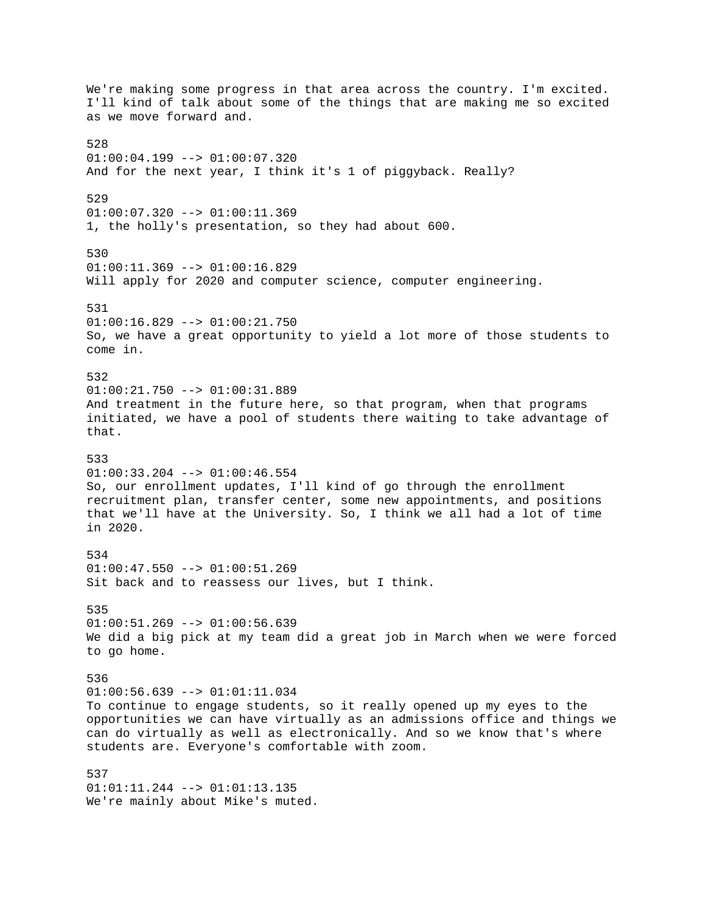We're making some progress in that area across the country. I'm excited. I'll kind of talk about some of the things that are making me so excited as we move forward and. 528  $01:00:04.199$  -->  $01:00:07.320$ And for the next year, I think it's 1 of piggyback. Really? 529 01:00:07.320 --> 01:00:11.369 1, the holly's presentation, so they had about 600. 530 01:00:11.369 --> 01:00:16.829 Will apply for 2020 and computer science, computer engineering. 531 01:00:16.829 --> 01:00:21.750 So, we have a great opportunity to yield a lot more of those students to come in. 532 01:00:21.750 --> 01:00:31.889 And treatment in the future here, so that program, when that programs initiated, we have a pool of students there waiting to take advantage of that. 533 01:00:33.204 --> 01:00:46.554 So, our enrollment updates, I'll kind of go through the enrollment recruitment plan, transfer center, some new appointments, and positions that we'll have at the University. So, I think we all had a lot of time in 2020. 534  $01:00:47.550$  -->  $01:00:51.269$ Sit back and to reassess our lives, but I think. 535  $01:00:51.269$  -->  $01:00:56.639$ We did a big pick at my team did a great job in March when we were forced to go home. 536  $01:00:56.639$  -->  $01:01:11.034$ To continue to engage students, so it really opened up my eyes to the opportunities we can have virtually as an admissions office and things we can do virtually as well as electronically. And so we know that's where students are. Everyone's comfortable with zoom. 537  $01:01:11.244$  -->  $01:01:13.135$ We're mainly about Mike's muted.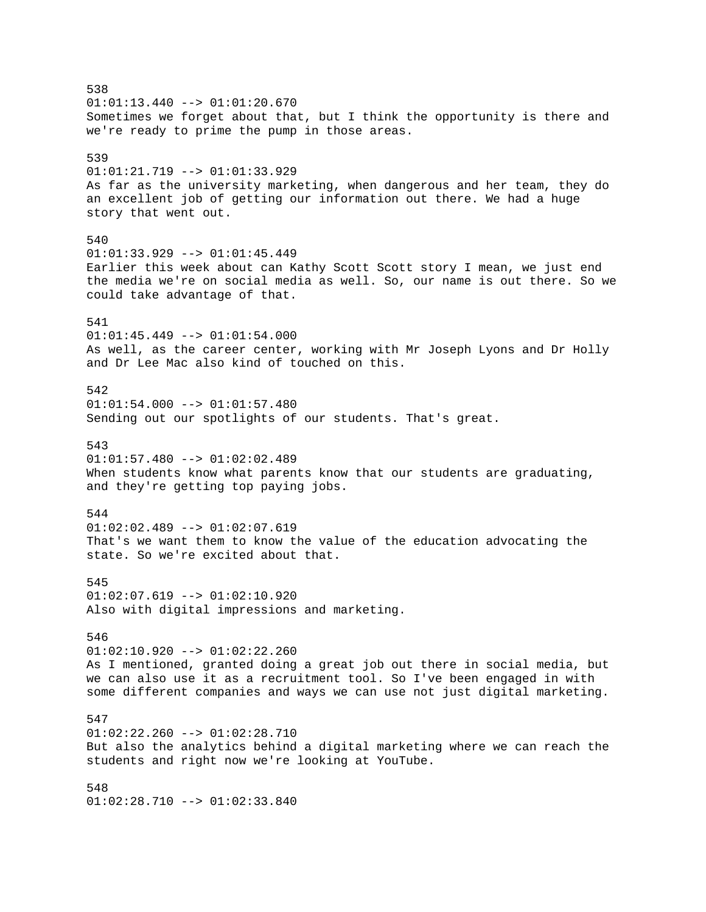538  $01:01:13.440$  -->  $01:01:20.670$ Sometimes we forget about that, but I think the opportunity is there and we're ready to prime the pump in those areas. 539 01:01:21.719 --> 01:01:33.929 As far as the university marketing, when dangerous and her team, they do an excellent job of getting our information out there. We had a huge story that went out. 540 01:01:33.929 --> 01:01:45.449 Earlier this week about can Kathy Scott Scott story I mean, we just end the media we're on social media as well. So, our name is out there. So we could take advantage of that. 541 01:01:45.449 --> 01:01:54.000 As well, as the career center, working with Mr Joseph Lyons and Dr Holly and Dr Lee Mac also kind of touched on this. 542  $01:01:54.000$  -->  $01:01:57.480$ Sending out our spotlights of our students. That's great. 543  $01:01:57.480$  -->  $01:02:02.489$ When students know what parents know that our students are graduating, and they're getting top paying jobs. 544  $01:02:02.489$  -->  $01:02:07.619$ That's we want them to know the value of the education advocating the state. So we're excited about that. 545 01:02:07.619 --> 01:02:10.920 Also with digital impressions and marketing. 546 01:02:10.920 --> 01:02:22.260 As I mentioned, granted doing a great job out there in social media, but we can also use it as a recruitment tool. So I've been engaged in with some different companies and ways we can use not just digital marketing. 547  $01:02:22.260$  -->  $01:02:28.710$ But also the analytics behind a digital marketing where we can reach the students and right now we're looking at YouTube. 548

01:02:28.710 --> 01:02:33.840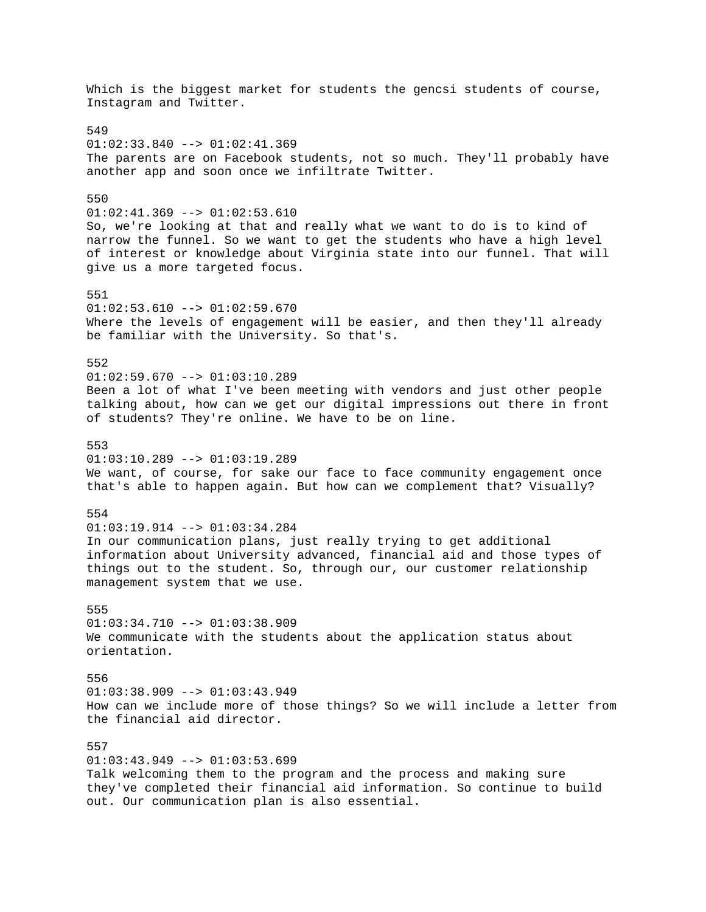Which is the biggest market for students the gencsi students of course, Instagram and Twitter. 549 01:02:33.840 --> 01:02:41.369 The parents are on Facebook students, not so much. They'll probably have another app and soon once we infiltrate Twitter. 550 01:02:41.369 --> 01:02:53.610 So, we're looking at that and really what we want to do is to kind of narrow the funnel. So we want to get the students who have a high level of interest or knowledge about Virginia state into our funnel. That will give us a more targeted focus. 551  $01:02:53.610$  -->  $01:02:59.670$ Where the levels of engagement will be easier, and then they'll already be familiar with the University. So that's. 552  $01:02:59.670$  -->  $01:03:10.289$ Been a lot of what I've been meeting with vendors and just other people talking about, how can we get our digital impressions out there in front of students? They're online. We have to be on line. 553  $01:03:10.289$  -->  $01:03:19.289$ We want, of course, for sake our face to face community engagement once that's able to happen again. But how can we complement that? Visually? 554 01:03:19.914 --> 01:03:34.284 In our communication plans, just really trying to get additional information about University advanced, financial aid and those types of things out to the student. So, through our, our customer relationship management system that we use. 555  $01:03:34.710$  -->  $01:03:38.909$ We communicate with the students about the application status about orientation. 556  $01:03:38.909$  -->  $01:03:43.949$ How can we include more of those things? So we will include a letter from the financial aid director. 557 01:03:43.949 --> 01:03:53.699 Talk welcoming them to the program and the process and making sure they've completed their financial aid information. So continue to build out. Our communication plan is also essential.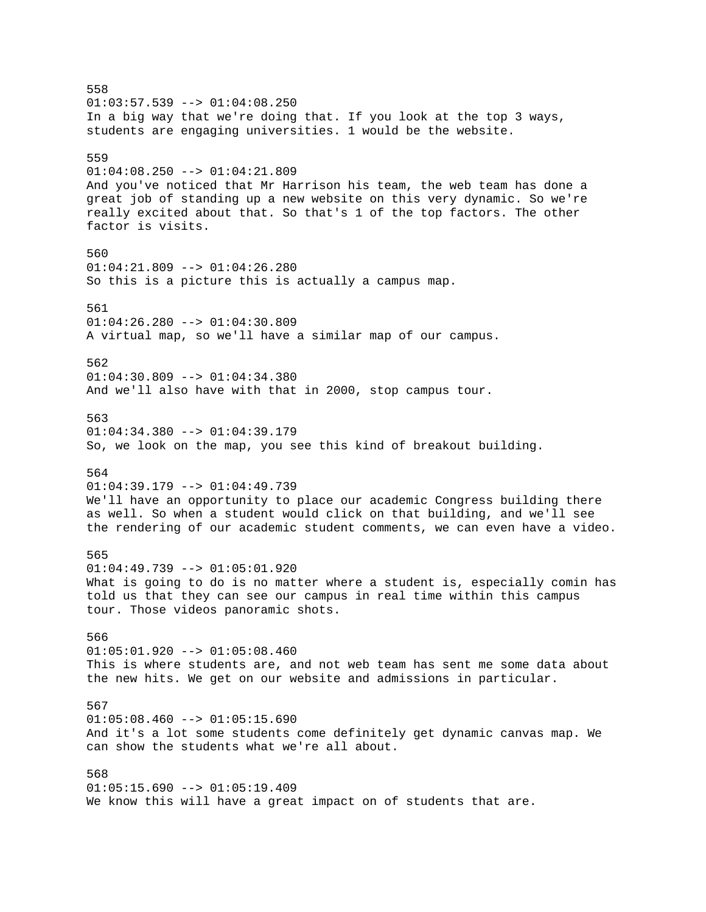558  $01:03:57.539$  -->  $01:04:08.250$ In a big way that we're doing that. If you look at the top 3 ways, students are engaging universities. 1 would be the website. 559 01:04:08.250 --> 01:04:21.809 And you've noticed that Mr Harrison his team, the web team has done a great job of standing up a new website on this very dynamic. So we're really excited about that. So that's 1 of the top factors. The other factor is visits. 560 01:04:21.809 --> 01:04:26.280 So this is a picture this is actually a campus map. 561  $01:04:26.280$  -->  $01:04:30.809$ A virtual map, so we'll have a similar map of our campus. 562  $01:04:30.809$  -->  $01:04:34.380$ And we'll also have with that in 2000, stop campus tour. 563 01:04:34.380 --> 01:04:39.179 So, we look on the map, you see this kind of breakout building. 564 01:04:39.179 --> 01:04:49.739 We'll have an opportunity to place our academic Congress building there as well. So when a student would click on that building, and we'll see the rendering of our academic student comments, we can even have a video. 565  $01:04:49.739$  -->  $01:05:01.920$ What is going to do is no matter where a student is, especially comin has told us that they can see our campus in real time within this campus tour. Those videos panoramic shots. 566  $01:05:01.920$  -->  $01:05:08.460$ This is where students are, and not web team has sent me some data about the new hits. We get on our website and admissions in particular. 567  $01:05:08.460$  -->  $01:05:15.690$ And it's a lot some students come definitely get dynamic canvas map. We can show the students what we're all about. 568  $01:05:15.690$  -->  $01:05:19.409$ We know this will have a great impact on of students that are.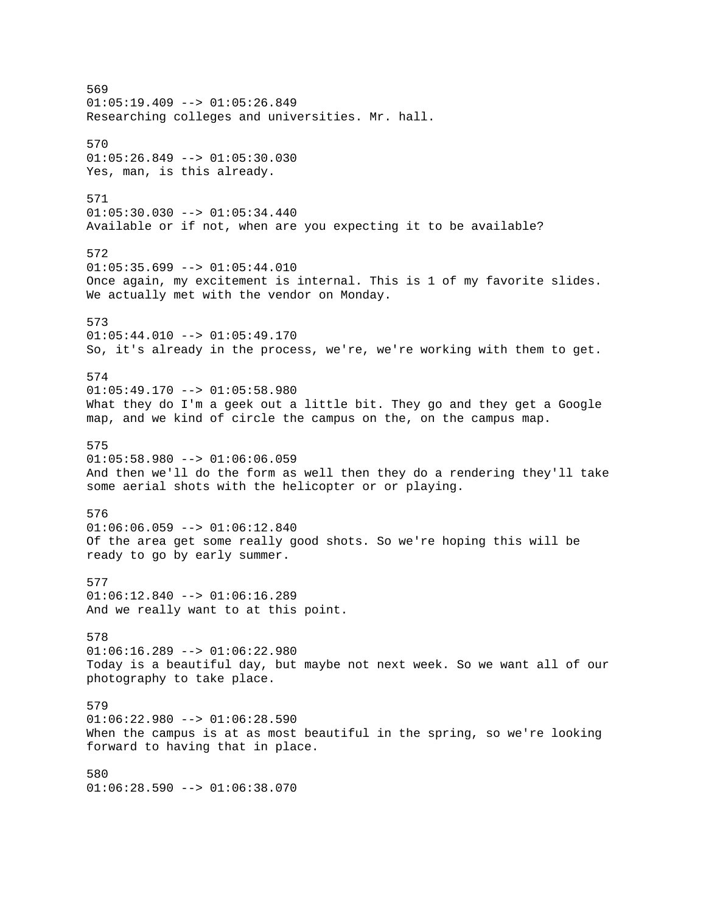569  $01:05:19.409$  -->  $01:05:26.849$ Researching colleges and universities. Mr. hall. 570  $01:05:26.849$  -->  $01:05:30.030$ Yes, man, is this already. 571  $01:05:30.030$  -->  $01:05:34.440$ Available or if not, when are you expecting it to be available? 572  $01:05:35.699$  -->  $01:05:44.010$ Once again, my excitement is internal. This is 1 of my favorite slides. We actually met with the vendor on Monday. 573  $01:05:44.010$  -->  $01:05:49.170$ So, it's already in the process, we're, we're working with them to get. 574  $01:05:49.170$  -->  $01:05:58.980$ What they do I'm a geek out a little bit. They go and they get a Google map, and we kind of circle the campus on the, on the campus map. 575  $01:05:58.980$  -->  $01:06:06.059$ And then we'll do the form as well then they do a rendering they'll take some aerial shots with the helicopter or or playing. 576  $01:06:06.059$  -->  $01:06:12.840$ Of the area get some really good shots. So we're hoping this will be ready to go by early summer. 577 01:06:12.840 --> 01:06:16.289 And we really want to at this point. 578 01:06:16.289 --> 01:06:22.980 Today is a beautiful day, but maybe not next week. So we want all of our photography to take place. 579  $01:06:22.980$  -->  $01:06:28.590$ When the campus is at as most beautiful in the spring, so we're looking forward to having that in place. 580  $01:06:28.590$  -->  $01:06:38.070$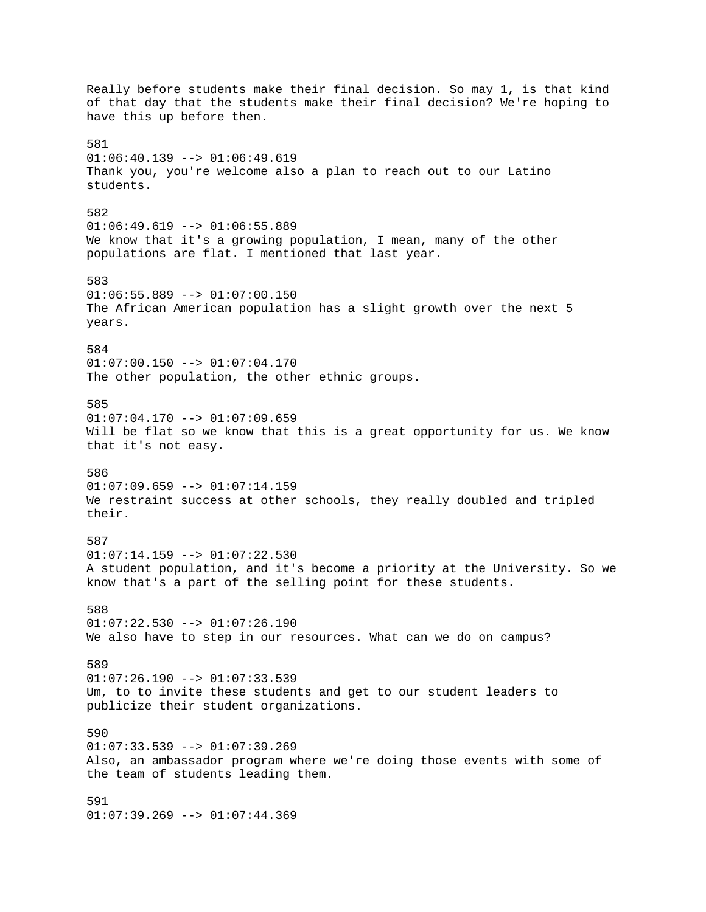Really before students make their final decision. So may 1, is that kind of that day that the students make their final decision? We're hoping to have this up before then. 581  $01:06:40.139$  -->  $01:06:49.619$ Thank you, you're welcome also a plan to reach out to our Latino students. 582 01:06:49.619 --> 01:06:55.889 We know that it's a growing population, I mean, many of the other populations are flat. I mentioned that last year. 583  $01:06:55.889$  -->  $01:07:00.150$ The African American population has a slight growth over the next 5 years. 584 01:07:00.150 --> 01:07:04.170 The other population, the other ethnic groups. 585 01:07:04.170 --> 01:07:09.659 Will be flat so we know that this is a great opportunity for us. We know that it's not easy. 586  $01:07:09.659$  -->  $01:07:14.159$ We restraint success at other schools, they really doubled and tripled their. 587  $01:07:14.159$  -->  $01:07:22.530$ A student population, and it's become a priority at the University. So we know that's a part of the selling point for these students. 588  $01:07:22.530$  -->  $01:07:26.190$ We also have to step in our resources. What can we do on campus? 589  $01:07:26.190$  -->  $01:07:33.539$ Um, to to invite these students and get to our student leaders to publicize their student organizations. 590 01:07:33.539 --> 01:07:39.269 Also, an ambassador program where we're doing those events with some of the team of students leading them. 591 01:07:39.269 --> 01:07:44.369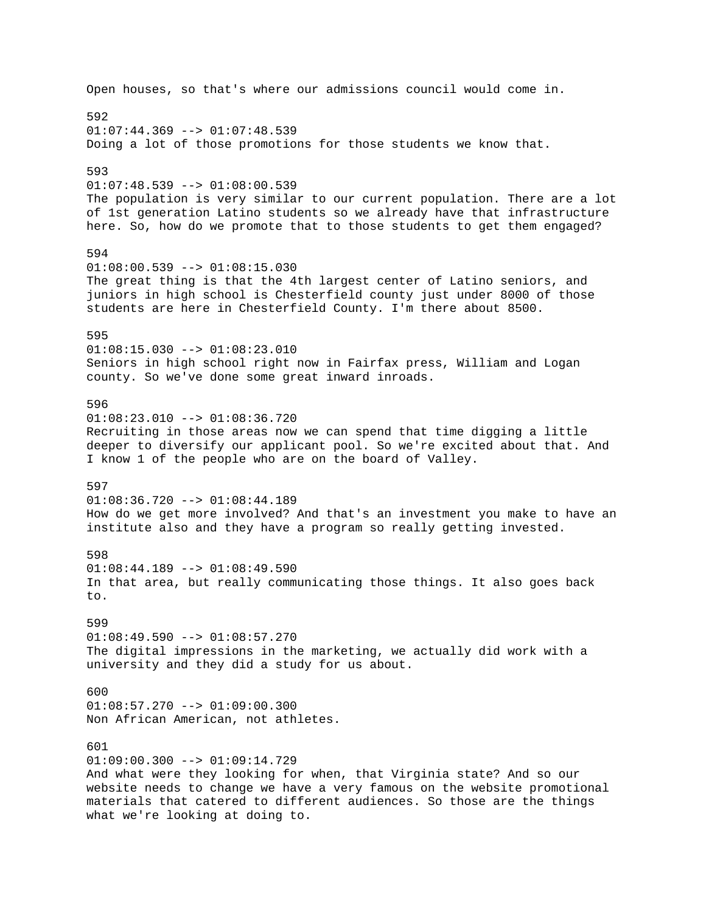Open houses, so that's where our admissions council would come in. 592  $01:07:44.369$  -->  $01:07:48.539$ Doing a lot of those promotions for those students we know that. 593 01:07:48.539 --> 01:08:00.539 The population is very similar to our current population. There are a lot of 1st generation Latino students so we already have that infrastructure here. So, how do we promote that to those students to get them engaged? 594 01:08:00.539 --> 01:08:15.030 The great thing is that the 4th largest center of Latino seniors, and juniors in high school is Chesterfield county just under 8000 of those students are here in Chesterfield County. I'm there about 8500. 595  $01:08:15.030$  -->  $01:08:23.010$ Seniors in high school right now in Fairfax press, William and Logan county. So we've done some great inward inroads. 596 01:08:23.010 --> 01:08:36.720 Recruiting in those areas now we can spend that time digging a little deeper to diversify our applicant pool. So we're excited about that. And I know 1 of the people who are on the board of Valley. 597 01:08:36.720 --> 01:08:44.189 How do we get more involved? And that's an investment you make to have an institute also and they have a program so really getting invested. 598  $01:08:44.189$  -->  $01:08:49.590$ In that area, but really communicating those things. It also goes back to. 599  $01:08:49.590$  -->  $01:08:57.270$ The digital impressions in the marketing, we actually did work with a university and they did a study for us about. 600 01:08:57.270 --> 01:09:00.300 Non African American, not athletes. 601 01:09:00.300 --> 01:09:14.729 And what were they looking for when, that Virginia state? And so our website needs to change we have a very famous on the website promotional materials that catered to different audiences. So those are the things what we're looking at doing to.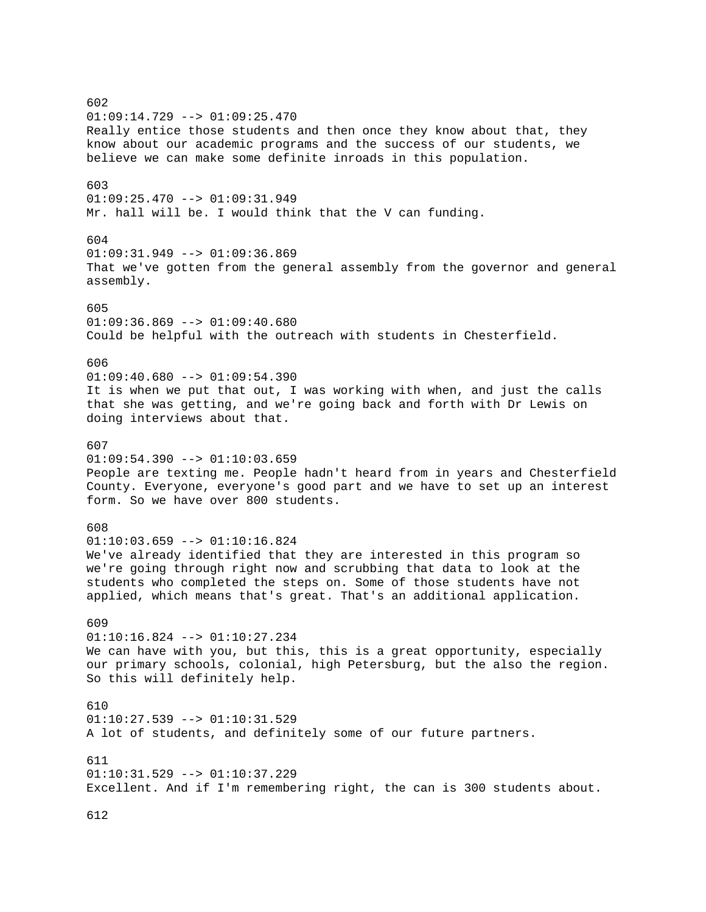602 01:09:14.729 --> 01:09:25.470 Really entice those students and then once they know about that, they know about our academic programs and the success of our students, we believe we can make some definite inroads in this population. 603 01:09:25.470 --> 01:09:31.949 Mr. hall will be. I would think that the V can funding. 604  $01:09:31.949$  -->  $01:09:36.869$ That we've gotten from the general assembly from the governor and general assembly. 605 01:09:36.869 --> 01:09:40.680 Could be helpful with the outreach with students in Chesterfield. 606  $01:09:40.680$  -->  $01:09:54.390$ It is when we put that out, I was working with when, and just the calls that she was getting, and we're going back and forth with Dr Lewis on doing interviews about that. 607  $01:09:54.390$  -->  $01:10:03.659$ People are texting me. People hadn't heard from in years and Chesterfield County. Everyone, everyone's good part and we have to set up an interest form. So we have over 800 students. 608  $01:10:03.659$  -->  $01:10:16.824$ We've already identified that they are interested in this program so we're going through right now and scrubbing that data to look at the students who completed the steps on. Some of those students have not applied, which means that's great. That's an additional application. 609 01:10:16.824 --> 01:10:27.234 We can have with you, but this, this is a great opportunity, especially our primary schools, colonial, high Petersburg, but the also the region. So this will definitely help. 610  $01:10:27.539$  -->  $01:10:31.529$ A lot of students, and definitely some of our future partners. 611 01:10:31.529 --> 01:10:37.229 Excellent. And if I'm remembering right, the can is 300 students about. 612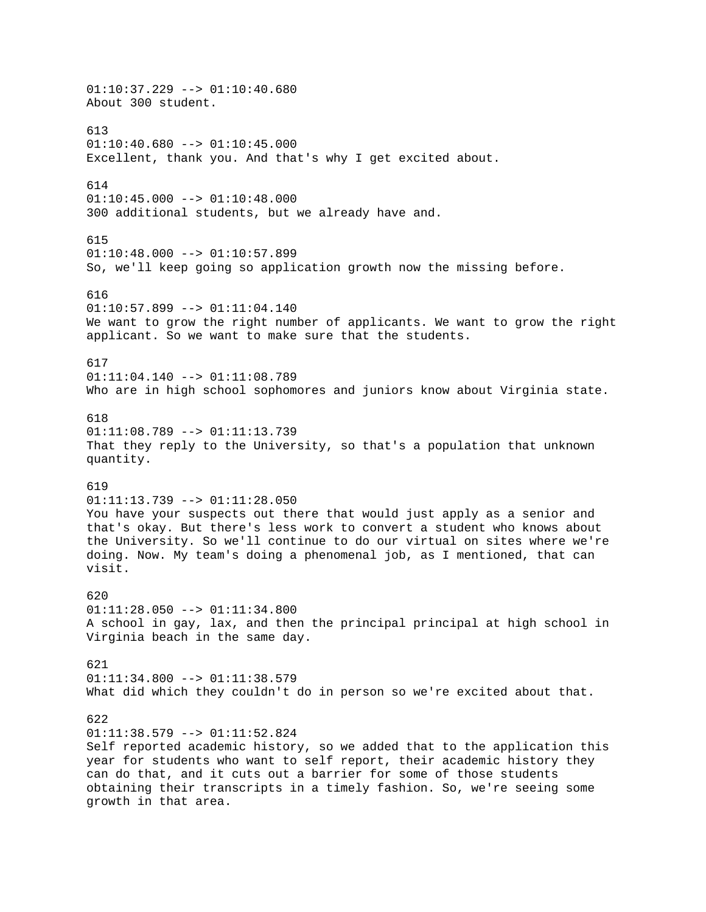$01:10:37.229$  -->  $01:10:40.680$ About 300 student. 613  $01:10:40.680$  -->  $01:10:45.000$ Excellent, thank you. And that's why I get excited about. 614  $01:10:45.000$  -->  $01:10:48.000$ 300 additional students, but we already have and. 615  $01:10:48.000$  -->  $01:10:57.899$ So, we'll keep going so application growth now the missing before. 616 01:10:57.899 --> 01:11:04.140 We want to grow the right number of applicants. We want to grow the right applicant. So we want to make sure that the students. 617  $01:11:04.140$  -->  $01:11:08.789$ Who are in high school sophomores and juniors know about Virginia state. 618 01:11:08.789 --> 01:11:13.739 That they reply to the University, so that's a population that unknown quantity. 619 01:11:13.739 --> 01:11:28.050 You have your suspects out there that would just apply as a senior and that's okay. But there's less work to convert a student who knows about the University. So we'll continue to do our virtual on sites where we're doing. Now. My team's doing a phenomenal job, as I mentioned, that can visit. 620  $01:11:28.050$  -->  $01:11:34.800$ A school in gay, lax, and then the principal principal at high school in Virginia beach in the same day. 621 01:11:34.800 --> 01:11:38.579 What did which they couldn't do in person so we're excited about that. 622  $01:11:38.579$  -->  $01:11:52.824$ Self reported academic history, so we added that to the application this year for students who want to self report, their academic history they can do that, and it cuts out a barrier for some of those students obtaining their transcripts in a timely fashion. So, we're seeing some growth in that area.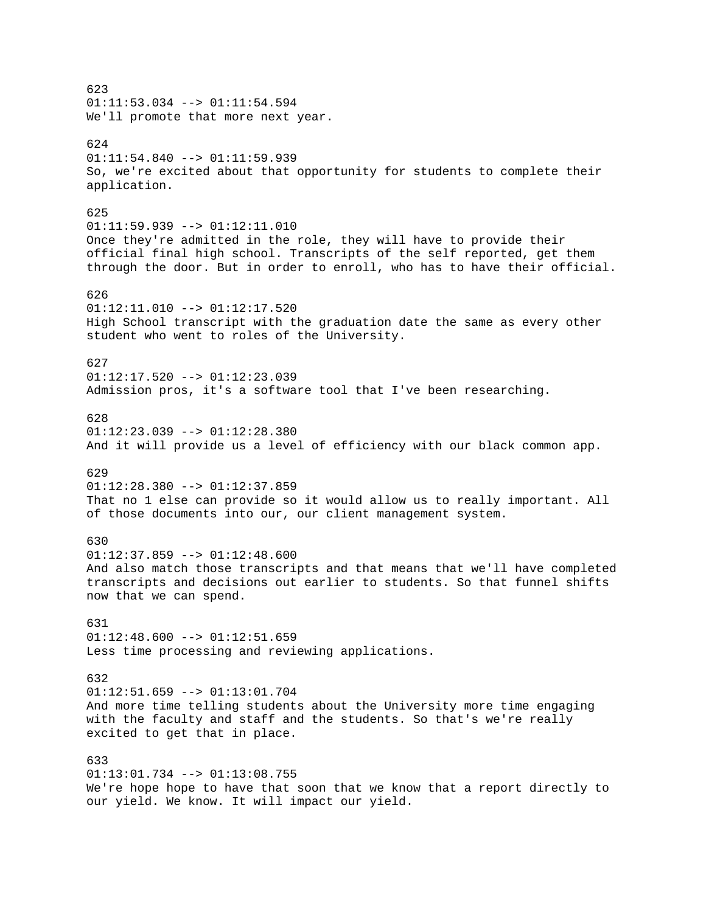623  $01:11:53.034$  -->  $01:11:54.594$ We'll promote that more next year. 624  $01:11:54.840$  -->  $01:11:59.939$ So, we're excited about that opportunity for students to complete their application. 625 01:11:59.939 --> 01:12:11.010 Once they're admitted in the role, they will have to provide their official final high school. Transcripts of the self reported, get them through the door. But in order to enroll, who has to have their official. 626 01:12:11.010 --> 01:12:17.520 High School transcript with the graduation date the same as every other student who went to roles of the University. 627  $01:12:17.520$  -->  $01:12:23.039$ Admission pros, it's a software tool that I've been researching. 628  $01:12:23.039$  -->  $01:12:28.380$ And it will provide us a level of efficiency with our black common app. 629 01:12:28.380 --> 01:12:37.859 That no 1 else can provide so it would allow us to really important. All of those documents into our, our client management system. 630 01:12:37.859 --> 01:12:48.600 And also match those transcripts and that means that we'll have completed transcripts and decisions out earlier to students. So that funnel shifts now that we can spend. 631  $01:12:48.600$  -->  $01:12:51.659$ Less time processing and reviewing applications. 632  $01:12:51.659$  -->  $01:13:01.704$ And more time telling students about the University more time engaging with the faculty and staff and the students. So that's we're really excited to get that in place. 633 01:13:01.734 --> 01:13:08.755 We're hope hope to have that soon that we know that a report directly to our yield. We know. It will impact our yield.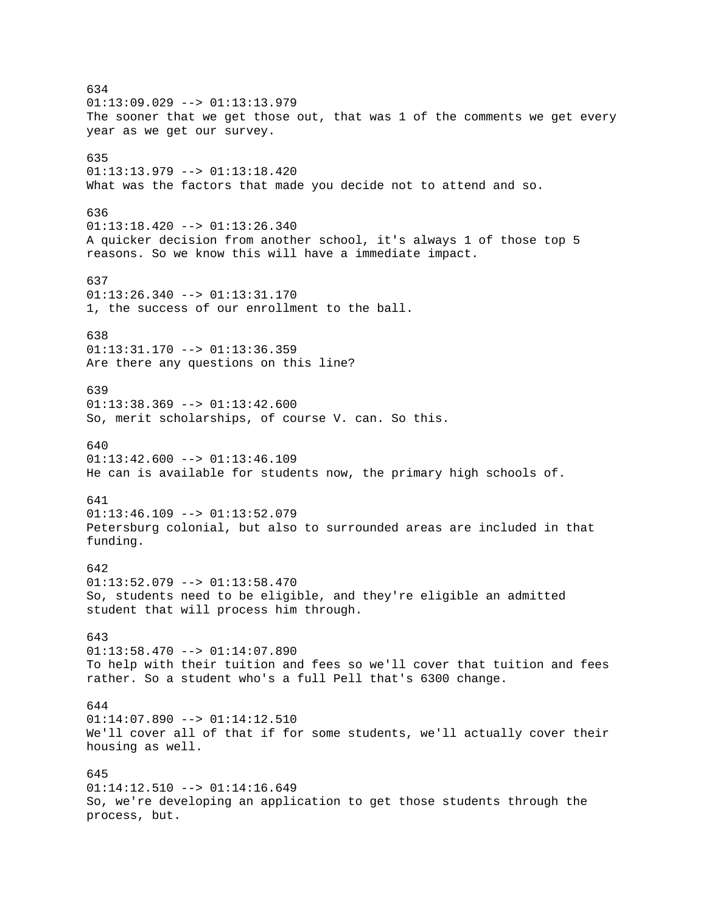634  $01:13:09.029$  -->  $01:13:13.979$ The sooner that we get those out, that was 1 of the comments we get every year as we get our survey. 635 01:13:13.979 --> 01:13:18.420 What was the factors that made you decide not to attend and so. 636 01:13:18.420 --> 01:13:26.340 A quicker decision from another school, it's always 1 of those top 5 reasons. So we know this will have a immediate impact. 637  $01:13:26.340$  -->  $01:13:31.170$ 1, the success of our enrollment to the ball. 638 01:13:31.170 --> 01:13:36.359 Are there any questions on this line? 639  $01:13:38.369$  -->  $01:13:42.600$ So, merit scholarships, of course V. can. So this. 640  $01:13:42.600$  -->  $01:13:46.109$ He can is available for students now, the primary high schools of. 641  $01:13:46.109$  -->  $01:13:52.079$ Petersburg colonial, but also to surrounded areas are included in that funding. 642 01:13:52.079 --> 01:13:58.470 So, students need to be eligible, and they're eligible an admitted student that will process him through. 643  $01:13:58.470$  -->  $01:14:07.890$ To help with their tuition and fees so we'll cover that tuition and fees rather. So a student who's a full Pell that's 6300 change. 644  $01:14:07.890$  -->  $01:14:12.510$ We'll cover all of that if for some students, we'll actually cover their housing as well. 645  $01:14:12.510$  -->  $01:14:16.649$ So, we're developing an application to get those students through the process, but.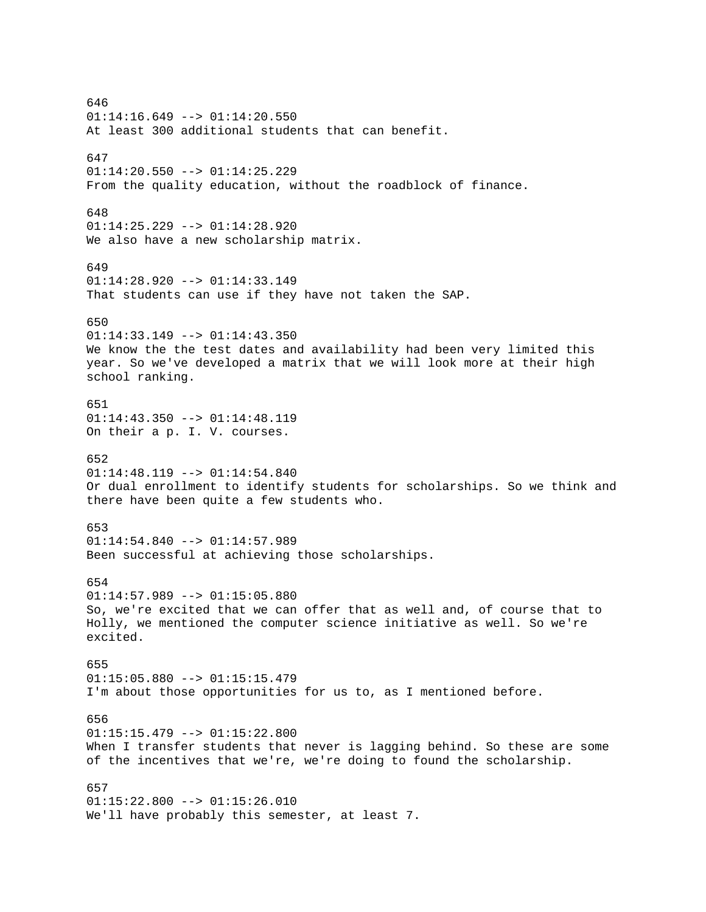646 01:14:16.649 --> 01:14:20.550 At least 300 additional students that can benefit. 647 01:14:20.550 --> 01:14:25.229 From the quality education, without the roadblock of finance. 648 01:14:25.229 --> 01:14:28.920 We also have a new scholarship matrix. 649 01:14:28.920 --> 01:14:33.149 That students can use if they have not taken the SAP. 650  $01:14:33.149$  -->  $01:14:43.350$ We know the the test dates and availability had been very limited this year. So we've developed a matrix that we will look more at their high school ranking. 651 01:14:43.350 --> 01:14:48.119 On their a p. I. V. courses. 652 01:14:48.119 --> 01:14:54.840 Or dual enrollment to identify students for scholarships. So we think and there have been quite a few students who. 653  $01:14:54.840$  -->  $01:14:57.989$ Been successful at achieving those scholarships. 654 01:14:57.989 --> 01:15:05.880 So, we're excited that we can offer that as well and, of course that to Holly, we mentioned the computer science initiative as well. So we're excited. 655 01:15:05.880 --> 01:15:15.479 I'm about those opportunities for us to, as I mentioned before. 656  $01:15:15.479$  -->  $01:15:22.800$ When I transfer students that never is lagging behind. So these are some of the incentives that we're, we're doing to found the scholarship. 657 01:15:22.800 --> 01:15:26.010 We'll have probably this semester, at least 7.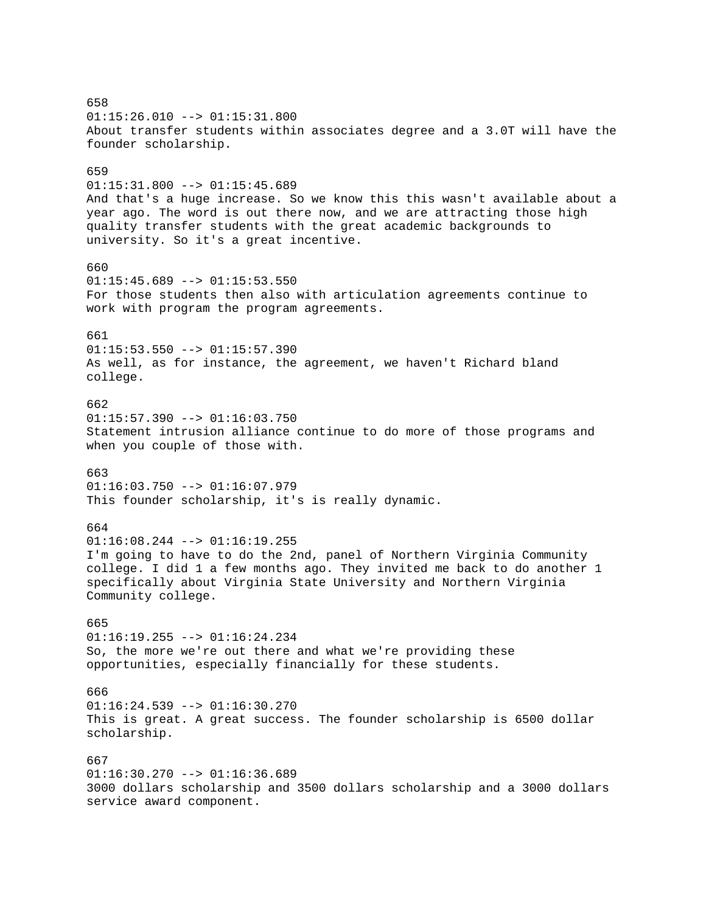658 01:15:26.010 --> 01:15:31.800 About transfer students within associates degree and a 3.0T will have the founder scholarship. 659 01:15:31.800 --> 01:15:45.689 And that's a huge increase. So we know this this wasn't available about a year ago. The word is out there now, and we are attracting those high quality transfer students with the great academic backgrounds to university. So it's a great incentive. 660  $01:15:45.689$  -->  $01:15:53.550$ For those students then also with articulation agreements continue to work with program the program agreements. 661  $01:15:53.550$  -->  $01:15:57.390$ As well, as for instance, the agreement, we haven't Richard bland college. 662 01:15:57.390 --> 01:16:03.750 Statement intrusion alliance continue to do more of those programs and when you couple of those with. 663 01:16:03.750 --> 01:16:07.979 This founder scholarship, it's is really dynamic. 664  $01:16:08.244$  -->  $01:16:19.255$ I'm going to have to do the 2nd, panel of Northern Virginia Community college. I did 1 a few months ago. They invited me back to do another 1 specifically about Virginia State University and Northern Virginia Community college. 665  $01:16:19.255$  -->  $01:16:24.234$ So, the more we're out there and what we're providing these opportunities, especially financially for these students. 666 01:16:24.539 --> 01:16:30.270 This is great. A great success. The founder scholarship is 6500 dollar scholarship. 667  $01:16:30.270$  -->  $01:16:36.689$ 3000 dollars scholarship and 3500 dollars scholarship and a 3000 dollars service award component.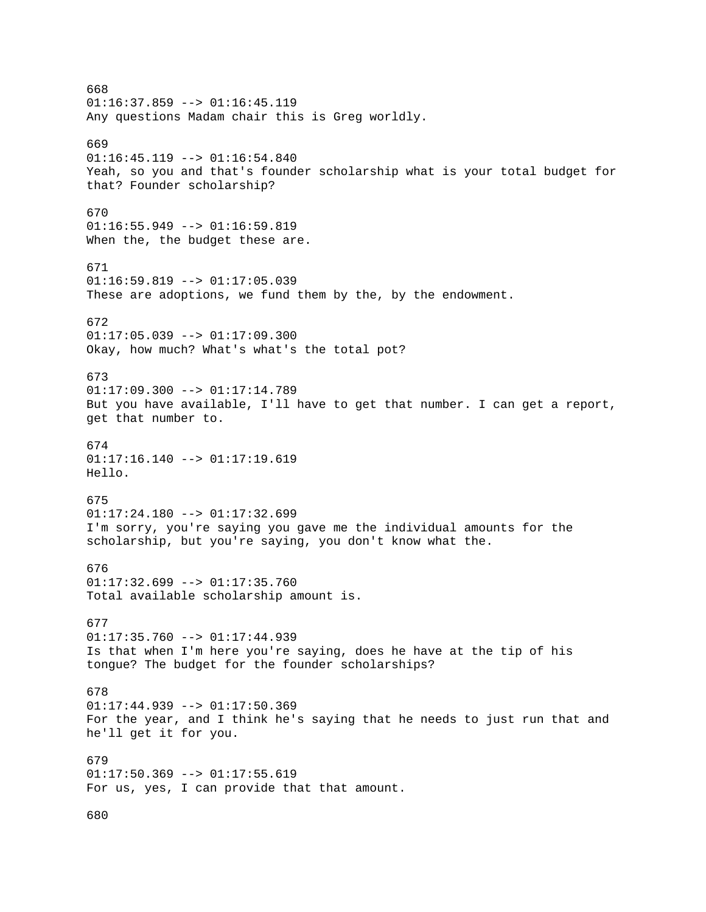668  $01:16:37.859$  -->  $01:16:45.119$ Any questions Madam chair this is Greg worldly. 669  $01:16:45.119$  -->  $01:16:54.840$ Yeah, so you and that's founder scholarship what is your total budget for that? Founder scholarship? 670 01:16:55.949 --> 01:16:59.819 When the, the budget these are. 671  $01:16:59.819$  -->  $01:17:05.039$ These are adoptions, we fund them by the, by the endowment. 672 01:17:05.039 --> 01:17:09.300 Okay, how much? What's what's the total pot? 673 01:17:09.300 --> 01:17:14.789 But you have available, I'll have to get that number. I can get a report, get that number to. 674  $01:17:16.140$  -->  $01:17:19.619$ Hello. 675 01:17:24.180 --> 01:17:32.699 I'm sorry, you're saying you gave me the individual amounts for the scholarship, but you're saying, you don't know what the. 676 01:17:32.699 --> 01:17:35.760 Total available scholarship amount is. 677 01:17:35.760 --> 01:17:44.939 Is that when I'm here you're saying, does he have at the tip of his tongue? The budget for the founder scholarships? 678 01:17:44.939 --> 01:17:50.369 For the year, and I think he's saying that he needs to just run that and he'll get it for you. 679 01:17:50.369 --> 01:17:55.619 For us, yes, I can provide that that amount. 680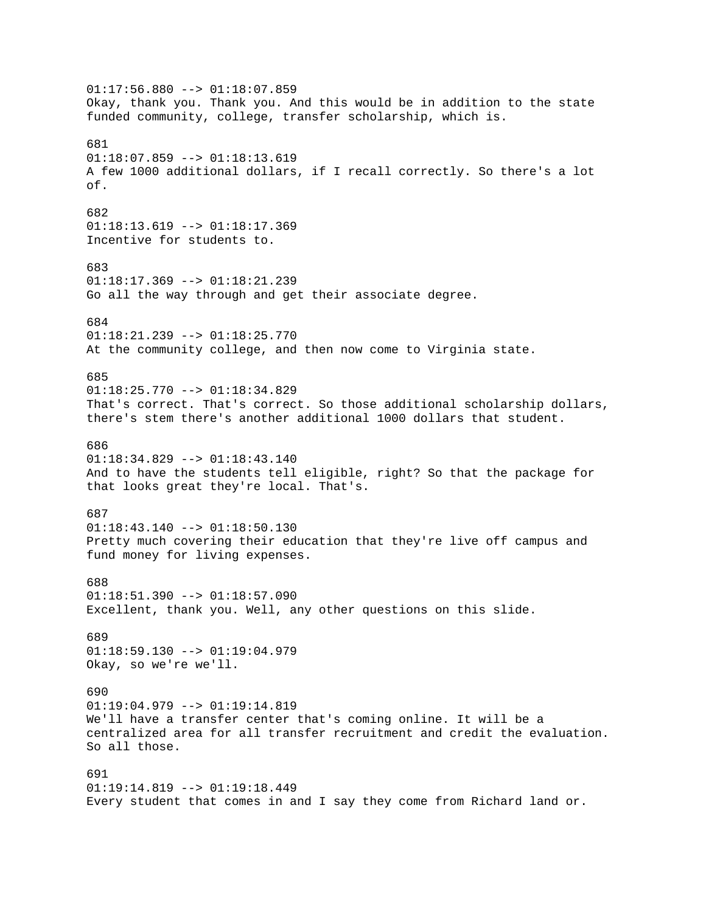01:17:56.880 --> 01:18:07.859 Okay, thank you. Thank you. And this would be in addition to the state funded community, college, transfer scholarship, which is. 681  $01:18:07.859$  -->  $01:18:13.619$ A few 1000 additional dollars, if I recall correctly. So there's a lot of. 682 01:18:13.619 --> 01:18:17.369 Incentive for students to. 683  $01:18:17.369$  -->  $01:18:21.239$ Go all the way through and get their associate degree. 684 01:18:21.239 --> 01:18:25.770 At the community college, and then now come to Virginia state. 685 01:18:25.770 --> 01:18:34.829 That's correct. That's correct. So those additional scholarship dollars, there's stem there's another additional 1000 dollars that student. 686  $01:18:34.829$  -->  $01:18:43.140$ And to have the students tell eligible, right? So that the package for that looks great they're local. That's. 687  $01:18:43.140$  -->  $01:18:50.130$ Pretty much covering their education that they're live off campus and fund money for living expenses. 688  $01:18:51.390$  -->  $01:18:57.090$ Excellent, thank you. Well, any other questions on this slide. 689 01:18:59.130 --> 01:19:04.979 Okay, so we're we'll. 690 01:19:04.979 --> 01:19:14.819 We'll have a transfer center that's coming online. It will be a centralized area for all transfer recruitment and credit the evaluation. So all those. 691  $01:19:14.819$  -->  $01:19:18.449$ Every student that comes in and I say they come from Richard land or.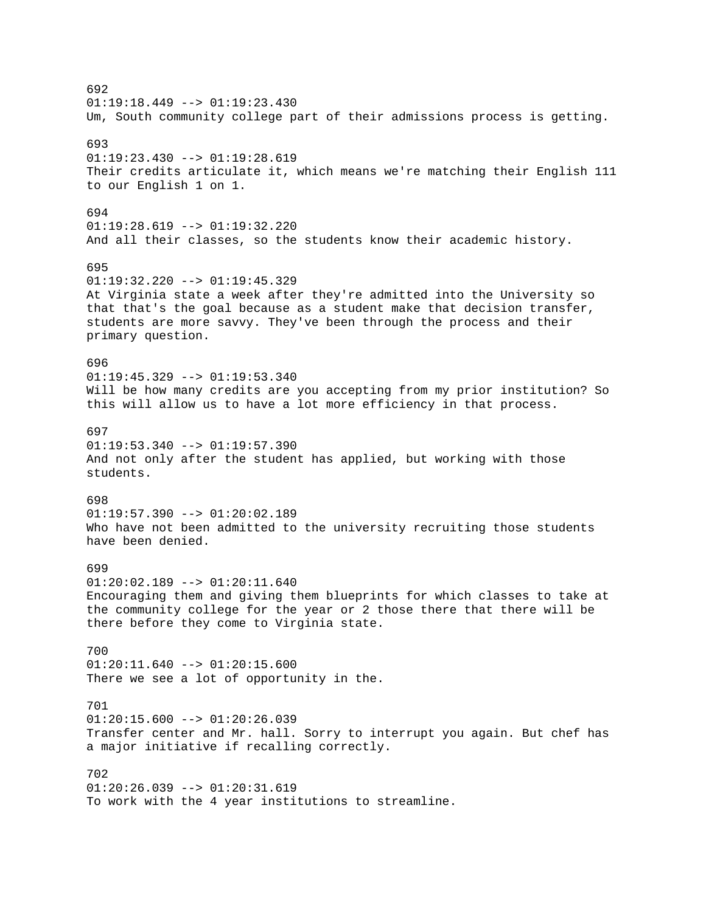692  $01:19:18.449$  -->  $01:19:23.430$ Um, South community college part of their admissions process is getting. 693 01:19:23.430 --> 01:19:28.619 Their credits articulate it, which means we're matching their English 111 to our English 1 on 1. 694 01:19:28.619 --> 01:19:32.220 And all their classes, so the students know their academic history. 695 01:19:32.220 --> 01:19:45.329 At Virginia state a week after they're admitted into the University so that that's the goal because as a student make that decision transfer, students are more savvy. They've been through the process and their primary question. 696  $01:19:45.329$  -->  $01:19:53.340$ Will be how many credits are you accepting from my prior institution? So this will allow us to have a lot more efficiency in that process. 697  $01:19:53.340$  -->  $01:19:57.390$ And not only after the student has applied, but working with those students. 698  $01:19:57.390$  -->  $01:20:02.189$ Who have not been admitted to the university recruiting those students have been denied. 699 01:20:02.189 --> 01:20:11.640 Encouraging them and giving them blueprints for which classes to take at the community college for the year or 2 those there that there will be there before they come to Virginia state. 700  $01:20:11.640$  -->  $01:20:15.600$ There we see a lot of opportunity in the. 701  $01:20:15.600$  -->  $01:20:26.039$ Transfer center and Mr. hall. Sorry to interrupt you again. But chef has a major initiative if recalling correctly. 702  $01:20:26.039$  -->  $01:20:31.619$ To work with the 4 year institutions to streamline.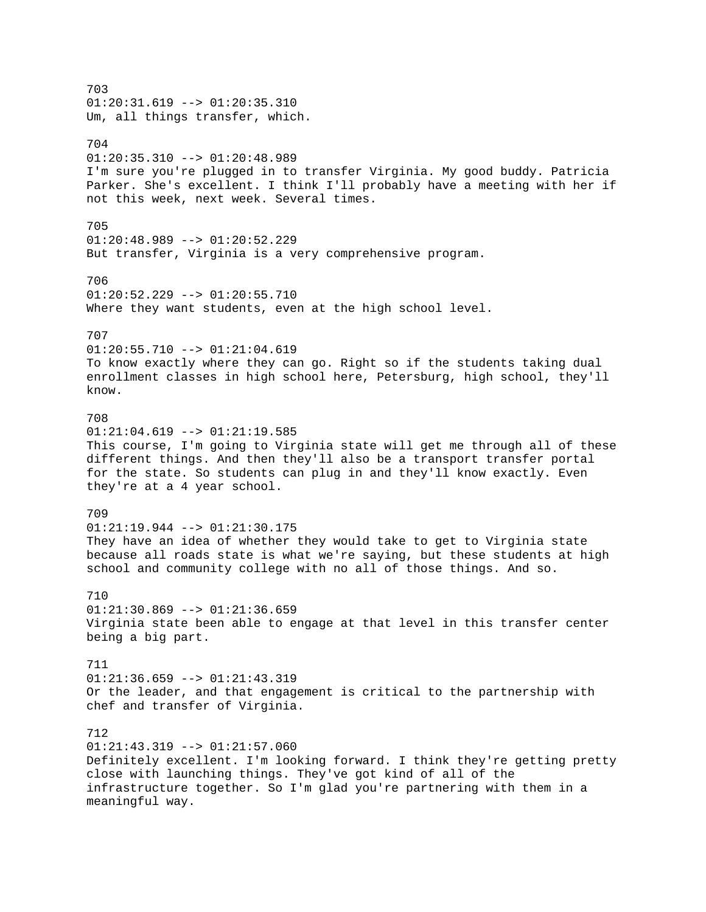703  $01:20:31.619$  -->  $01:20:35.310$ Um, all things transfer, which. 704  $01:20:35.310$  -->  $01:20:48.989$ I'm sure you're plugged in to transfer Virginia. My good buddy. Patricia Parker. She's excellent. I think I'll probably have a meeting with her if not this week, next week. Several times. 705 01:20:48.989 --> 01:20:52.229 But transfer, Virginia is a very comprehensive program. 706  $01:20:52.229$  -->  $01:20:55.710$ Where they want students, even at the high school level. 707  $01:20:55.710$  -->  $01:21:04.619$ To know exactly where they can go. Right so if the students taking dual enrollment classes in high school here, Petersburg, high school, they'll know. 708  $01:21:04.619$  -->  $01:21:19.585$ This course, I'm going to Virginia state will get me through all of these different things. And then they'll also be a transport transfer portal for the state. So students can plug in and they'll know exactly. Even they're at a 4 year school. 709 01:21:19.944 --> 01:21:30.175 They have an idea of whether they would take to get to Virginia state because all roads state is what we're saying, but these students at high school and community college with no all of those things. And so. 710  $01:21:30.869$  -->  $01:21:36.659$ Virginia state been able to engage at that level in this transfer center being a big part. 711 01:21:36.659 --> 01:21:43.319 Or the leader, and that engagement is critical to the partnership with chef and transfer of Virginia. 712  $01:21:43.319$  -->  $01:21:57.060$ Definitely excellent. I'm looking forward. I think they're getting pretty close with launching things. They've got kind of all of the infrastructure together. So I'm glad you're partnering with them in a meaningful way.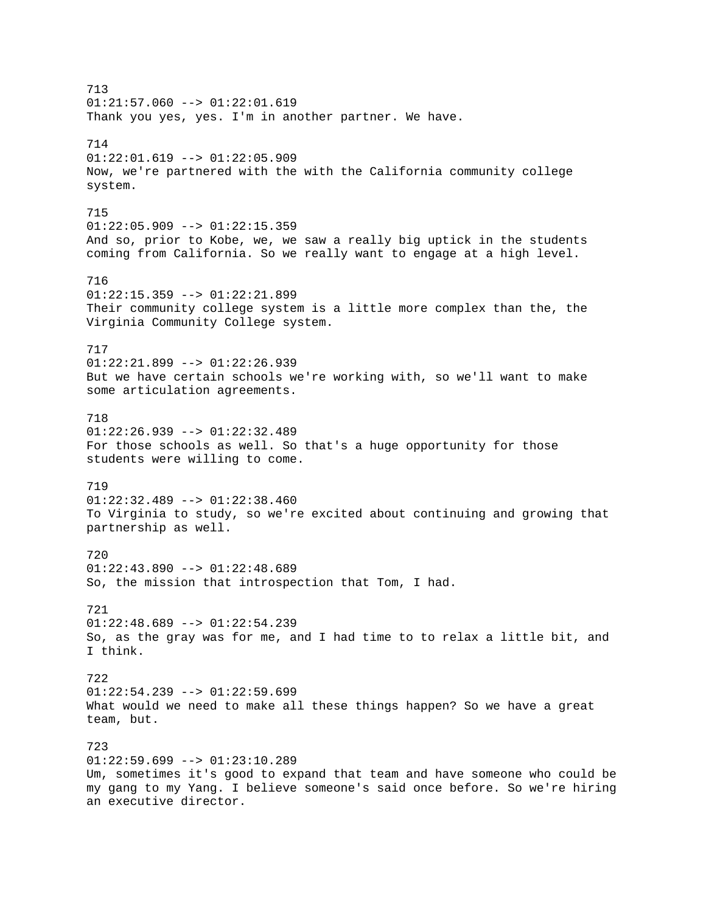713  $01:21:57.060$  -->  $01:22:01.619$ Thank you yes, yes. I'm in another partner. We have. 714  $01:22:01.619$  -->  $01:22:05.909$ Now, we're partnered with the with the California community college system. 715 01:22:05.909 --> 01:22:15.359 And so, prior to Kobe, we, we saw a really big uptick in the students coming from California. So we really want to engage at a high level. 716  $01:22:15.359$  -->  $01:22:21.899$ Their community college system is a little more complex than the, the Virginia Community College system. 717 01:22:21.899 --> 01:22:26.939 But we have certain schools we're working with, so we'll want to make some articulation agreements. 718 01:22:26.939 --> 01:22:32.489 For those schools as well. So that's a huge opportunity for those students were willing to come. 719 01:22:32.489 --> 01:22:38.460 To Virginia to study, so we're excited about continuing and growing that partnership as well. 720  $01:22:43.890$  -->  $01:22:48.689$ So, the mission that introspection that Tom, I had. 721  $01:22:48.689$  -->  $01:22:54.239$ So, as the gray was for me, and I had time to to relax a little bit, and I think. 722  $01:22:54.239$  -->  $01:22:59.699$ What would we need to make all these things happen? So we have a great team, but. 723  $01:22:59.699$  -->  $01:23:10.289$ Um, sometimes it's good to expand that team and have someone who could be my gang to my Yang. I believe someone's said once before. So we're hiring an executive director.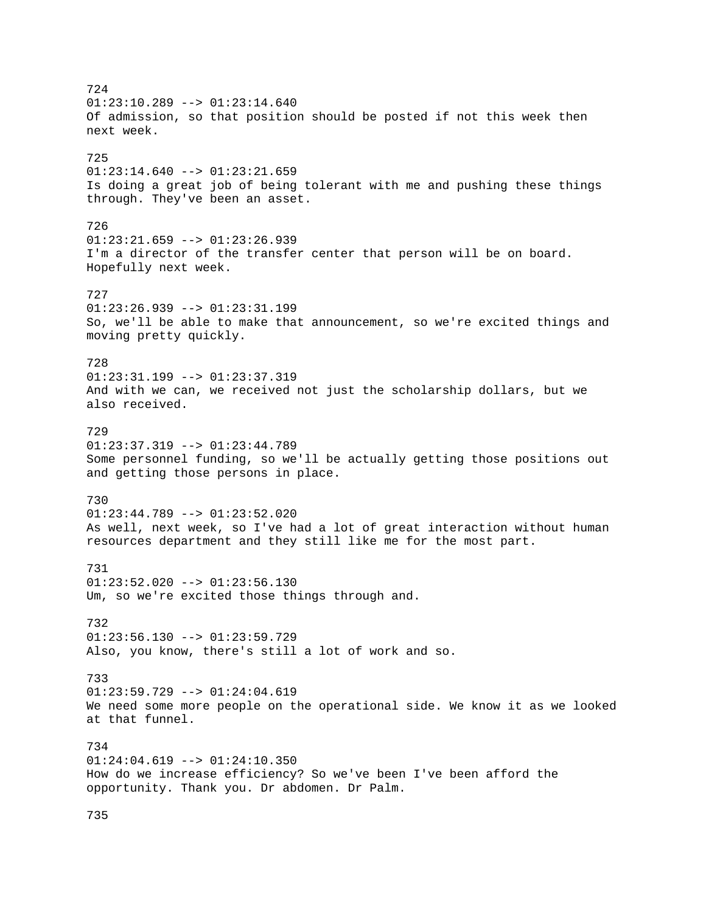724  $01:23:10.289$  -->  $01:23:14.640$ Of admission, so that position should be posted if not this week then next week. 725  $01:23:14.640$  -->  $01:23:21.659$ Is doing a great job of being tolerant with me and pushing these things through. They've been an asset. 726  $01:23:21.659$  -->  $01:23:26.939$ I'm a director of the transfer center that person will be on board. Hopefully next week. 727 01:23:26.939 --> 01:23:31.199 So, we'll be able to make that announcement, so we're excited things and moving pretty quickly. 728  $01:23:31.199$  -->  $01:23:37.319$ And with we can, we received not just the scholarship dollars, but we also received. 729  $01:23:37.319$  -->  $01:23:44.789$ Some personnel funding, so we'll be actually getting those positions out and getting those persons in place. 730 01:23:44.789 --> 01:23:52.020 As well, next week, so I've had a lot of great interaction without human resources department and they still like me for the most part. 731 01:23:52.020 --> 01:23:56.130 Um, so we're excited those things through and. 732  $01:23:56.130$  -->  $01:23:59.729$ Also, you know, there's still a lot of work and so. 733  $01:23:59.729 --> 01:24:04.619$ We need some more people on the operational side. We know it as we looked at that funnel. 734 01:24:04.619 --> 01:24:10.350 How do we increase efficiency? So we've been I've been afford the opportunity. Thank you. Dr abdomen. Dr Palm.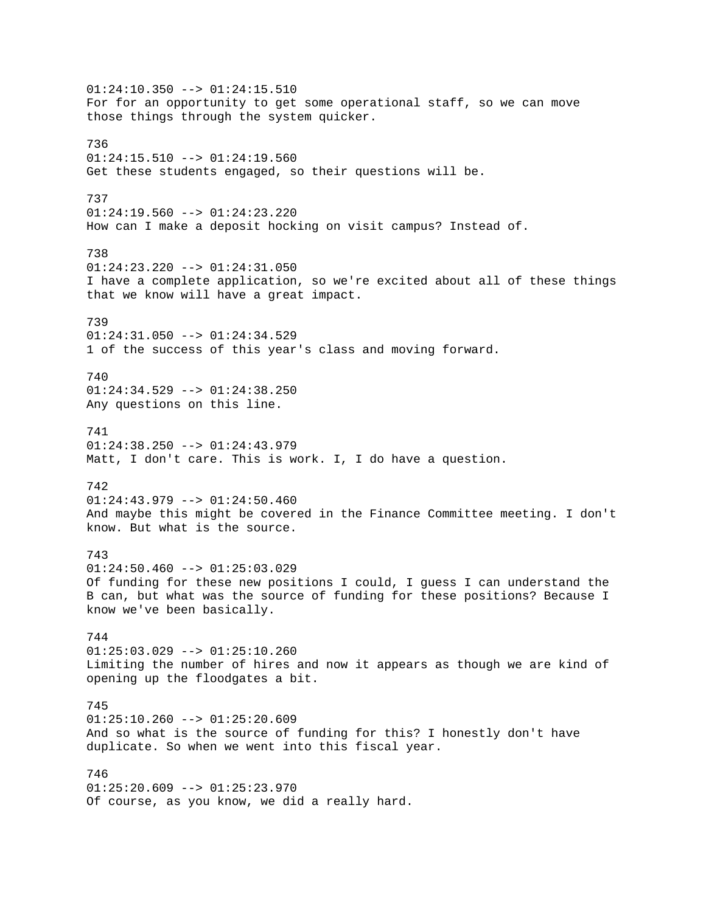01:24:10.350 --> 01:24:15.510 For for an opportunity to get some operational staff, so we can move those things through the system quicker. 736  $01:24:15.510$  -->  $01:24:19.560$ Get these students engaged, so their questions will be. 737 01:24:19.560 --> 01:24:23.220 How can I make a deposit hocking on visit campus? Instead of. 738 01:24:23.220 --> 01:24:31.050 I have a complete application, so we're excited about all of these things that we know will have a great impact. 739 01:24:31.050 --> 01:24:34.529 1 of the success of this year's class and moving forward. 740 01:24:34.529 --> 01:24:38.250 Any questions on this line. 741  $01:24:38.250$  -->  $01:24:43.979$ Matt, I don't care. This is work. I, I do have a question. 742 01:24:43.979 --> 01:24:50.460 And maybe this might be covered in the Finance Committee meeting. I don't know. But what is the source. 743  $01:24:50.460$  -->  $01:25:03.029$ Of funding for these new positions I could, I guess I can understand the B can, but what was the source of funding for these positions? Because I know we've been basically. 744  $01:25:03.029$  -->  $01:25:10.260$ Limiting the number of hires and now it appears as though we are kind of opening up the floodgates a bit. 745  $01:25:10.260$  -->  $01:25:20.609$ And so what is the source of funding for this? I honestly don't have duplicate. So when we went into this fiscal year. 746  $01:25:20.609$  -->  $01:25:23.970$ Of course, as you know, we did a really hard.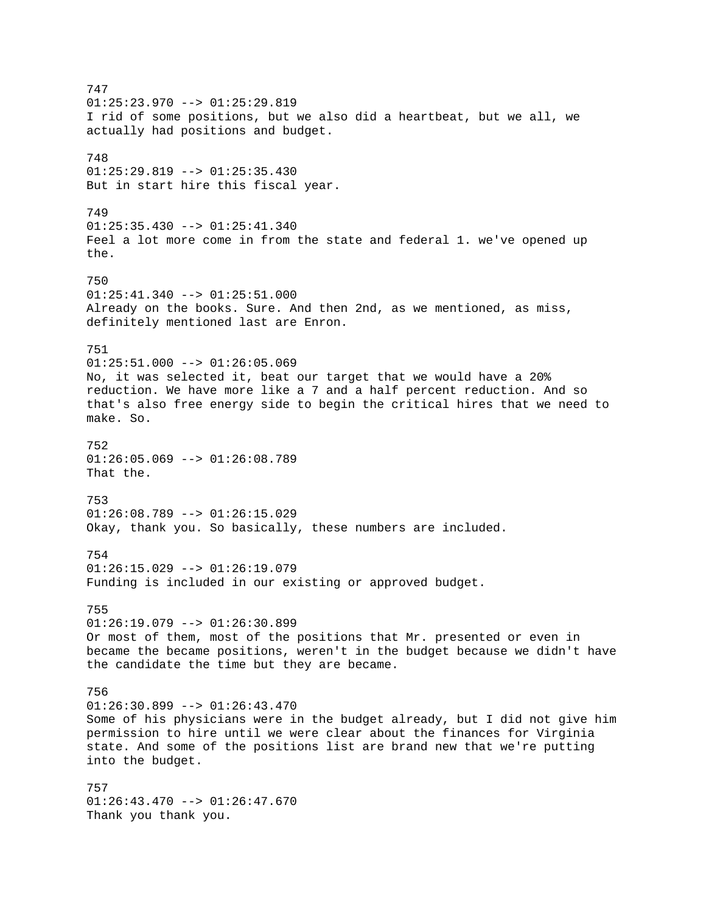747  $01:25:23.970$  -->  $01:25:29.819$ I rid of some positions, but we also did a heartbeat, but we all, we actually had positions and budget. 748 01:25:29.819 --> 01:25:35.430 But in start hire this fiscal year. 749 01:25:35.430 --> 01:25:41.340 Feel a lot more come in from the state and federal 1. we've opened up the. 750  $01:25:41.340$  -->  $01:25:51.000$ Already on the books. Sure. And then 2nd, as we mentioned, as miss, definitely mentioned last are Enron. 751 01:25:51.000 --> 01:26:05.069 No, it was selected it, beat our target that we would have a 20% reduction. We have more like a 7 and a half percent reduction. And so that's also free energy side to begin the critical hires that we need to make. So. 752  $01:26:05.069$  -->  $01:26:08.789$ That the. 753 01:26:08.789 --> 01:26:15.029 Okay, thank you. So basically, these numbers are included. 754  $01:26:15.029$  -->  $01:26:19.079$ Funding is included in our existing or approved budget. 755  $01:26:19.079$  -->  $01:26:30.899$ Or most of them, most of the positions that Mr. presented or even in became the became positions, weren't in the budget because we didn't have the candidate the time but they are became. 756 01:26:30.899 --> 01:26:43.470 Some of his physicians were in the budget already, but I did not give him permission to hire until we were clear about the finances for Virginia state. And some of the positions list are brand new that we're putting into the budget. 757 01:26:43.470 --> 01:26:47.670 Thank you thank you.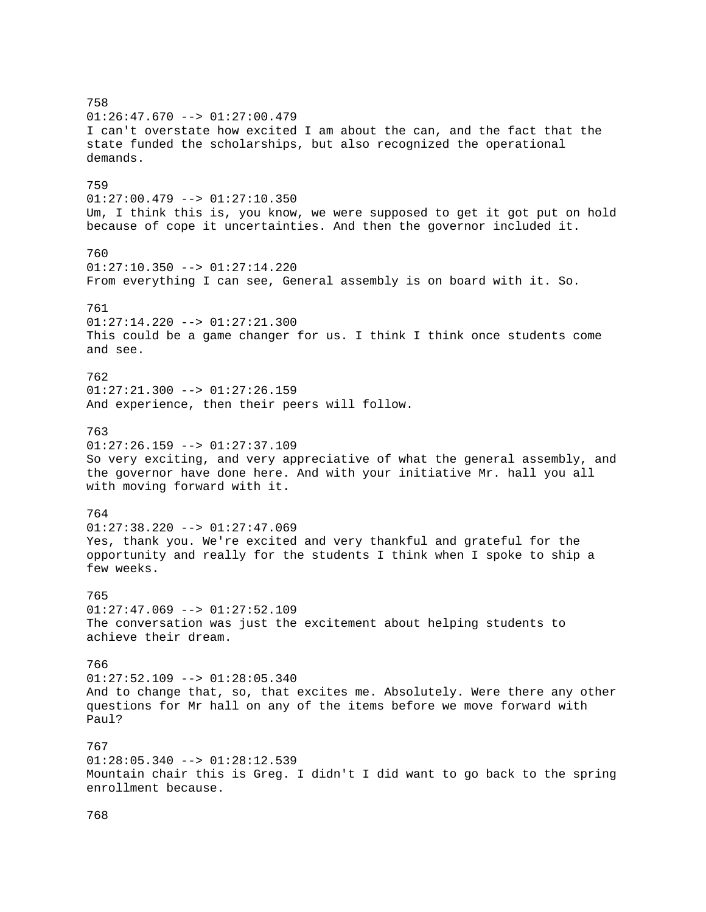758 01:26:47.670 --> 01:27:00.479 I can't overstate how excited I am about the can, and the fact that the state funded the scholarships, but also recognized the operational demands. 759 01:27:00.479 --> 01:27:10.350 Um, I think this is, you know, we were supposed to get it got put on hold because of cope it uncertainties. And then the governor included it. 760 01:27:10.350 --> 01:27:14.220 From everything I can see, General assembly is on board with it. So. 761  $01:27:14.220$  -->  $01:27:21.300$ This could be a game changer for us. I think I think once students come and see. 762 01:27:21.300 --> 01:27:26.159 And experience, then their peers will follow. 763  $01:27:26.159$  -->  $01:27:37.109$ So very exciting, and very appreciative of what the general assembly, and the governor have done here. And with your initiative Mr. hall you all with moving forward with it. 764  $01:27:38.220$  -->  $01:27:47.069$ Yes, thank you. We're excited and very thankful and grateful for the opportunity and really for the students I think when I spoke to ship a few weeks. 765  $01:27:47.069$  -->  $01:27:52.109$ The conversation was just the excitement about helping students to achieve their dream. 766 01:27:52.109 --> 01:28:05.340 And to change that, so, that excites me. Absolutely. Were there any other questions for Mr hall on any of the items before we move forward with Paul? 767  $01:28:05.340$  -->  $01:28:12.539$ Mountain chair this is Greg. I didn't I did want to go back to the spring enrollment because.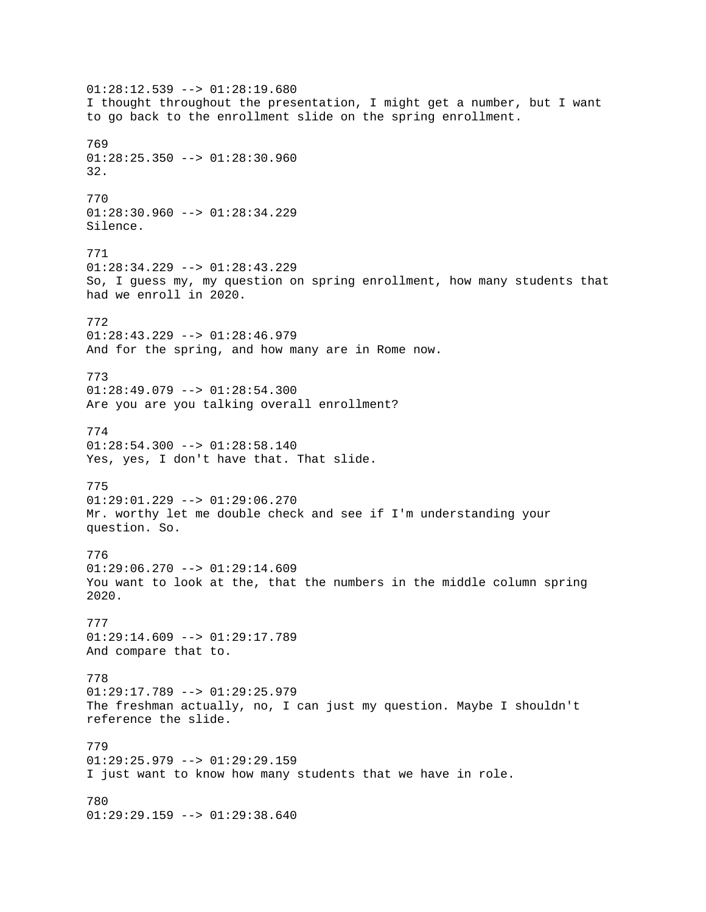01:28:12.539 --> 01:28:19.680 I thought throughout the presentation, I might get a number, but I want to go back to the enrollment slide on the spring enrollment. 769  $01:28:25.350$  -->  $01:28:30.960$ 32. 770  $01:28:30.960$  -->  $01:28:34.229$ Silence. 771 01:28:34.229 --> 01:28:43.229 So, I guess my, my question on spring enrollment, how many students that had we enroll in 2020. 772 01:28:43.229 --> 01:28:46.979 And for the spring, and how many are in Rome now. 773 01:28:49.079 --> 01:28:54.300 Are you are you talking overall enrollment? 774  $01:28:54.300$  -->  $01:28:58.140$ Yes, yes, I don't have that. That slide. 775 01:29:01.229 --> 01:29:06.270 Mr. worthy let me double check and see if I'm understanding your question. So. 776  $01:29:06.270$  -->  $01:29:14.609$ You want to look at the, that the numbers in the middle column spring 2020. 777  $01:29:14.609$  -->  $01:29:17.789$ And compare that to. 778  $01:29:17.789$  -->  $01:29:25.979$ The freshman actually, no, I can just my question. Maybe I shouldn't reference the slide. 779 01:29:25.979 --> 01:29:29.159 I just want to know how many students that we have in role. 780 01:29:29.159 --> 01:29:38.640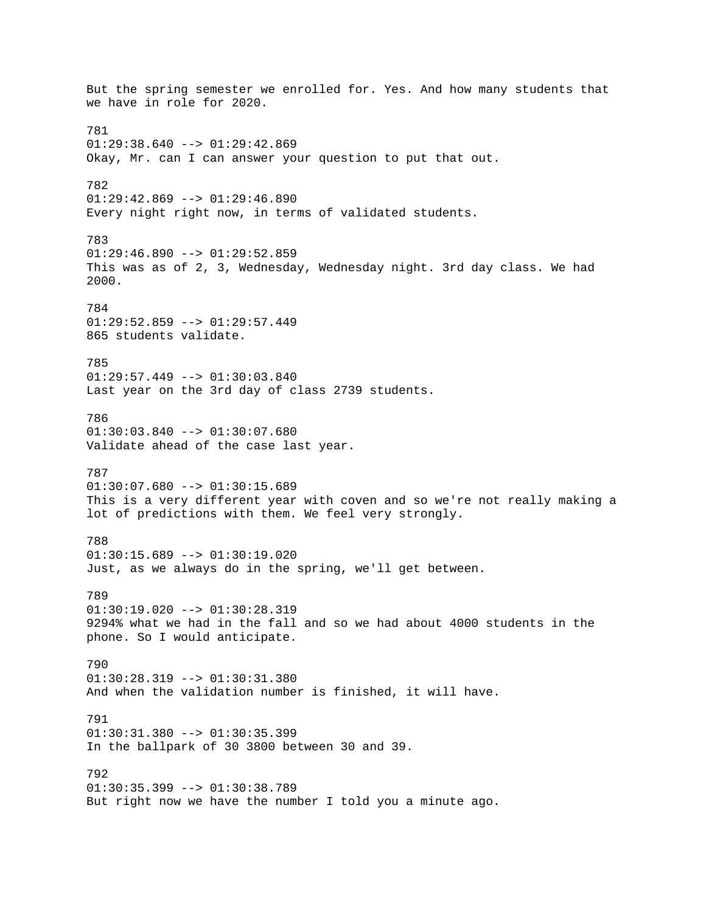But the spring semester we enrolled for. Yes. And how many students that we have in role for 2020. 781  $01:29:38.640$  -->  $01:29:42.869$ Okay, Mr. can I can answer your question to put that out. 782  $01:29:42.869$  -->  $01:29:46.890$ Every night right now, in terms of validated students. 783  $01:29:46.890$  -->  $01:29:52.859$ This was as of 2, 3, Wednesday, Wednesday night. 3rd day class. We had 2000. 784 01:29:52.859 --> 01:29:57.449 865 students validate. 785  $01:29:57.449$  -->  $01:30:03.840$ Last year on the 3rd day of class 2739 students. 786 01:30:03.840 --> 01:30:07.680 Validate ahead of the case last year. 787 01:30:07.680 --> 01:30:15.689 This is a very different year with coven and so we're not really making a lot of predictions with them. We feel very strongly. 788 01:30:15.689 --> 01:30:19.020 Just, as we always do in the spring, we'll get between. 789  $01:30:19.020$  -->  $01:30:28.319$ 9294% what we had in the fall and so we had about 4000 students in the phone. So I would anticipate. 790 01:30:28.319 --> 01:30:31.380 And when the validation number is finished, it will have. 791  $01:30:31.380$  -->  $01:30:35.399$ In the ballpark of 30 3800 between 30 and 39. 792  $01:30:35.399$  -->  $01:30:38.789$ But right now we have the number I told you a minute ago.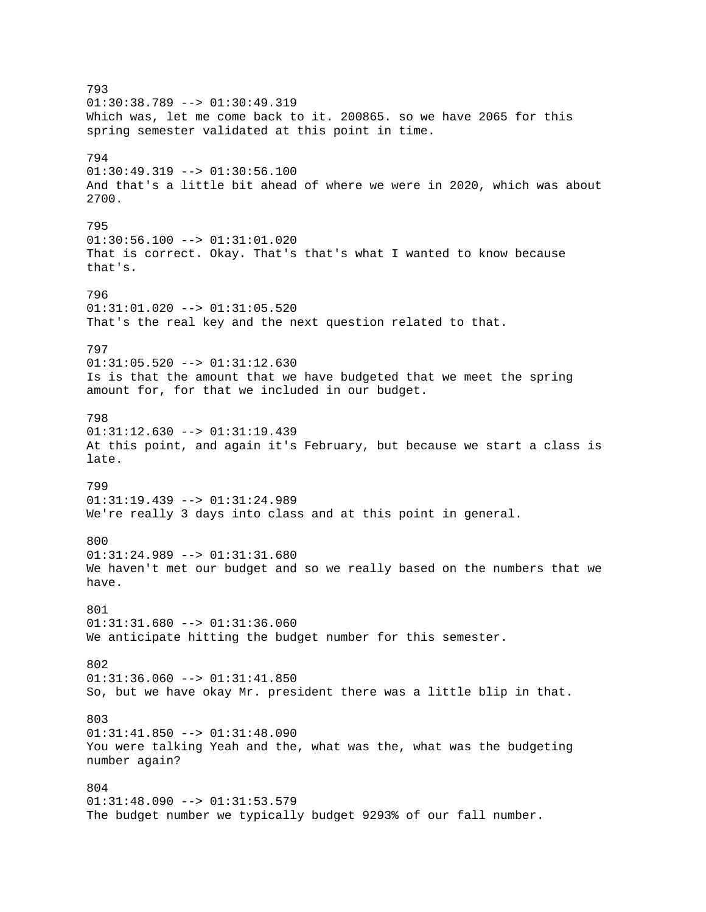793  $01:30:38.789$  -->  $01:30:49.319$ Which was, let me come back to it. 200865. so we have 2065 for this spring semester validated at this point in time. 794 01:30:49.319 --> 01:30:56.100 And that's a little bit ahead of where we were in 2020, which was about 2700. 795 01:30:56.100 --> 01:31:01.020 That is correct. Okay. That's that's what I wanted to know because that's. 796 01:31:01.020 --> 01:31:05.520 That's the real key and the next question related to that. 797 01:31:05.520 --> 01:31:12.630 Is is that the amount that we have budgeted that we meet the spring amount for, for that we included in our budget. 798 01:31:12.630 --> 01:31:19.439 At this point, and again it's February, but because we start a class is late. 799 01:31:19.439 --> 01:31:24.989 We're really 3 days into class and at this point in general. 800 01:31:24.989 --> 01:31:31.680 We haven't met our budget and so we really based on the numbers that we have. 801  $01:31:31.680$  -->  $01:31:36.060$ We anticipate hitting the budget number for this semester. 802 01:31:36.060 --> 01:31:41.850 So, but we have okay Mr. president there was a little blip in that. 803  $01:31:41.850$  -->  $01:31:48.090$ You were talking Yeah and the, what was the, what was the budgeting number again? 804 01:31:48.090 --> 01:31:53.579 The budget number we typically budget 9293% of our fall number.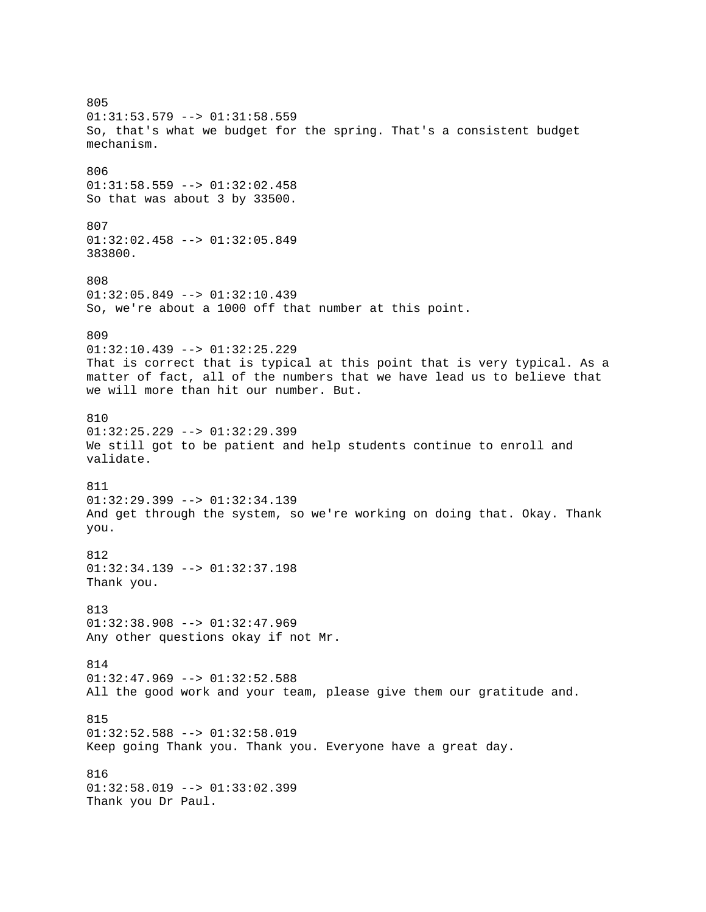805 01:31:53.579 --> 01:31:58.559 So, that's what we budget for the spring. That's a consistent budget mechanism. 806 01:31:58.559 --> 01:32:02.458 So that was about 3 by 33500. 807 01:32:02.458 --> 01:32:05.849 383800. 808  $01:32:05.849$  -->  $01:32:10.439$ So, we're about a 1000 off that number at this point. 809 01:32:10.439 --> 01:32:25.229 That is correct that is typical at this point that is very typical. As a matter of fact, all of the numbers that we have lead us to believe that we will more than hit our number. But. 810 01:32:25.229 --> 01:32:29.399 We still got to be patient and help students continue to enroll and validate. 811 01:32:29.399 --> 01:32:34.139 And get through the system, so we're working on doing that. Okay. Thank you. 812 01:32:34.139 --> 01:32:37.198 Thank you. 813  $01:32:38.908$  -->  $01:32:47.969$ Any other questions okay if not Mr. 814  $01:32:47.969$  -->  $01:32:52.588$ All the good work and your team, please give them our gratitude and. 815  $01:32:52.588$  -->  $01:32:58.019$ Keep going Thank you. Thank you. Everyone have a great day. 816 01:32:58.019 --> 01:33:02.399 Thank you Dr Paul.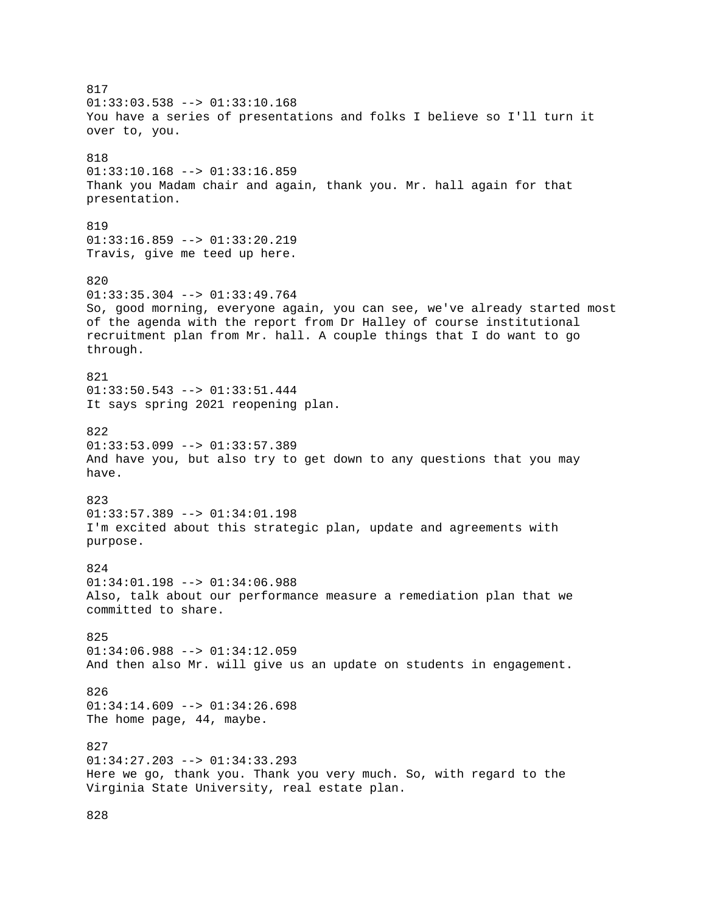817  $01:33:03.538$  -->  $01:33:10.168$ You have a series of presentations and folks I believe so I'll turn it over to, you. 818 01:33:10.168 --> 01:33:16.859 Thank you Madam chair and again, thank you. Mr. hall again for that presentation. 819 01:33:16.859 --> 01:33:20.219 Travis, give me teed up here. 820  $01:33:35.304$  -->  $01:33:49.764$ So, good morning, everyone again, you can see, we've already started most of the agenda with the report from Dr Halley of course institutional recruitment plan from Mr. hall. A couple things that I do want to go through. 821 01:33:50.543 --> 01:33:51.444 It says spring 2021 reopening plan.  $822$  $01:33:53.099$  -->  $01:33:57.389$ And have you, but also try to get down to any questions that you may have. 823 01:33:57.389 --> 01:34:01.198 I'm excited about this strategic plan, update and agreements with purpose. 824 01:34:01.198 --> 01:34:06.988 Also, talk about our performance measure a remediation plan that we committed to share. 825 01:34:06.988 --> 01:34:12.059 And then also Mr. will give us an update on students in engagement. 826 01:34:14.609 --> 01:34:26.698 The home page, 44, maybe. 827 01:34:27.203 --> 01:34:33.293 Here we go, thank you. Thank you very much. So, with regard to the Virginia State University, real estate plan.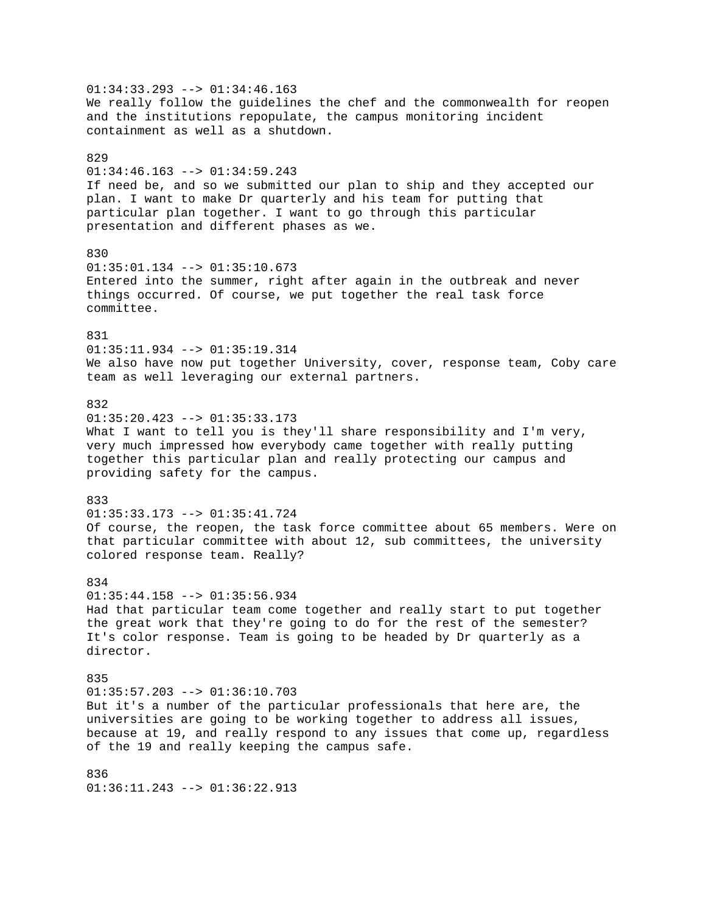$01:34:33.293$  -->  $01:34:46.163$ We really follow the guidelines the chef and the commonwealth for reopen and the institutions repopulate, the campus monitoring incident containment as well as a shutdown. 829 01:34:46.163 --> 01:34:59.243 If need be, and so we submitted our plan to ship and they accepted our plan. I want to make Dr quarterly and his team for putting that particular plan together. I want to go through this particular presentation and different phases as we. 830 01:35:01.134 --> 01:35:10.673 Entered into the summer, right after again in the outbreak and never things occurred. Of course, we put together the real task force committee. 831 01:35:11.934 --> 01:35:19.314 We also have now put together University, cover, response team, Coby care team as well leveraging our external partners. 832 01:35:20.423 --> 01:35:33.173 What I want to tell you is they'll share responsibility and I'm very, very much impressed how everybody came together with really putting together this particular plan and really protecting our campus and providing safety for the campus. 833 01:35:33.173 --> 01:35:41.724 Of course, the reopen, the task force committee about 65 members. Were on that particular committee with about 12, sub committees, the university colored response team. Really? 834  $01:35:44.158$  -->  $01:35:56.934$ Had that particular team come together and really start to put together the great work that they're going to do for the rest of the semester? It's color response. Team is going to be headed by Dr quarterly as a director. 835  $01:35:57.203$  -->  $01:36:10.703$ But it's a number of the particular professionals that here are, the universities are going to be working together to address all issues, because at 19, and really respond to any issues that come up, regardless of the 19 and really keeping the campus safe. 836  $01:36:11.243$  -->  $01:36:22.913$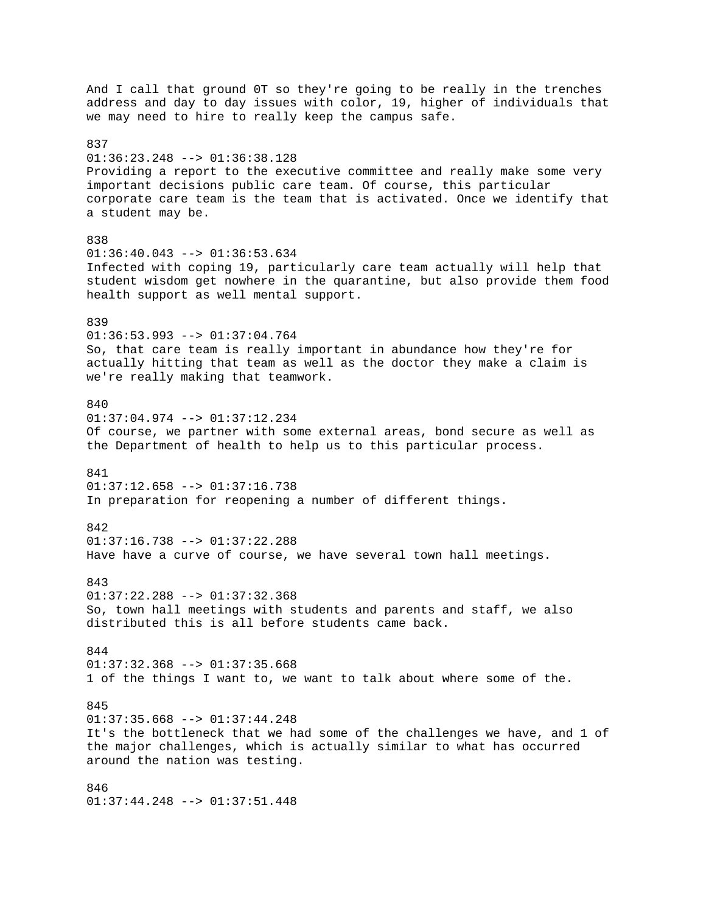And I call that ground 0T so they're going to be really in the trenches address and day to day issues with color, 19, higher of individuals that we may need to hire to really keep the campus safe. 837 01:36:23.248 --> 01:36:38.128 Providing a report to the executive committee and really make some very important decisions public care team. Of course, this particular corporate care team is the team that is activated. Once we identify that a student may be. 838  $01:36:40.043$  -->  $01:36:53.634$ Infected with coping 19, particularly care team actually will help that student wisdom get nowhere in the quarantine, but also provide them food health support as well mental support. 839 01:36:53.993 --> 01:37:04.764 So, that care team is really important in abundance how they're for actually hitting that team as well as the doctor they make a claim is we're really making that teamwork. 840 01:37:04.974 --> 01:37:12.234 Of course, we partner with some external areas, bond secure as well as the Department of health to help us to this particular process. 841 01:37:12.658 --> 01:37:16.738 In preparation for reopening a number of different things. 842  $01:37:16.738$  -->  $01:37:22.288$ Have have a curve of course, we have several town hall meetings. 843 01:37:22.288 --> 01:37:32.368 So, town hall meetings with students and parents and staff, we also distributed this is all before students came back. 844  $01:37:32.368$  -->  $01:37:35.668$ 1 of the things I want to, we want to talk about where some of the. 845  $01:37:35.668$  -->  $01:37:44.248$ It's the bottleneck that we had some of the challenges we have, and 1 of the major challenges, which is actually similar to what has occurred around the nation was testing. 846 01:37:44.248 --> 01:37:51.448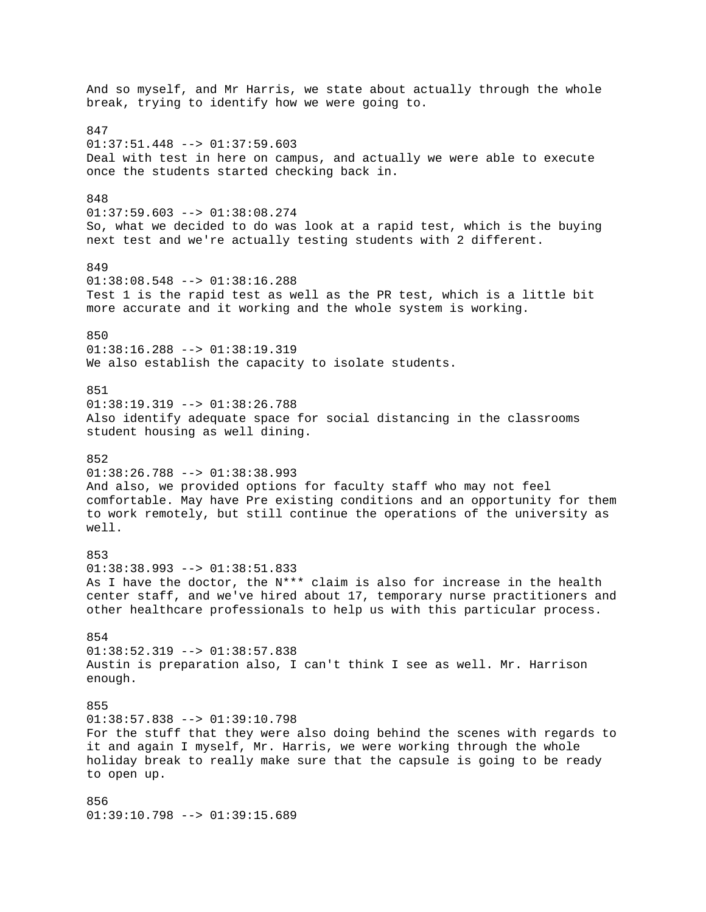And so myself, and Mr Harris, we state about actually through the whole break, trying to identify how we were going to. 847  $01:37:51.448$  -->  $01:37:59.603$ Deal with test in here on campus, and actually we were able to execute once the students started checking back in. 848 01:37:59.603 --> 01:38:08.274 So, what we decided to do was look at a rapid test, which is the buying next test and we're actually testing students with 2 different. 849 01:38:08.548 --> 01:38:16.288 Test 1 is the rapid test as well as the PR test, which is a little bit more accurate and it working and the whole system is working. 850 01:38:16.288 --> 01:38:19.319 We also establish the capacity to isolate students. 851  $01:38:19.319$  -->  $01:38:26.788$ Also identify adequate space for social distancing in the classrooms student housing as well dining. 852 01:38:26.788 --> 01:38:38.993 And also, we provided options for faculty staff who may not feel comfortable. May have Pre existing conditions and an opportunity for them to work remotely, but still continue the operations of the university as well. 853 01:38:38.993 --> 01:38:51.833 As I have the doctor, the N\*\*\* claim is also for increase in the health center staff, and we've hired about 17, temporary nurse practitioners and other healthcare professionals to help us with this particular process. 854  $01:38:52.319$  -->  $01:38:57.838$ Austin is preparation also, I can't think I see as well. Mr. Harrison enough. 855 01:38:57.838 --> 01:39:10.798 For the stuff that they were also doing behind the scenes with regards to it and again I myself, Mr. Harris, we were working through the whole holiday break to really make sure that the capsule is going to be ready to open up. 856 01:39:10.798 --> 01:39:15.689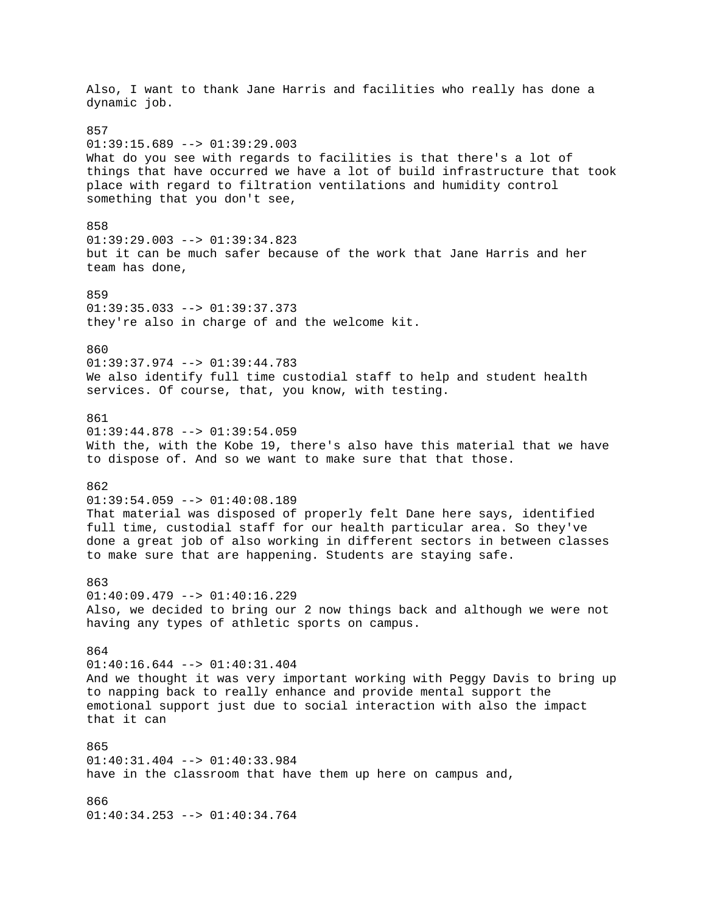Also, I want to thank Jane Harris and facilities who really has done a dynamic job. 857  $01:39:15.689$  -->  $01:39:29.003$ What do you see with regards to facilities is that there's a lot of things that have occurred we have a lot of build infrastructure that took place with regard to filtration ventilations and humidity control something that you don't see, 858 01:39:29.003 --> 01:39:34.823 but it can be much safer because of the work that Jane Harris and her team has done, 859 01:39:35.033 --> 01:39:37.373 they're also in charge of and the welcome kit. 860 01:39:37.974 --> 01:39:44.783 We also identify full time custodial staff to help and student health services. Of course, that, you know, with testing. 861 01:39:44.878 --> 01:39:54.059 With the, with the Kobe 19, there's also have this material that we have to dispose of. And so we want to make sure that that those. 862 01:39:54.059 --> 01:40:08.189 That material was disposed of properly felt Dane here says, identified full time, custodial staff for our health particular area. So they've done a great job of also working in different sectors in between classes to make sure that are happening. Students are staying safe. 863 01:40:09.479 --> 01:40:16.229 Also, we decided to bring our 2 now things back and although we were not having any types of athletic sports on campus. 864 01:40:16.644 --> 01:40:31.404 And we thought it was very important working with Peggy Davis to bring up to napping back to really enhance and provide mental support the emotional support just due to social interaction with also the impact that it can  $965$ 01:40:31.404 --> 01:40:33.984 have in the classroom that have them up here on campus and, 866 01:40:34.253 --> 01:40:34.764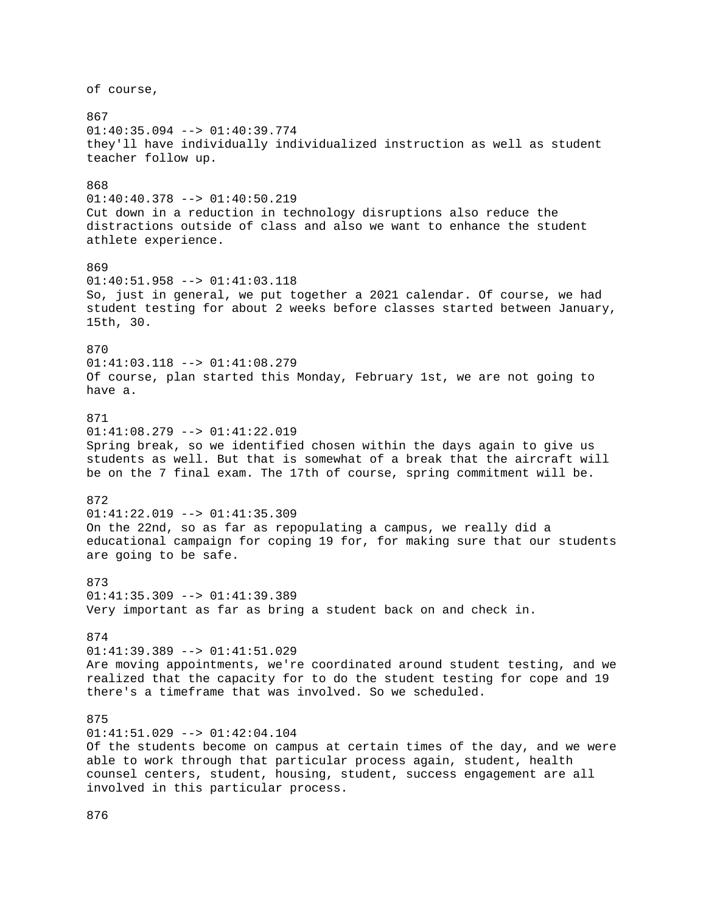of course, 867 01:40:35.094 --> 01:40:39.774 they'll have individually individualized instruction as well as student teacher follow up. 868 01:40:40.378 --> 01:40:50.219 Cut down in a reduction in technology disruptions also reduce the distractions outside of class and also we want to enhance the student athlete experience. 869 01:40:51.958 --> 01:41:03.118 So, just in general, we put together a 2021 calendar. Of course, we had student testing for about 2 weeks before classes started between January, 15th, 30. 870 01:41:03.118 --> 01:41:08.279 Of course, plan started this Monday, February 1st, we are not going to have a. 871 01:41:08.279 --> 01:41:22.019 Spring break, so we identified chosen within the days again to give us students as well. But that is somewhat of a break that the aircraft will be on the 7 final exam. The 17th of course, spring commitment will be. 872 01:41:22.019 --> 01:41:35.309 On the 22nd, so as far as repopulating a campus, we really did a educational campaign for coping 19 for, for making sure that our students are going to be safe. 873 01:41:35.309 --> 01:41:39.389 Very important as far as bring a student back on and check in. 874  $01:41:39.389$  -->  $01:41:51.029$ Are moving appointments, we're coordinated around student testing, and we realized that the capacity for to do the student testing for cope and 19 there's a timeframe that was involved. So we scheduled. 875  $01:41:51.029$  -->  $01:42:04.104$ Of the students become on campus at certain times of the day, and we were able to work through that particular process again, student, health counsel centers, student, housing, student, success engagement are all involved in this particular process.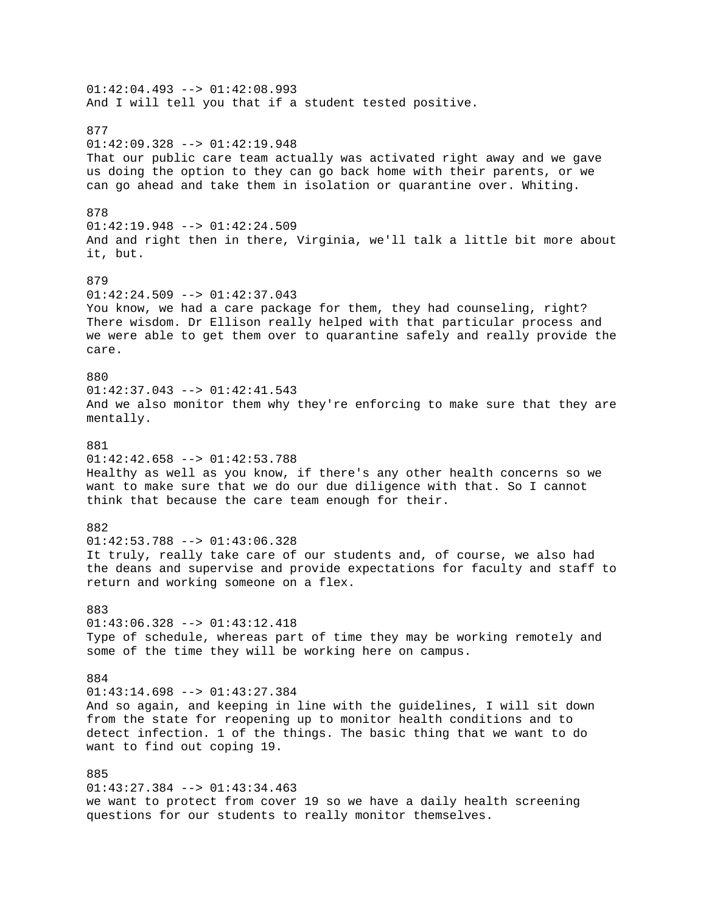$01:42:04.493$  -->  $01:42:08.993$ And I will tell you that if a student tested positive. 877 01:42:09.328 --> 01:42:19.948 That our public care team actually was activated right away and we gave us doing the option to they can go back home with their parents, or we can go ahead and take them in isolation or quarantine over. Whiting. 878 01:42:19.948 --> 01:42:24.509 And and right then in there, Virginia, we'll talk a little bit more about it, but. 879  $01:42:24.509$  -->  $01:42:37.043$ You know, we had a care package for them, they had counseling, right? There wisdom. Dr Ellison really helped with that particular process and we were able to get them over to quarantine safely and really provide the care. 880 01:42:37.043 --> 01:42:41.543 And we also monitor them why they're enforcing to make sure that they are mentally. 881  $01:42:42.658$  -->  $01:42:53.788$ Healthy as well as you know, if there's any other health concerns so we want to make sure that we do our due diligence with that. So I cannot think that because the care team enough for their. 882 01:42:53.788 --> 01:43:06.328 It truly, really take care of our students and, of course, we also had the deans and supervise and provide expectations for faculty and staff to return and working someone on a flex. 883  $01:43:06.328$  -->  $01:43:12.418$ Type of schedule, whereas part of time they may be working remotely and some of the time they will be working here on campus. 884  $01:43:14.698$  -->  $01:43:27.384$ And so again, and keeping in line with the guidelines, I will sit down from the state for reopening up to monitor health conditions and to detect infection. 1 of the things. The basic thing that we want to do want to find out coping 19. 885  $01:43:27.384$  -->  $01:43:34.463$ we want to protect from cover 19 so we have a daily health screening questions for our students to really monitor themselves.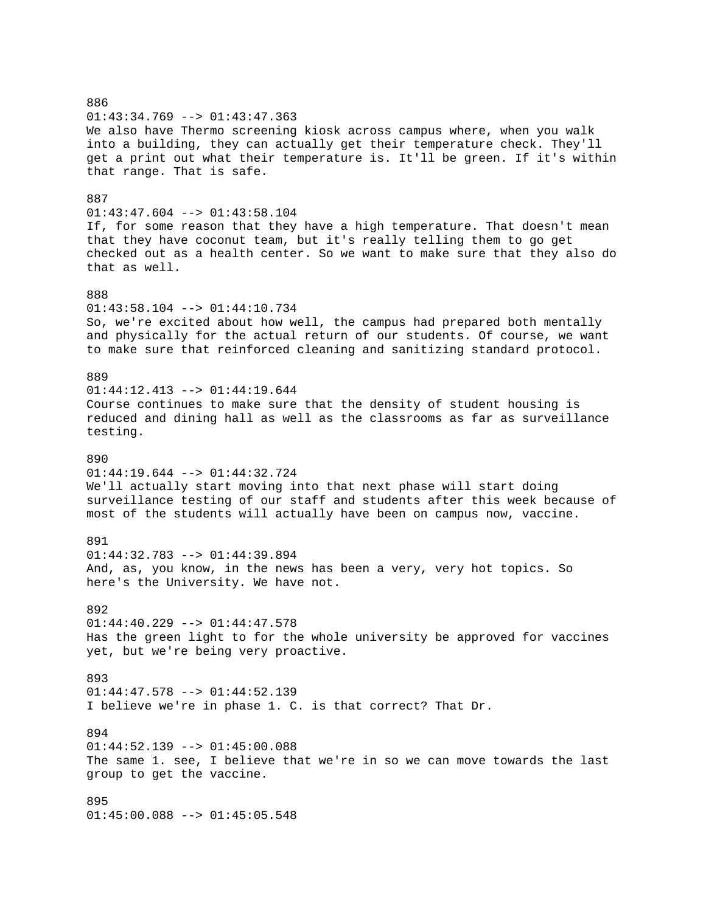886 01:43:34.769 --> 01:43:47.363 We also have Thermo screening kiosk across campus where, when you walk into a building, they can actually get their temperature check. They'll get a print out what their temperature is. It'll be green. If it's within that range. That is safe. 887 01:43:47.604 --> 01:43:58.104 If, for some reason that they have a high temperature. That doesn't mean that they have coconut team, but it's really telling them to go get checked out as a health center. So we want to make sure that they also do that as well. 888 01:43:58.104 --> 01:44:10.734 So, we're excited about how well, the campus had prepared both mentally and physically for the actual return of our students. Of course, we want to make sure that reinforced cleaning and sanitizing standard protocol. 889 01:44:12.413 --> 01:44:19.644 Course continues to make sure that the density of student housing is reduced and dining hall as well as the classrooms as far as surveillance testing. 890 01:44:19.644 --> 01:44:32.724 We'll actually start moving into that next phase will start doing surveillance testing of our staff and students after this week because of most of the students will actually have been on campus now, vaccine. 891 01:44:32.783 --> 01:44:39.894 And, as, you know, in the news has been a very, very hot topics. So here's the University. We have not. 892  $01:44:40.229$  -->  $01:44:47.578$ Has the green light to for the whole university be approved for vaccines yet, but we're being very proactive. 893  $01:44:47.578$  -->  $01:44:52.139$ I believe we're in phase 1. C. is that correct? That Dr. 894 01:44:52.139 --> 01:45:00.088 The same 1. see, I believe that we're in so we can move towards the last group to get the vaccine. 895 01:45:00.088 --> 01:45:05.548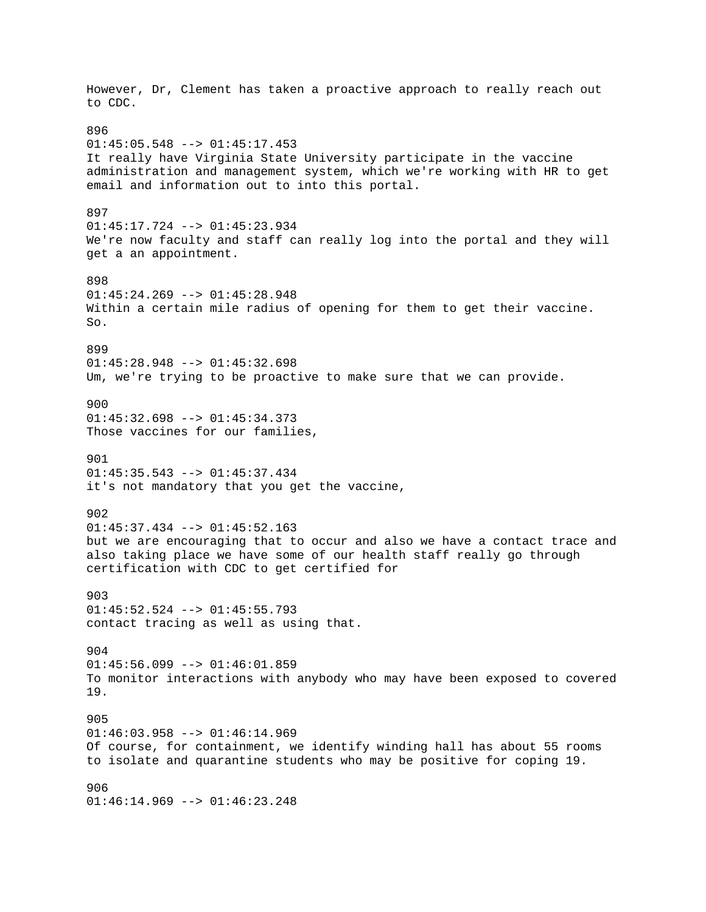However, Dr, Clement has taken a proactive approach to really reach out to CDC. 896 01:45:05.548 --> 01:45:17.453 It really have Virginia State University participate in the vaccine administration and management system, which we're working with HR to get email and information out to into this portal. 897 01:45:17.724 --> 01:45:23.934 We're now faculty and staff can really log into the portal and they will get a an appointment. 898  $01:45:24.269$  -->  $01:45:28.948$ Within a certain mile radius of opening for them to get their vaccine. So. 899 01:45:28.948 --> 01:45:32.698 Um, we're trying to be proactive to make sure that we can provide. 900 01:45:32.698 --> 01:45:34.373 Those vaccines for our families, 901 01:45:35.543 --> 01:45:37.434 it's not mandatory that you get the vaccine, 902  $01:45:37.434$  -->  $01:45:52.163$ but we are encouraging that to occur and also we have a contact trace and also taking place we have some of our health staff really go through certification with CDC to get certified for 903 01:45:52.524 --> 01:45:55.793 contact tracing as well as using that. 904 01:45:56.099 --> 01:46:01.859 To monitor interactions with anybody who may have been exposed to covered 19. 905 01:46:03.958 --> 01:46:14.969 Of course, for containment, we identify winding hall has about 55 rooms to isolate and quarantine students who may be positive for coping 19. 906 01:46:14.969 --> 01:46:23.248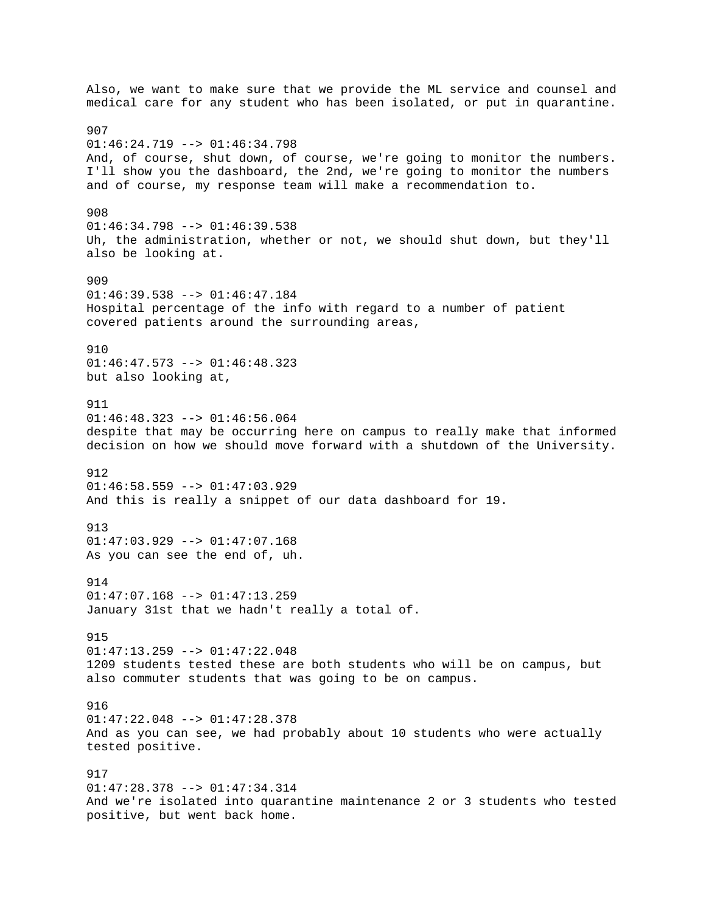Also, we want to make sure that we provide the ML service and counsel and medical care for any student who has been isolated, or put in quarantine. 907 01:46:24.719 --> 01:46:34.798 And, of course, shut down, of course, we're going to monitor the numbers. I'll show you the dashboard, the 2nd, we're going to monitor the numbers and of course, my response team will make a recommendation to. 908 01:46:34.798 --> 01:46:39.538 Uh, the administration, whether or not, we should shut down, but they'll also be looking at. 909  $01:46:39.538$  -->  $01:46:47.184$ Hospital percentage of the info with regard to a number of patient covered patients around the surrounding areas, 910 01:46:47.573 --> 01:46:48.323 but also looking at, 911 01:46:48.323 --> 01:46:56.064 despite that may be occurring here on campus to really make that informed decision on how we should move forward with a shutdown of the University. 912 01:46:58.559 --> 01:47:03.929 And this is really a snippet of our data dashboard for 19. 913  $01:47:03.929$  -->  $01:47:07.168$ As you can see the end of, uh. 914 01:47:07.168 --> 01:47:13.259 January 31st that we hadn't really a total of. 915  $01:47:13.259$  -->  $01:47:22.048$ 1209 students tested these are both students who will be on campus, but also commuter students that was going to be on campus. 916 01:47:22.048 --> 01:47:28.378 And as you can see, we had probably about 10 students who were actually tested positive. 917 01:47:28.378 --> 01:47:34.314 And we're isolated into quarantine maintenance 2 or 3 students who tested positive, but went back home.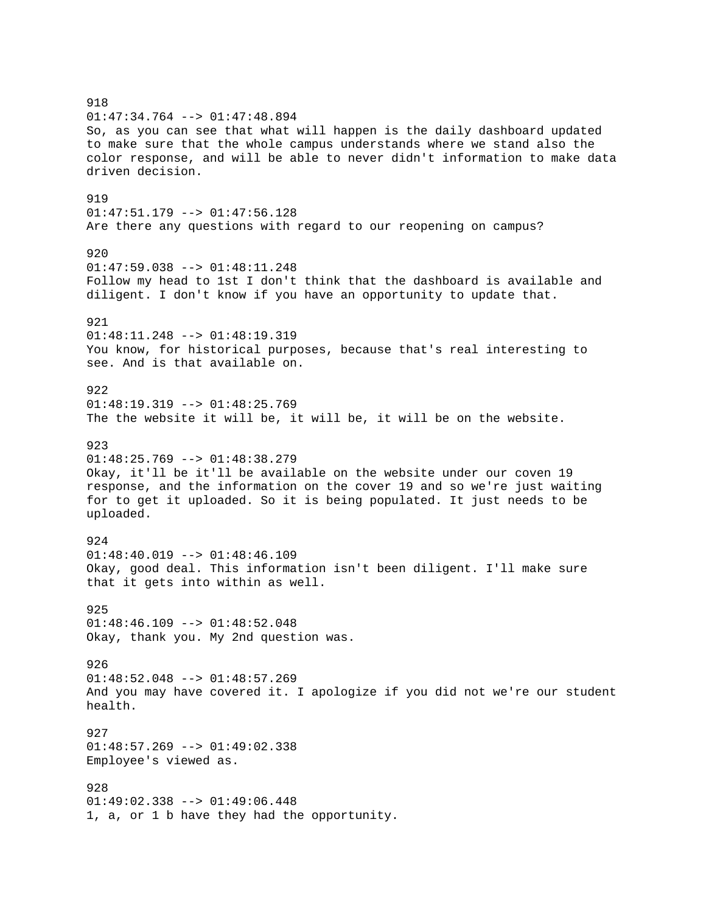918 01:47:34.764 --> 01:47:48.894 So, as you can see that what will happen is the daily dashboard updated to make sure that the whole campus understands where we stand also the color response, and will be able to never didn't information to make data driven decision. 919 01:47:51.179 --> 01:47:56.128 Are there any questions with regard to our reopening on campus? 920 01:47:59.038 --> 01:48:11.248 Follow my head to 1st I don't think that the dashboard is available and diligent. I don't know if you have an opportunity to update that. 921 01:48:11.248 --> 01:48:19.319 You know, for historical purposes, because that's real interesting to see. And is that available on. 922  $01:48:19.319 --> 01:48:25.769$ The the website it will be, it will be, it will be on the website. 923  $01:48:25.769$  -->  $01:48:38.279$ Okay, it'll be it'll be available on the website under our coven 19 response, and the information on the cover 19 and so we're just waiting for to get it uploaded. So it is being populated. It just needs to be uploaded. 924 01:48:40.019 --> 01:48:46.109 Okay, good deal. This information isn't been diligent. I'll make sure that it gets into within as well. 925  $01:48:46.109$  -->  $01:48:52.048$ Okay, thank you. My 2nd question was. 926 01:48:52.048 --> 01:48:57.269 And you may have covered it. I apologize if you did not we're our student health. 927  $01:48:57.269$  -->  $01:49:02.338$ Employee's viewed as. 928 01:49:02.338 --> 01:49:06.448 1, a, or 1 b have they had the opportunity.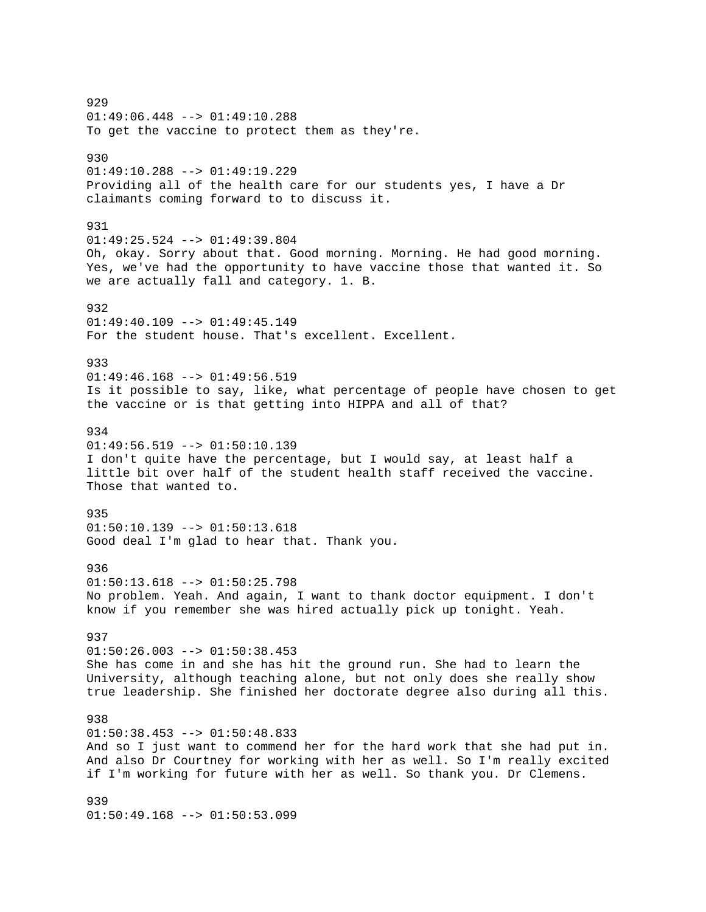929 01:49:06.448 --> 01:49:10.288 To get the vaccine to protect them as they're. 930 01:49:10.288 --> 01:49:19.229 Providing all of the health care for our students yes, I have a Dr claimants coming forward to to discuss it. 931 01:49:25.524 --> 01:49:39.804 Oh, okay. Sorry about that. Good morning. Morning. He had good morning. Yes, we've had the opportunity to have vaccine those that wanted it. So we are actually fall and category. 1. B. 932  $01:49:40.109$  -->  $01:49:45.149$ For the student house. That's excellent. Excellent. 933  $01:49:46.168$  -->  $01:49:56.519$ Is it possible to say, like, what percentage of people have chosen to get the vaccine or is that getting into HIPPA and all of that? 934  $01:49:56.519$  -->  $01:50:10.139$ I don't quite have the percentage, but I would say, at least half a little bit over half of the student health staff received the vaccine. Those that wanted to. 935 01:50:10.139 --> 01:50:13.618 Good deal I'm glad to hear that. Thank you. 936 01:50:13.618 --> 01:50:25.798 No problem. Yeah. And again, I want to thank doctor equipment. I don't know if you remember she was hired actually pick up tonight. Yeah. 937  $01:50:26.003$  -->  $01:50:38.453$ She has come in and she has hit the ground run. She had to learn the University, although teaching alone, but not only does she really show true leadership. She finished her doctorate degree also during all this. 938  $01:50:38.453$  -->  $01:50:48.833$ And so I just want to commend her for the hard work that she had put in. And also Dr Courtney for working with her as well. So I'm really excited if I'm working for future with her as well. So thank you. Dr Clemens. 939 01:50:49.168 --> 01:50:53.099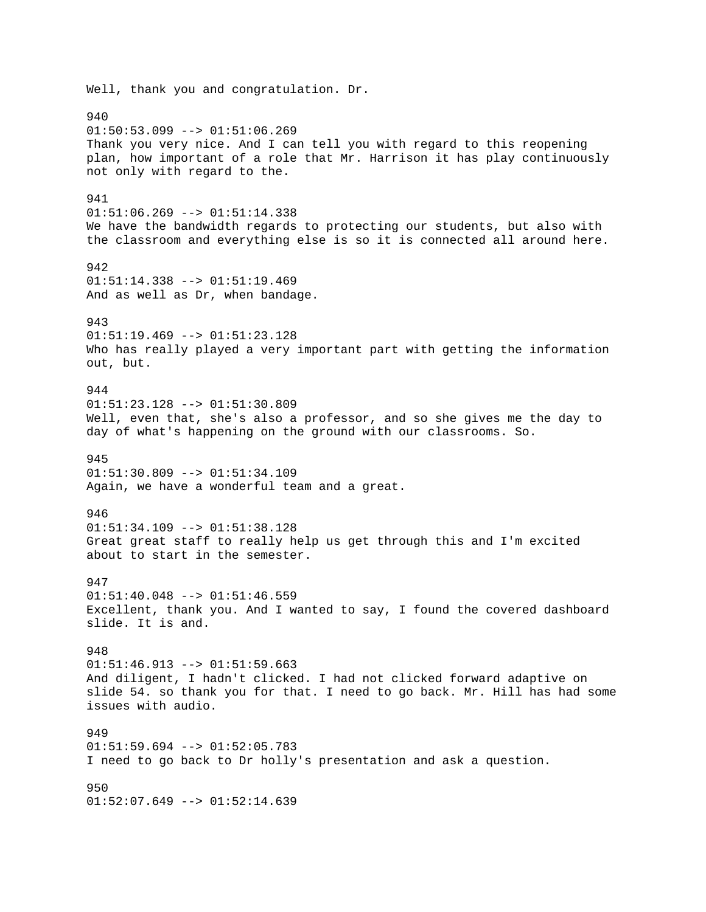Well, thank you and congratulation. Dr. 940  $01:50:53.099$  -->  $01:51:06.269$ Thank you very nice. And I can tell you with regard to this reopening plan, how important of a role that Mr. Harrison it has play continuously not only with regard to the. 941  $01:51:06.269$  -->  $01:51:14.338$ We have the bandwidth regards to protecting our students, but also with the classroom and everything else is so it is connected all around here. 942 01:51:14.338 --> 01:51:19.469 And as well as Dr, when bandage. 943  $01:51:19.469$  -->  $01:51:23.128$ Who has really played a very important part with getting the information out, but. 944 01:51:23.128 --> 01:51:30.809 Well, even that, she's also a professor, and so she gives me the day to day of what's happening on the ground with our classrooms. So. 945 01:51:30.809 --> 01:51:34.109 Again, we have a wonderful team and a great. 946 01:51:34.109 --> 01:51:38.128 Great great staff to really help us get through this and I'm excited about to start in the semester. 947  $01:51:40.048$  -->  $01:51:46.559$ Excellent, thank you. And I wanted to say, I found the covered dashboard slide. It is and. 948  $01:51:46.913$  -->  $01:51:59.663$ And diligent, I hadn't clicked. I had not clicked forward adaptive on slide 54. so thank you for that. I need to go back. Mr. Hill has had some issues with audio. 949 01:51:59.694 --> 01:52:05.783 I need to go back to Dr holly's presentation and ask a question. 950 01:52:07.649 --> 01:52:14.639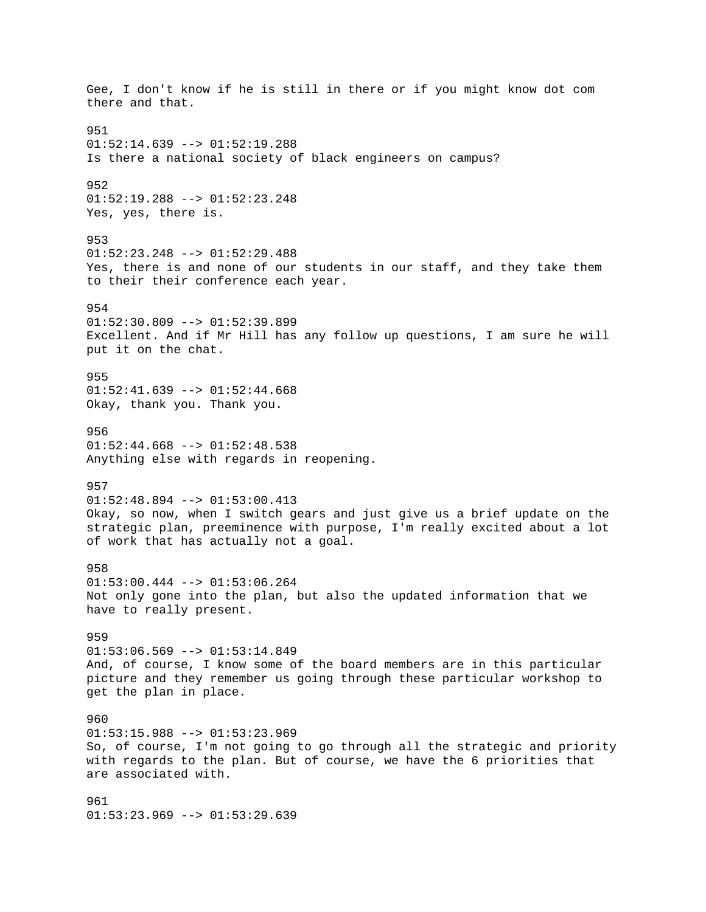Gee, I don't know if he is still in there or if you might know dot com there and that. 951  $01:52:14.639$  -->  $01:52:19.288$ Is there a national society of black engineers on campus? 952 01:52:19.288 --> 01:52:23.248 Yes, yes, there is. 953 01:52:23.248 --> 01:52:29.488 Yes, there is and none of our students in our staff, and they take them to their their conference each year. 954  $01:52:30.809$  -->  $01:52:39.899$ Excellent. And if Mr Hill has any follow up questions, I am sure he will put it on the chat. 955  $01:52:41.639$  -->  $01:52:44.668$ Okay, thank you. Thank you. 956  $01:52:44.668$  -->  $01:52:48.538$ Anything else with regards in reopening. 957 01:52:48.894 --> 01:53:00.413 Okay, so now, when I switch gears and just give us a brief update on the strategic plan, preeminence with purpose, I'm really excited about a lot of work that has actually not a goal. 958 01:53:00.444 --> 01:53:06.264 Not only gone into the plan, but also the updated information that we have to really present. 959  $01:53:06.569$  -->  $01:53:14.849$ And, of course, I know some of the board members are in this particular picture and they remember us going through these particular workshop to get the plan in place. 960  $01:53:15.988$  -->  $01:53:23.969$ So, of course, I'm not going to go through all the strategic and priority with regards to the plan. But of course, we have the 6 priorities that are associated with. 961 01:53:23.969 --> 01:53:29.639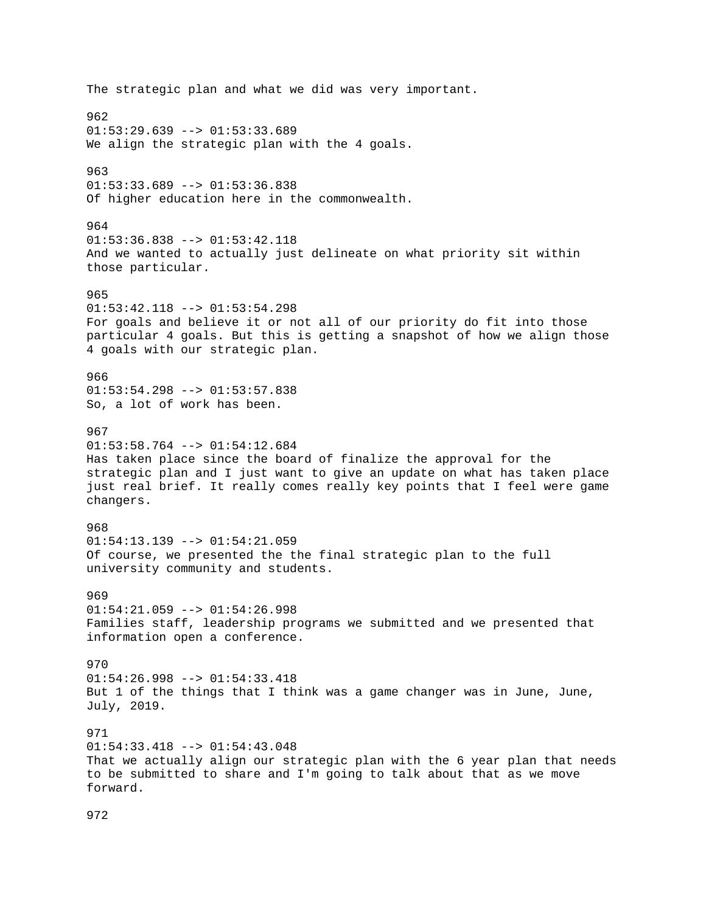The strategic plan and what we did was very important. 962  $01:53:29.639$  -->  $01:53:33.689$ We align the strategic plan with the 4 goals. 963 01:53:33.689 --> 01:53:36.838 Of higher education here in the commonwealth. 964 01:53:36.838 --> 01:53:42.118 And we wanted to actually just delineate on what priority sit within those particular. 965 01:53:42.118 --> 01:53:54.298 For goals and believe it or not all of our priority do fit into those particular 4 goals. But this is getting a snapshot of how we align those 4 goals with our strategic plan. 966 01:53:54.298 --> 01:53:57.838 So, a lot of work has been. 967  $01:53:58.764$  -->  $01:54:12.684$ Has taken place since the board of finalize the approval for the strategic plan and I just want to give an update on what has taken place just real brief. It really comes really key points that I feel were game changers. 968  $01:54:13.139$  -->  $01:54:21.059$ Of course, we presented the the final strategic plan to the full university community and students. 969  $01:54:21.059$  -->  $01:54:26.998$ Families staff, leadership programs we submitted and we presented that information open a conference. 970 01:54:26.998 --> 01:54:33.418 But 1 of the things that I think was a game changer was in June, June, July, 2019. 971 01:54:33.418 --> 01:54:43.048 That we actually align our strategic plan with the 6 year plan that needs to be submitted to share and I'm going to talk about that as we move forward.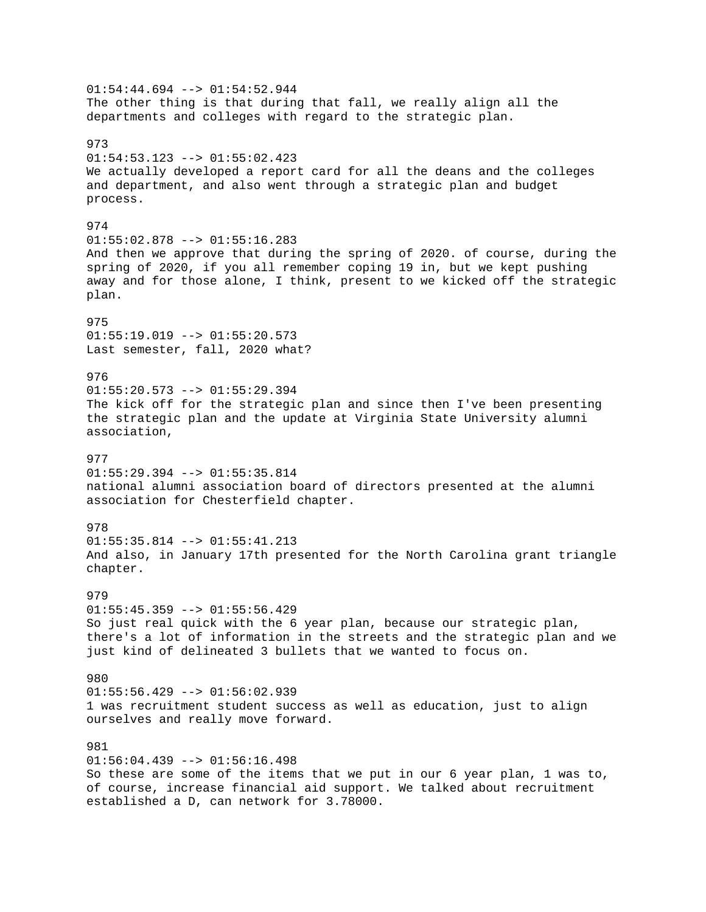$01:54:44.694$  -->  $01:54:52.944$ The other thing is that during that fall, we really align all the departments and colleges with regard to the strategic plan. 973  $01:54:53.123$  -->  $01:55:02.423$ We actually developed a report card for all the deans and the colleges and department, and also went through a strategic plan and budget process. 974  $01:55:02.878$  -->  $01:55:16.283$ And then we approve that during the spring of 2020. of course, during the spring of 2020, if you all remember coping 19 in, but we kept pushing away and for those alone, I think, present to we kicked off the strategic plan. 975 01:55:19.019 --> 01:55:20.573 Last semester, fall, 2020 what? 976 01:55:20.573 --> 01:55:29.394 The kick off for the strategic plan and since then I've been presenting the strategic plan and the update at Virginia State University alumni association, 977 01:55:29.394 --> 01:55:35.814 national alumni association board of directors presented at the alumni association for Chesterfield chapter. 978  $01:55:35.814$  -->  $01:55:41.213$ And also, in January 17th presented for the North Carolina grant triangle chapter. 979  $01:55:45.359$  -->  $01:55:56.429$ So just real quick with the 6 year plan, because our strategic plan, there's a lot of information in the streets and the strategic plan and we just kind of delineated 3 bullets that we wanted to focus on. 980  $01:55:56.429$  -->  $01:56:02.939$ 1 was recruitment student success as well as education, just to align ourselves and really move forward. 981  $01:56:04.439$  -->  $01:56:16.498$ So these are some of the items that we put in our 6 year plan, 1 was to, of course, increase financial aid support. We talked about recruitment established a D, can network for 3.78000.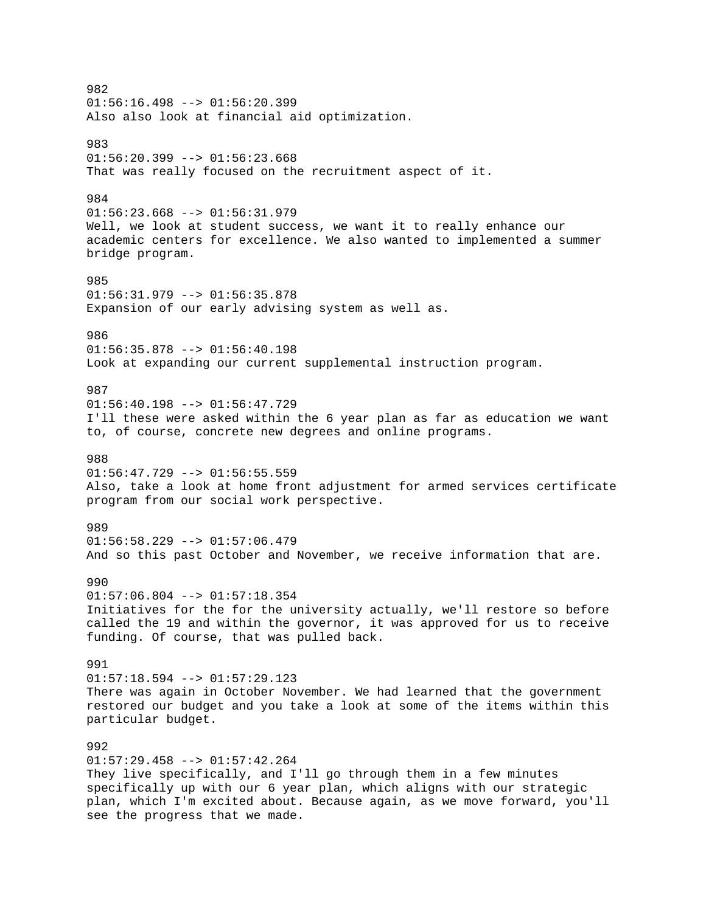982  $01:56:16.498$  -->  $01:56:20.399$ Also also look at financial aid optimization. 983  $01:56:20.399$  -->  $01:56:23.668$ That was really focused on the recruitment aspect of it. 984 01:56:23.668 --> 01:56:31.979 Well, we look at student success, we want it to really enhance our academic centers for excellence. We also wanted to implemented a summer bridge program. 985  $01:56:31.979$  -->  $01:56:35.878$ Expansion of our early advising system as well as. 986 01:56:35.878 --> 01:56:40.198 Look at expanding our current supplemental instruction program. 987 01:56:40.198 --> 01:56:47.729 I'll these were asked within the 6 year plan as far as education we want to, of course, concrete new degrees and online programs. 988  $01:56:47.729$  -->  $01:56:55.559$ Also, take a look at home front adjustment for armed services certificate program from our social work perspective. 989  $01:56:58.229$  -->  $01:57:06.479$ And so this past October and November, we receive information that are. 990  $01:57:06.804$  -->  $01:57:18.354$ Initiatives for the for the university actually, we'll restore so before called the 19 and within the governor, it was approved for us to receive funding. Of course, that was pulled back. 991  $01:57:18.594$  -->  $01:57:29.123$ There was again in October November. We had learned that the government restored our budget and you take a look at some of the items within this particular budget. 992 01:57:29.458 --> 01:57:42.264 They live specifically, and I'll go through them in a few minutes specifically up with our 6 year plan, which aligns with our strategic plan, which I'm excited about. Because again, as we move forward, you'll see the progress that we made.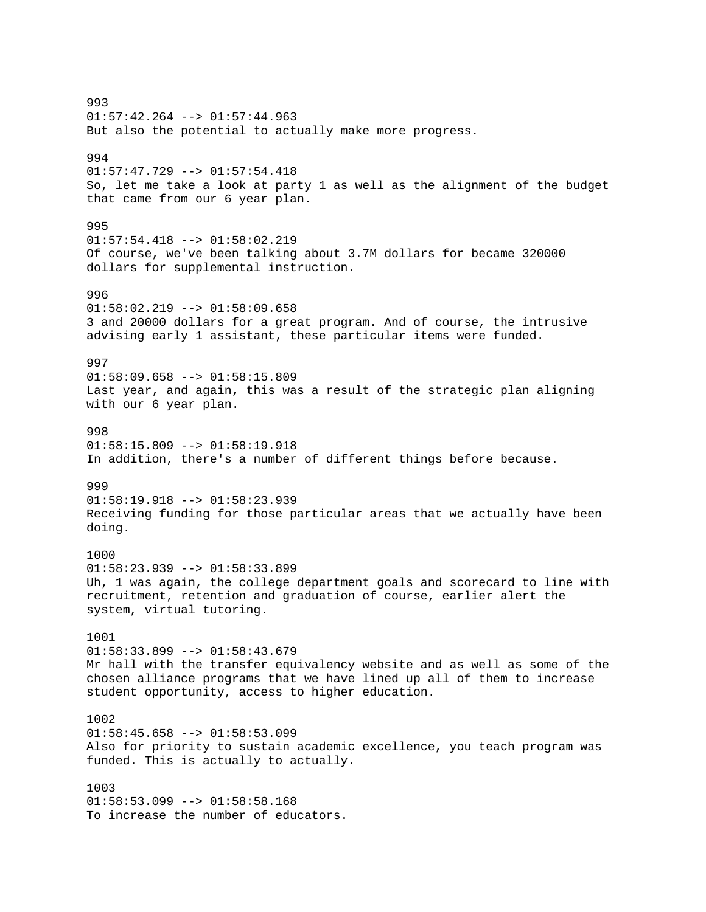993 01:57:42.264 --> 01:57:44.963 But also the potential to actually make more progress. 994 01:57:47.729 --> 01:57:54.418 So, let me take a look at party 1 as well as the alignment of the budget that came from our 6 year plan. 995 01:57:54.418 --> 01:58:02.219 Of course, we've been talking about 3.7M dollars for became 320000 dollars for supplemental instruction. 996 01:58:02.219 --> 01:58:09.658 3 and 20000 dollars for a great program. And of course, the intrusive advising early 1 assistant, these particular items were funded. 997  $01:58:09.658$  -->  $01:58:15.809$ Last year, and again, this was a result of the strategic plan aligning with our 6 year plan. 998  $01:58:15.809$  -->  $01:58:19.918$ In addition, there's a number of different things before because. 999 01:58:19.918 --> 01:58:23.939 Receiving funding for those particular areas that we actually have been doing. 1000  $01:58:23.939$  -->  $01:58:33.899$ Uh, 1 was again, the college department goals and scorecard to line with recruitment, retention and graduation of course, earlier alert the system, virtual tutoring. 1001 01:58:33.899 --> 01:58:43.679 Mr hall with the transfer equivalency website and as well as some of the chosen alliance programs that we have lined up all of them to increase student opportunity, access to higher education. 1002  $01:58:45.658$  -->  $01:58:53.099$ Also for priority to sustain academic excellence, you teach program was funded. This is actually to actually. 1003 01:58:53.099 --> 01:58:58.168 To increase the number of educators.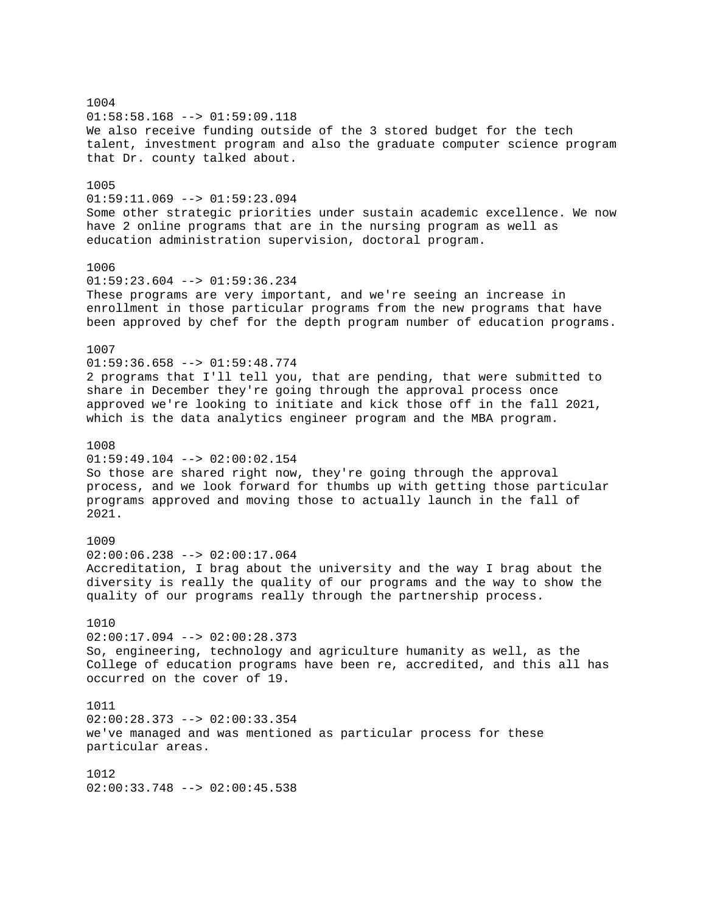1004 01:58:58.168 --> 01:59:09.118 We also receive funding outside of the 3 stored budget for the tech talent, investment program and also the graduate computer science program that Dr. county talked about. 1005  $01:59:11.069$  -->  $01:59:23.094$ Some other strategic priorities under sustain academic excellence. We now have 2 online programs that are in the nursing program as well as education administration supervision, doctoral program. 1006  $01:59:23.604$  -->  $01:59:36.234$ These programs are very important, and we're seeing an increase in enrollment in those particular programs from the new programs that have been approved by chef for the depth program number of education programs. 1007  $01:59:36.658$  -->  $01:59:48.774$ 2 programs that I'll tell you, that are pending, that were submitted to share in December they're going through the approval process once approved we're looking to initiate and kick those off in the fall 2021, which is the data analytics engineer program and the MBA program. 1008  $01:59:49.104$  -->  $02:00:02.154$ So those are shared right now, they're going through the approval process, and we look forward for thumbs up with getting those particular programs approved and moving those to actually launch in the fall of 2021. 1009 02:00:06.238 --> 02:00:17.064 Accreditation, I brag about the university and the way I brag about the diversity is really the quality of our programs and the way to show the quality of our programs really through the partnership process. 1010  $02:00:17.094$  -->  $02:00:28.373$ So, engineering, technology and agriculture humanity as well, as the College of education programs have been re, accredited, and this all has occurred on the cover of 19. 1011 02:00:28.373 --> 02:00:33.354 we've managed and was mentioned as particular process for these particular areas. 1012  $02:00:33.748$  -->  $02:00:45.538$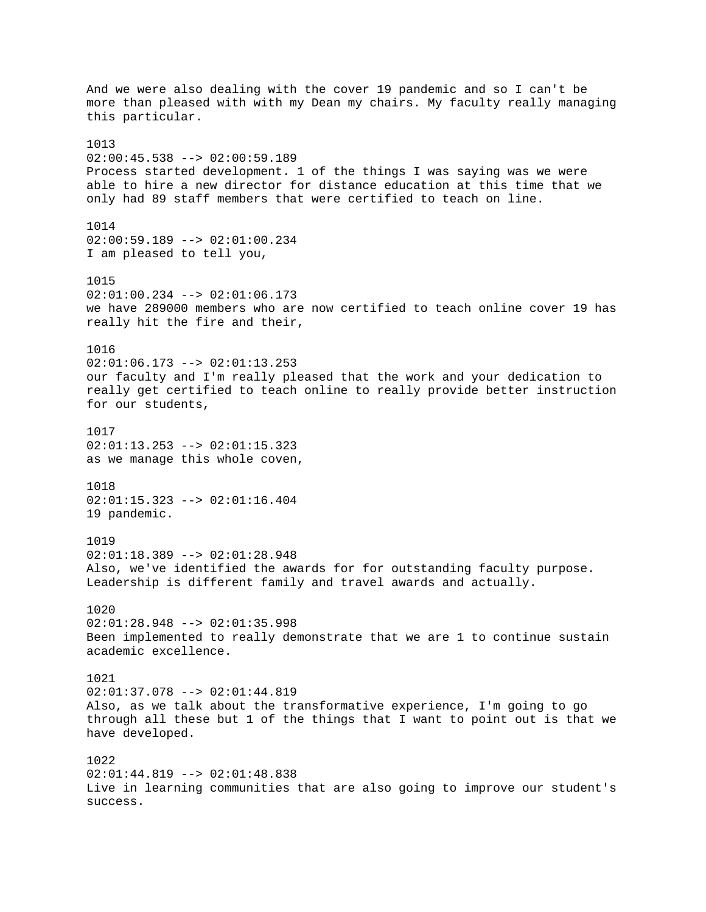And we were also dealing with the cover 19 pandemic and so I can't be more than pleased with with my Dean my chairs. My faculty really managing this particular. 1013  $02:00:45.538$  -->  $02:00:59.189$ Process started development. 1 of the things I was saying was we were able to hire a new director for distance education at this time that we only had 89 staff members that were certified to teach on line. 1014 02:00:59.189 --> 02:01:00.234 I am pleased to tell you, 1015  $02:01:00.234$  -->  $02:01:06.173$ we have 289000 members who are now certified to teach online cover 19 has really hit the fire and their, 1016  $02:01:06.173$  -->  $02:01:13.253$ our faculty and I'm really pleased that the work and your dedication to really get certified to teach online to really provide better instruction for our students, 1017 02:01:13.253 --> 02:01:15.323 as we manage this whole coven, 1018 02:01:15.323 --> 02:01:16.404 19 pandemic. 1019 02:01:18.389 --> 02:01:28.948 Also, we've identified the awards for for outstanding faculty purpose. Leadership is different family and travel awards and actually. 1020  $02:01:28.948$  -->  $02:01:35.998$ Been implemented to really demonstrate that we are 1 to continue sustain academic excellence. 1021 02:01:37.078 --> 02:01:44.819 Also, as we talk about the transformative experience, I'm going to go through all these but 1 of the things that I want to point out is that we have developed. 1022 02:01:44.819 --> 02:01:48.838 Live in learning communities that are also going to improve our student's success.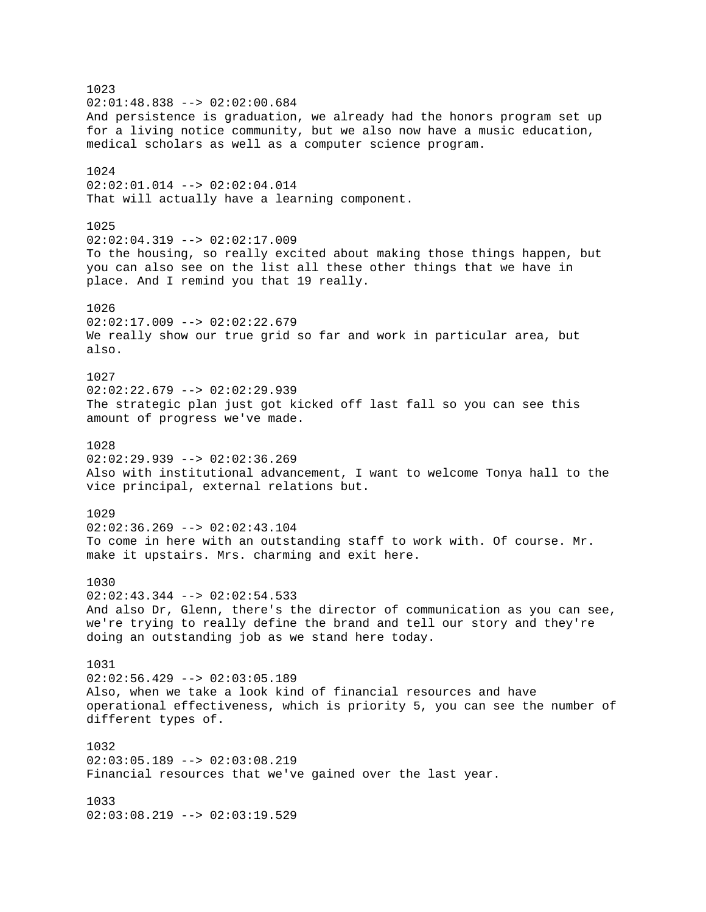1023  $02:01:48.838$  -->  $02:02:00.684$ And persistence is graduation, we already had the honors program set up for a living notice community, but we also now have a music education, medical scholars as well as a computer science program. 1024 02:02:01.014 --> 02:02:04.014 That will actually have a learning component. 1025  $02:02:04.319$  -->  $02:02:17.009$ To the housing, so really excited about making those things happen, but you can also see on the list all these other things that we have in place. And I remind you that 19 really. 1026  $02:02:17.009$  -->  $02:02:22.679$ We really show our true grid so far and work in particular area, but also. 1027 02:02:22.679 --> 02:02:29.939 The strategic plan just got kicked off last fall so you can see this amount of progress we've made. 1028  $02:02:29.939$  -->  $02:02:36.269$ Also with institutional advancement, I want to welcome Tonya hall to the vice principal, external relations but. 1029  $02:02:36.269$  -->  $02:02:43.104$ To come in here with an outstanding staff to work with. Of course. Mr. make it upstairs. Mrs. charming and exit here. 1030 02:02:43.344 --> 02:02:54.533 And also Dr, Glenn, there's the director of communication as you can see, we're trying to really define the brand and tell our story and they're doing an outstanding job as we stand here today. 1031 02:02:56.429 --> 02:03:05.189 Also, when we take a look kind of financial resources and have operational effectiveness, which is priority 5, you can see the number of different types of. 1032  $02:03:05.189$  -->  $02:03:08.219$ Financial resources that we've gained over the last year. 1033 02:03:08.219 --> 02:03:19.529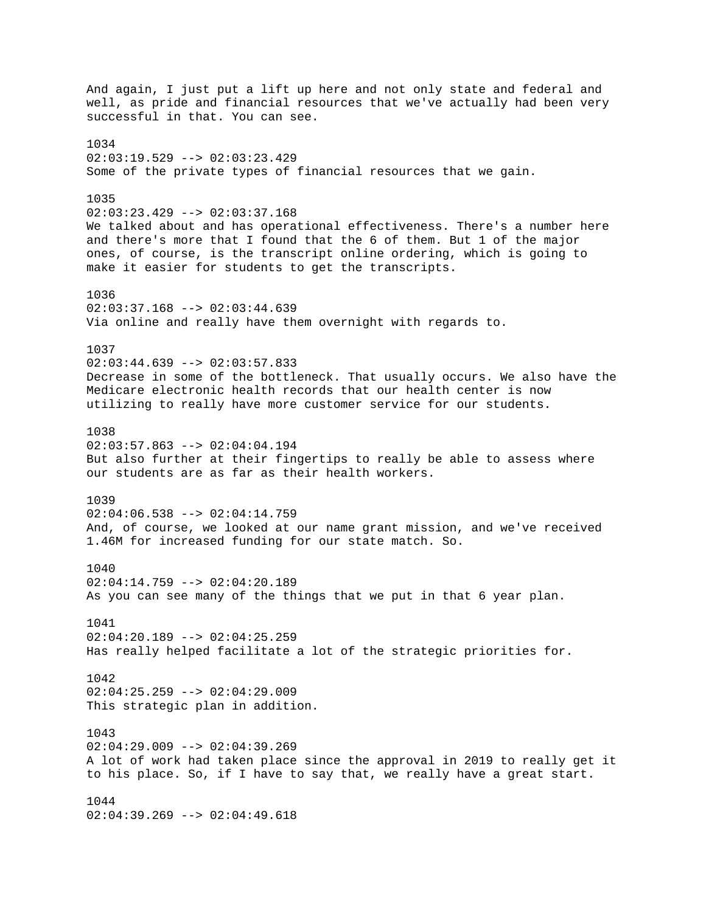And again, I just put a lift up here and not only state and federal and well, as pride and financial resources that we've actually had been very successful in that. You can see. 1034 02:03:19.529 --> 02:03:23.429 Some of the private types of financial resources that we gain. 1035  $02:03:23.429$  -->  $02:03:37.168$ We talked about and has operational effectiveness. There's a number here and there's more that I found that the 6 of them. But 1 of the major ones, of course, is the transcript online ordering, which is going to make it easier for students to get the transcripts. 1036 02:03:37.168 --> 02:03:44.639 Via online and really have them overnight with regards to. 1037  $02:03:44.639$  -->  $02:03:57.833$ Decrease in some of the bottleneck. That usually occurs. We also have the Medicare electronic health records that our health center is now utilizing to really have more customer service for our students. 1038  $02:03:57.863$  -->  $02:04:04.194$ But also further at their fingertips to really be able to assess where our students are as far as their health workers. 1039  $02:04:06.538$  -->  $02:04:14.759$ And, of course, we looked at our name grant mission, and we've received 1.46M for increased funding for our state match. So. 1040 02:04:14.759 --> 02:04:20.189 As you can see many of the things that we put in that 6 year plan. 1041  $02:04:20.189$  -->  $02:04:25.259$ Has really helped facilitate a lot of the strategic priorities for. 1042  $02:04:25.259$  -->  $02:04:29.009$ This strategic plan in addition. 1043  $02:04:29.009$  -->  $02:04:39.269$ A lot of work had taken place since the approval in 2019 to really get it to his place. So, if I have to say that, we really have a great start. 1044 02:04:39.269 --> 02:04:49.618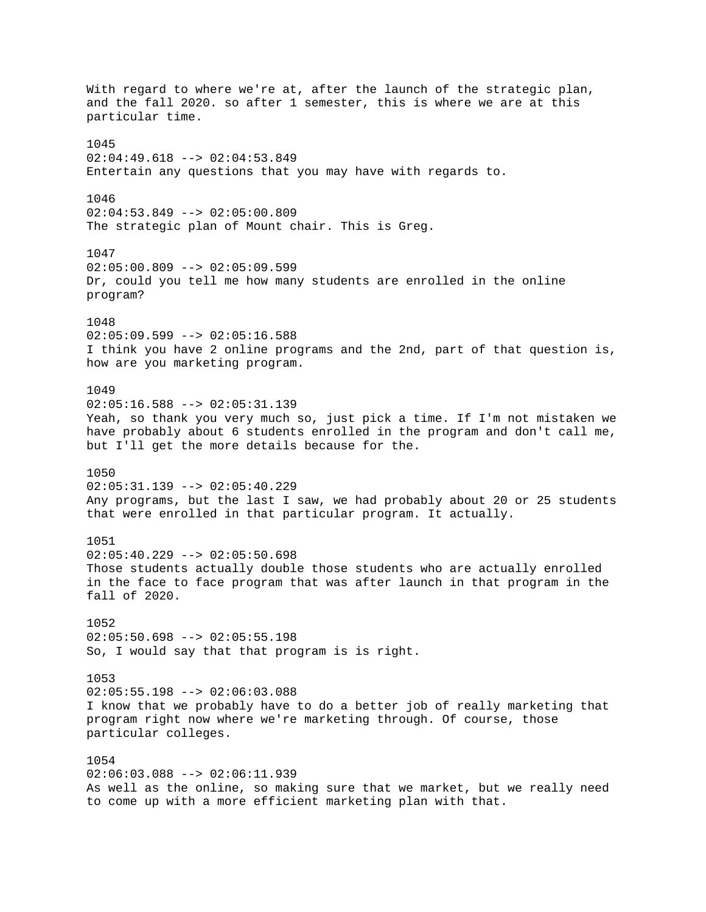With regard to where we're at, after the launch of the strategic plan, and the fall 2020. so after 1 semester, this is where we are at this particular time. 1045  $02:04:49.618$  -->  $02:04:53.849$ Entertain any questions that you may have with regards to. 1046  $02:04:53.849$  -->  $02:05:00.809$ The strategic plan of Mount chair. This is Greg. 1047  $02:05:00.809$  -->  $02:05:09.599$ Dr, could you tell me how many students are enrolled in the online program? 1048  $02:05:09.599$  -->  $02:05:16.588$ I think you have 2 online programs and the 2nd, part of that question is, how are you marketing program. 1049  $02:05:16.588$  -->  $02:05:31.139$ Yeah, so thank you very much so, just pick a time. If I'm not mistaken we have probably about 6 students enrolled in the program and don't call me, but I'll get the more details because for the. 1050 02:05:31.139 --> 02:05:40.229 Any programs, but the last I saw, we had probably about 20 or 25 students that were enrolled in that particular program. It actually. 1051  $02:05:40.229$  -->  $02:05:50.698$ Those students actually double those students who are actually enrolled in the face to face program that was after launch in that program in the fall of 2020. 1052  $02:05:50.698$  -->  $02:05:55.198$ So, I would say that that program is is right. 1053  $02:05:55.198$  -->  $02:06:03.088$ I know that we probably have to do a better job of really marketing that program right now where we're marketing through. Of course, those particular colleges. 1054 02:06:03.088 --> 02:06:11.939 As well as the online, so making sure that we market, but we really need to come up with a more efficient marketing plan with that.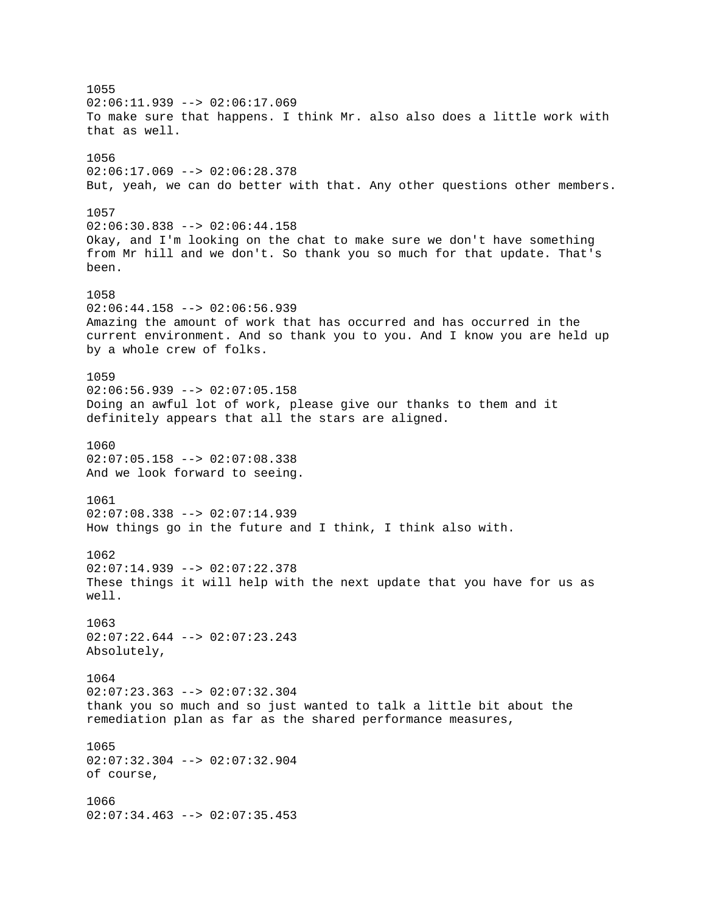1055  $02:06:11.939$  -->  $02:06:17.069$ To make sure that happens. I think Mr. also also does a little work with that as well. 1056  $02:06:17.069$  -->  $02:06:28.378$ But, yeah, we can do better with that. Any other questions other members. 1057 02:06:30.838 --> 02:06:44.158 Okay, and I'm looking on the chat to make sure we don't have something from Mr hill and we don't. So thank you so much for that update. That's been. 1058 02:06:44.158 --> 02:06:56.939 Amazing the amount of work that has occurred and has occurred in the current environment. And so thank you to you. And I know you are held up by a whole crew of folks. 1059  $02:06:56.939$  -->  $02:07:05.158$ Doing an awful lot of work, please give our thanks to them and it definitely appears that all the stars are aligned. 1060  $02:07:05.158$  -->  $02:07:08.338$ And we look forward to seeing. 1061  $02:07:08.338$  -->  $02:07:14.939$ How things go in the future and I think, I think also with. 1062  $02:07:14.939$  -->  $02:07:22.378$ These things it will help with the next update that you have for us as well. 1063 02:07:22.644 --> 02:07:23.243 Absolutely, 1064 02:07:23.363 --> 02:07:32.304 thank you so much and so just wanted to talk a little bit about the remediation plan as far as the shared performance measures, 1065 02:07:32.304 --> 02:07:32.904 of course, 1066 02:07:34.463 --> 02:07:35.453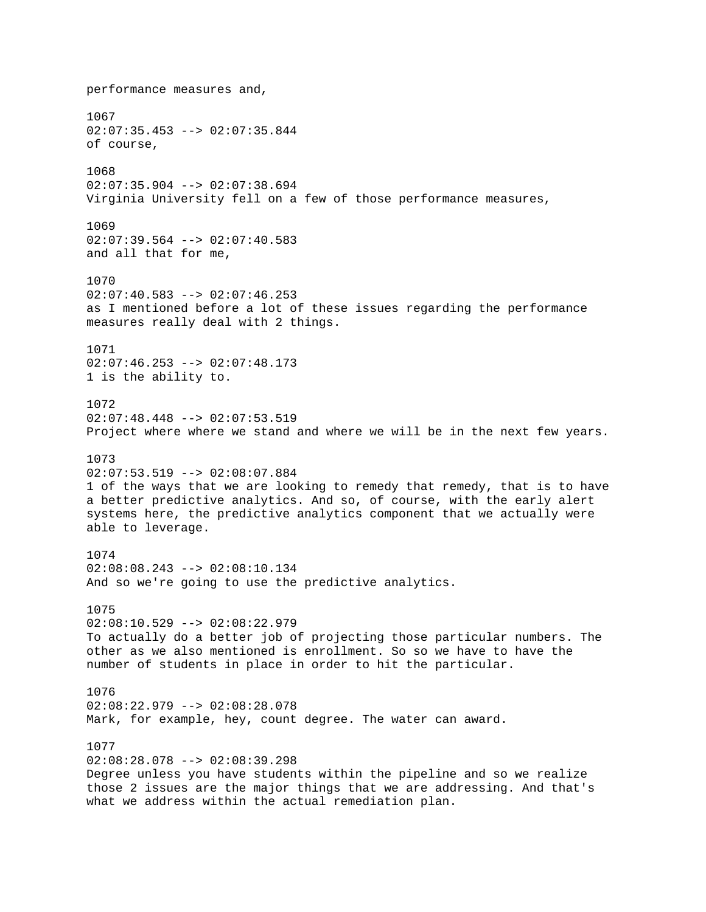performance measures and, 1067 02:07:35.453 --> 02:07:35.844 of course, 1068  $02:07:35.904$  -->  $02:07:38.694$ Virginia University fell on a few of those performance measures, 1069 02:07:39.564 --> 02:07:40.583 and all that for me, 1070  $02:07:40.583$  -->  $02:07:46.253$ as I mentioned before a lot of these issues regarding the performance measures really deal with 2 things. 1071  $02:07:46.253$  -->  $02:07:48.173$ 1 is the ability to. 1072 02:07:48.448 --> 02:07:53.519 Project where where we stand and where we will be in the next few years. 1073 02:07:53.519 --> 02:08:07.884 1 of the ways that we are looking to remedy that remedy, that is to have a better predictive analytics. And so, of course, with the early alert systems here, the predictive analytics component that we actually were able to leverage. 1074 02:08:08.243 --> 02:08:10.134 And so we're going to use the predictive analytics. 1075  $02:08:10.529$  -->  $02:08:22.979$ To actually do a better job of projecting those particular numbers. The other as we also mentioned is enrollment. So so we have to have the number of students in place in order to hit the particular. 1076 02:08:22.979 --> 02:08:28.078 Mark, for example, hey, count degree. The water can award. 1077  $02:08:28.078$  -->  $02:08:39.298$ Degree unless you have students within the pipeline and so we realize those 2 issues are the major things that we are addressing. And that's what we address within the actual remediation plan.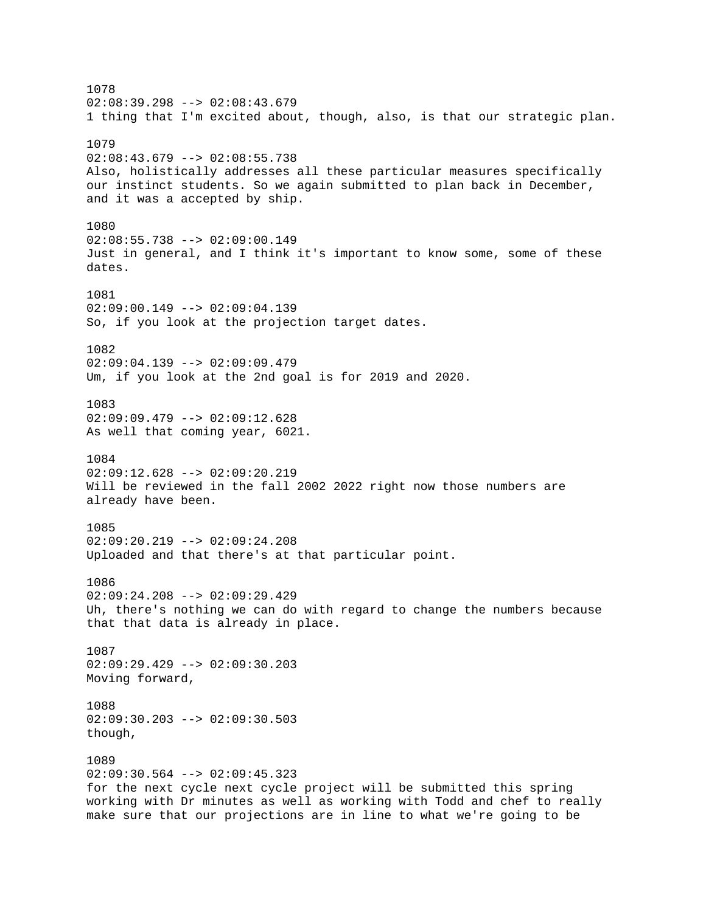1078  $02:08:39.298$  -->  $02:08:43.679$ 1 thing that I'm excited about, though, also, is that our strategic plan. 1079  $02:08:43.679$  -->  $02:08:55.738$ Also, holistically addresses all these particular measures specifically our instinct students. So we again submitted to plan back in December, and it was a accepted by ship. 1080 02:08:55.738 --> 02:09:00.149 Just in general, and I think it's important to know some, some of these dates. 1081 02:09:00.149 --> 02:09:04.139 So, if you look at the projection target dates. 1082 02:09:04.139 --> 02:09:09.479 Um, if you look at the 2nd goal is for 2019 and 2020. 1083 02:09:09.479 --> 02:09:12.628 As well that coming year, 6021. 1084 02:09:12.628 --> 02:09:20.219 Will be reviewed in the fall 2002 2022 right now those numbers are already have been. 1085  $02:09:20.219$  -->  $02:09:24.208$ Uploaded and that there's at that particular point. 1086 02:09:24.208 --> 02:09:29.429 Uh, there's nothing we can do with regard to change the numbers because that that data is already in place. 1087 02:09:29.429 --> 02:09:30.203 Moving forward, 1088  $02:09:30.203$  -->  $02:09:30.503$ though, 1089  $02:09:30.564$  -->  $02:09:45.323$ for the next cycle next cycle project will be submitted this spring working with Dr minutes as well as working with Todd and chef to really make sure that our projections are in line to what we're going to be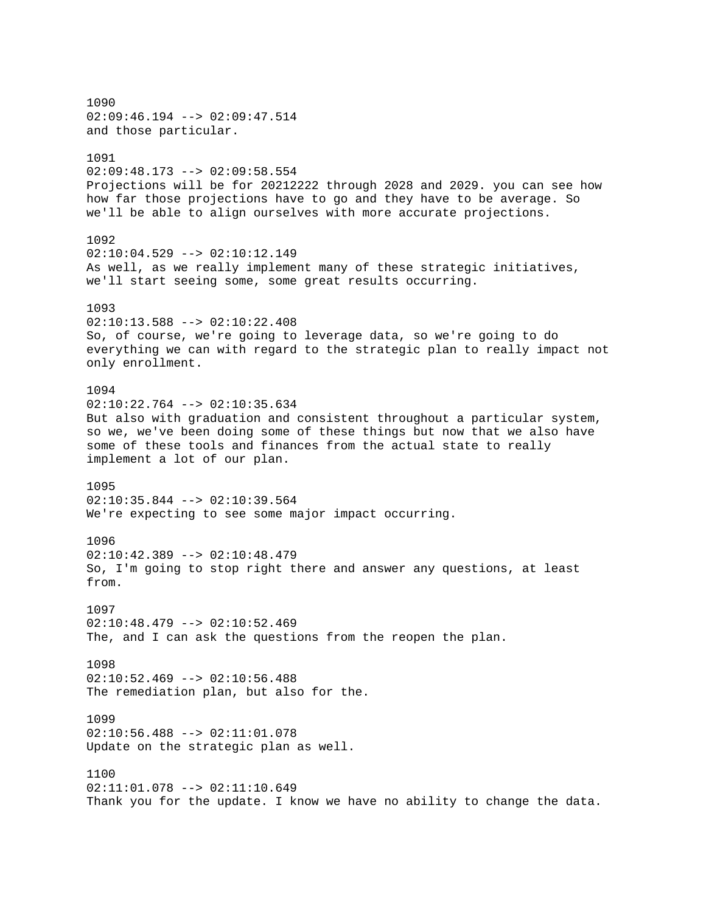1090 02:09:46.194 --> 02:09:47.514 and those particular. 1091 02:09:48.173 --> 02:09:58.554 Projections will be for 20212222 through 2028 and 2029. you can see how how far those projections have to go and they have to be average. So we'll be able to align ourselves with more accurate projections. 1092  $02:10:04.529$  -->  $02:10:12.149$ As well, as we really implement many of these strategic initiatives, we'll start seeing some, some great results occurring. 1093 02:10:13.588 --> 02:10:22.408 So, of course, we're going to leverage data, so we're going to do everything we can with regard to the strategic plan to really impact not only enrollment. 1094  $02:10:22.764$  -->  $02:10:35.634$ But also with graduation and consistent throughout a particular system, so we, we've been doing some of these things but now that we also have some of these tools and finances from the actual state to really implement a lot of our plan. 1095 02:10:35.844 --> 02:10:39.564 We're expecting to see some major impact occurring. 1096 02:10:42.389 --> 02:10:48.479 So, I'm going to stop right there and answer any questions, at least from. 1097  $02:10:48.479$  -->  $02:10:52.469$ The, and I can ask the questions from the reopen the plan. 1098  $02:10:52.469$  -->  $02:10:56.488$ The remediation plan, but also for the. 1099  $02:10:56.488$  -->  $02:11:01.078$ Update on the strategic plan as well. 1100  $02:11:01.078$  -->  $02:11:10.649$ Thank you for the update. I know we have no ability to change the data.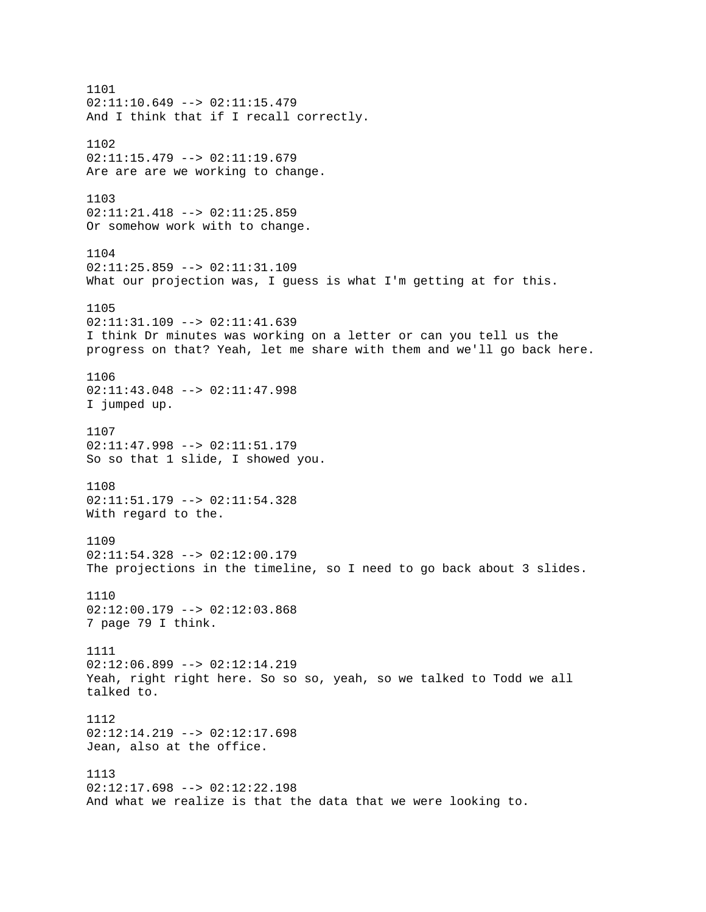1101  $02:11:10.649$  -->  $02:11:15.479$ And I think that if I recall correctly. 1102  $02:11:15.479$  -->  $02:11:19.679$ Are are are we working to change. 1103 02:11:21.418 --> 02:11:25.859 Or somehow work with to change. 1104 02:11:25.859 --> 02:11:31.109 What our projection was, I guess is what I'm getting at for this. 1105 02:11:31.109 --> 02:11:41.639 I think Dr minutes was working on a letter or can you tell us the progress on that? Yeah, let me share with them and we'll go back here. 1106 02:11:43.048 --> 02:11:47.998 I jumped up. 1107 02:11:47.998 --> 02:11:51.179 So so that 1 slide, I showed you. 1108 02:11:51.179 --> 02:11:54.328 With regard to the. 1109 02:11:54.328 --> 02:12:00.179 The projections in the timeline, so I need to go back about 3 slides. 1110  $02:12:00.179$  -->  $02:12:03.868$ 7 page 79 I think. 1111 02:12:06.899 --> 02:12:14.219 Yeah, right right here. So so so, yeah, so we talked to Todd we all talked to. 1112  $02:12:14.219$  -->  $02:12:17.698$ Jean, also at the office. 1113  $02:12:17.698$  -->  $02:12:22.198$ And what we realize is that the data that we were looking to.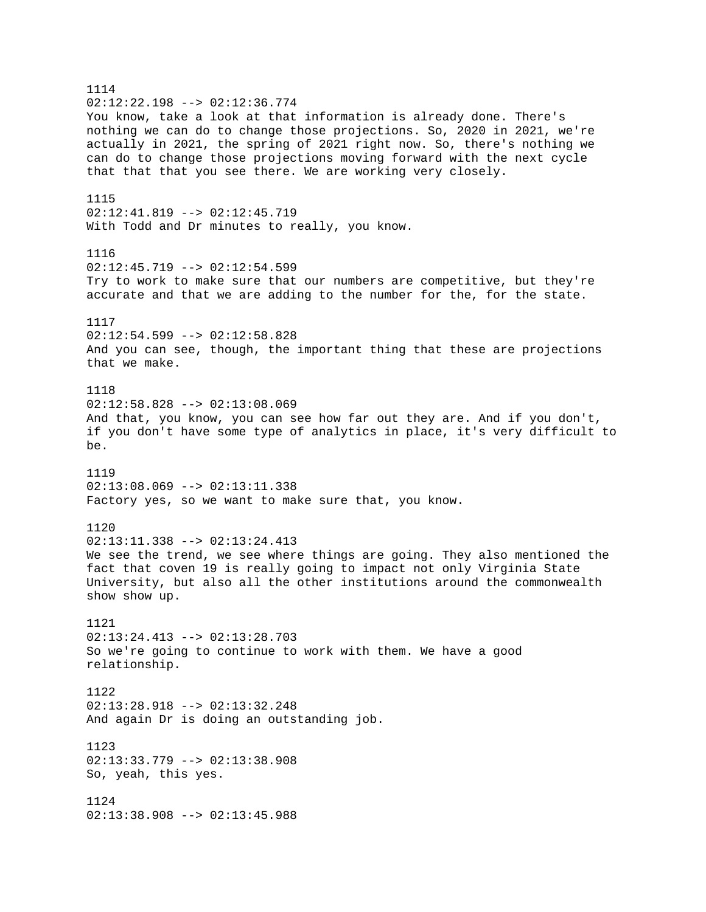1114  $02:12:22.198$  -->  $02:12:36.774$ You know, take a look at that information is already done. There's nothing we can do to change those projections. So, 2020 in 2021, we're actually in 2021, the spring of 2021 right now. So, there's nothing we can do to change those projections moving forward with the next cycle that that that you see there. We are working very closely. 1115 02:12:41.819 --> 02:12:45.719 With Todd and Dr minutes to really, you know. 1116 02:12:45.719 --> 02:12:54.599 Try to work to make sure that our numbers are competitive, but they're accurate and that we are adding to the number for the, for the state. 1117  $02:12:54.599$  -->  $02:12:58.828$ And you can see, though, the important thing that these are projections that we make. 1118 02:12:58.828 --> 02:13:08.069 And that, you know, you can see how far out they are. And if you don't, if you don't have some type of analytics in place, it's very difficult to be. 1119 02:13:08.069 --> 02:13:11.338 Factory yes, so we want to make sure that, you know. 1120  $02:13:11.338$  -->  $02:13:24.413$ We see the trend, we see where things are going. They also mentioned the fact that coven 19 is really going to impact not only Virginia State University, but also all the other institutions around the commonwealth show show up. 1121 02:13:24.413 --> 02:13:28.703 So we're going to continue to work with them. We have a good relationship. 1122 02:13:28.918 --> 02:13:32.248 And again Dr is doing an outstanding job. 1123 02:13:33.779 --> 02:13:38.908 So, yeah, this yes. 1124 02:13:38.908 --> 02:13:45.988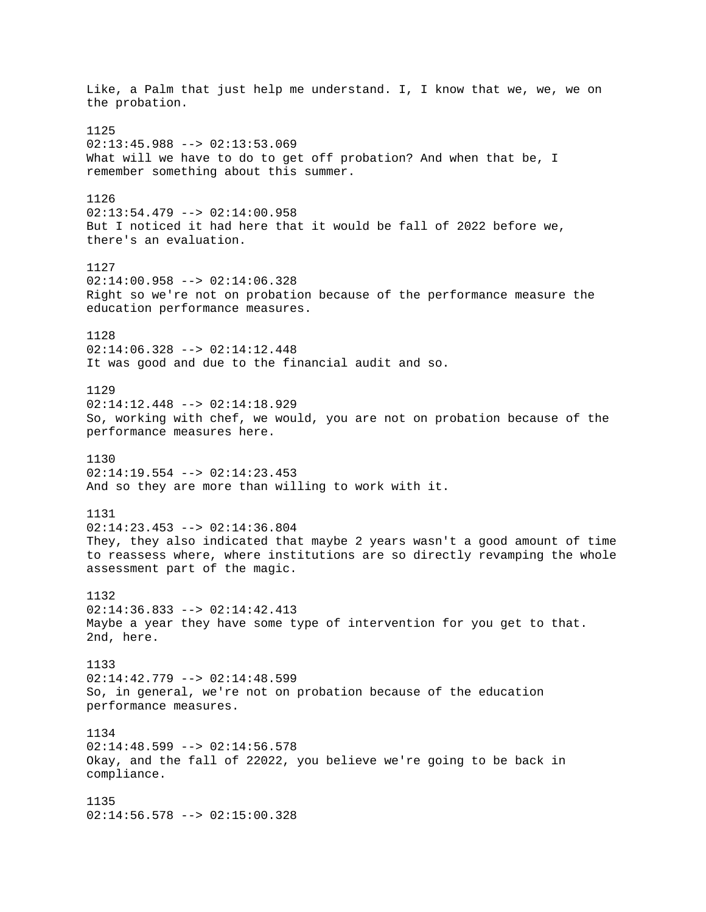Like, a Palm that just help me understand. I, I know that we, we, we on the probation. 1125  $02:13:45.988$  -->  $02:13:53.069$ What will we have to do to get off probation? And when that be, I remember something about this summer. 1126  $02:13:54.479$  -->  $02:14:00.958$ But I noticed it had here that it would be fall of 2022 before we, there's an evaluation. 1127  $02:14:00.958$  -->  $02:14:06.328$ Right so we're not on probation because of the performance measure the education performance measures. 1128 02:14:06.328 --> 02:14:12.448 It was good and due to the financial audit and so. 1129 02:14:12.448 --> 02:14:18.929 So, working with chef, we would, you are not on probation because of the performance measures here. 1130  $02:14:19.554$  -->  $02:14:23.453$ And so they are more than willing to work with it. 1131 02:14:23.453 --> 02:14:36.804 They, they also indicated that maybe 2 years wasn't a good amount of time to reassess where, where institutions are so directly revamping the whole assessment part of the magic. 1132  $02:14:36.833$  -->  $02:14:42.413$ Maybe a year they have some type of intervention for you get to that. 2nd, here. 1133 02:14:42.779 --> 02:14:48.599 So, in general, we're not on probation because of the education performance measures. 1134  $02:14:48.599$  -->  $02:14:56.578$ Okay, and the fall of 22022, you believe we're going to be back in compliance. 1135 02:14:56.578 --> 02:15:00.328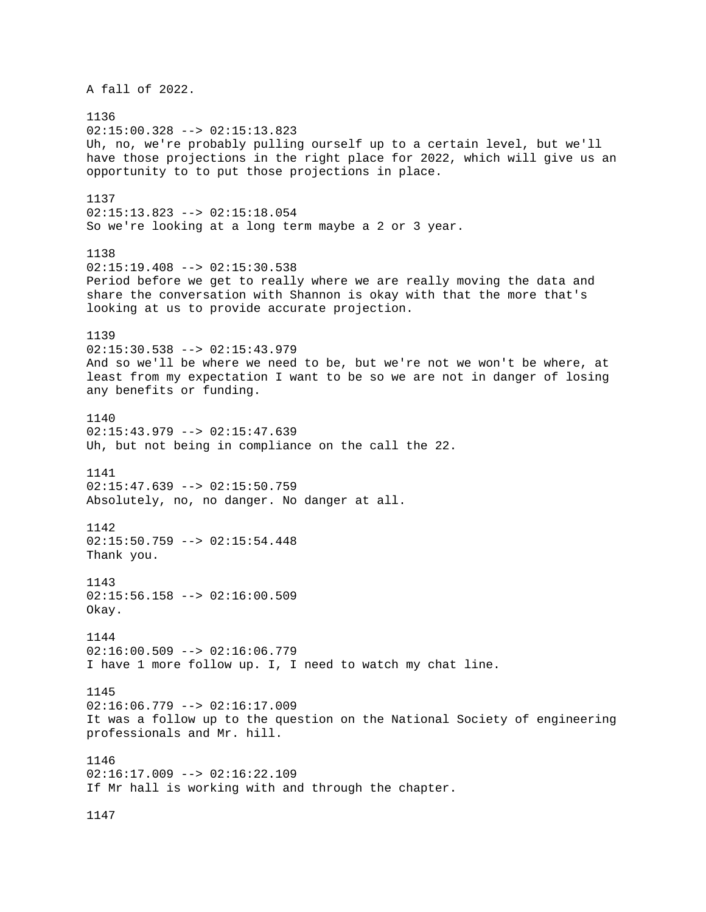A fall of 2022. 1136  $02:15:00.328$  -->  $02:15:13.823$ Uh, no, we're probably pulling ourself up to a certain level, but we'll have those projections in the right place for 2022, which will give us an opportunity to to put those projections in place. 1137 02:15:13.823 --> 02:15:18.054 So we're looking at a long term maybe a 2 or 3 year. 1138  $02:15:19.408$  -->  $02:15:30.538$ Period before we get to really where we are really moving the data and share the conversation with Shannon is okay with that the more that's looking at us to provide accurate projection. 1139 02:15:30.538 --> 02:15:43.979 And so we'll be where we need to be, but we're not we won't be where, at least from my expectation I want to be so we are not in danger of losing any benefits or funding. 1140  $02:15:43.979$  -->  $02:15:47.639$ Uh, but not being in compliance on the call the 22. 1141 02:15:47.639 --> 02:15:50.759 Absolutely, no, no danger. No danger at all. 1142  $02:15:50.759$  -->  $02:15:54.448$ Thank you. 1143 02:15:56.158 --> 02:16:00.509 Okay. 1144  $02:16:00.509$  -->  $02:16:06.779$ I have 1 more follow up. I, I need to watch my chat line. 1145 02:16:06.779 --> 02:16:17.009 It was a follow up to the question on the National Society of engineering professionals and Mr. hill. 1146 02:16:17.009 --> 02:16:22.109 If Mr hall is working with and through the chapter. 1147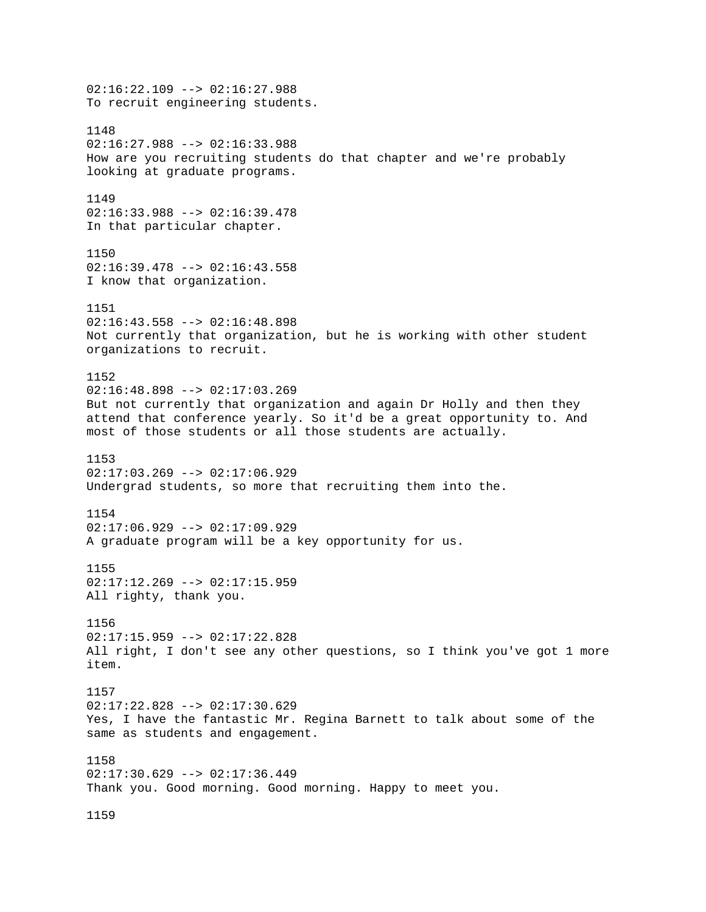02:16:22.109 --> 02:16:27.988 To recruit engineering students. 1148 02:16:27.988 --> 02:16:33.988 How are you recruiting students do that chapter and we're probably looking at graduate programs. 1149 02:16:33.988 --> 02:16:39.478 In that particular chapter. 1150  $02:16:39.478$  -->  $02:16:43.558$ I know that organization. 1151 02:16:43.558 --> 02:16:48.898 Not currently that organization, but he is working with other student organizations to recruit. 1152 02:16:48.898 --> 02:17:03.269 But not currently that organization and again Dr Holly and then they attend that conference yearly. So it'd be a great opportunity to. And most of those students or all those students are actually. 1153 02:17:03.269 --> 02:17:06.929 Undergrad students, so more that recruiting them into the. 1154 02:17:06.929 --> 02:17:09.929 A graduate program will be a key opportunity for us. 1155 02:17:12.269 --> 02:17:15.959 All righty, thank you. 1156 02:17:15.959 --> 02:17:22.828 All right, I don't see any other questions, so I think you've got 1 more item. 1157 02:17:22.828 --> 02:17:30.629 Yes, I have the fantastic Mr. Regina Barnett to talk about some of the same as students and engagement. 1158 02:17:30.629 --> 02:17:36.449 Thank you. Good morning. Good morning. Happy to meet you. 1159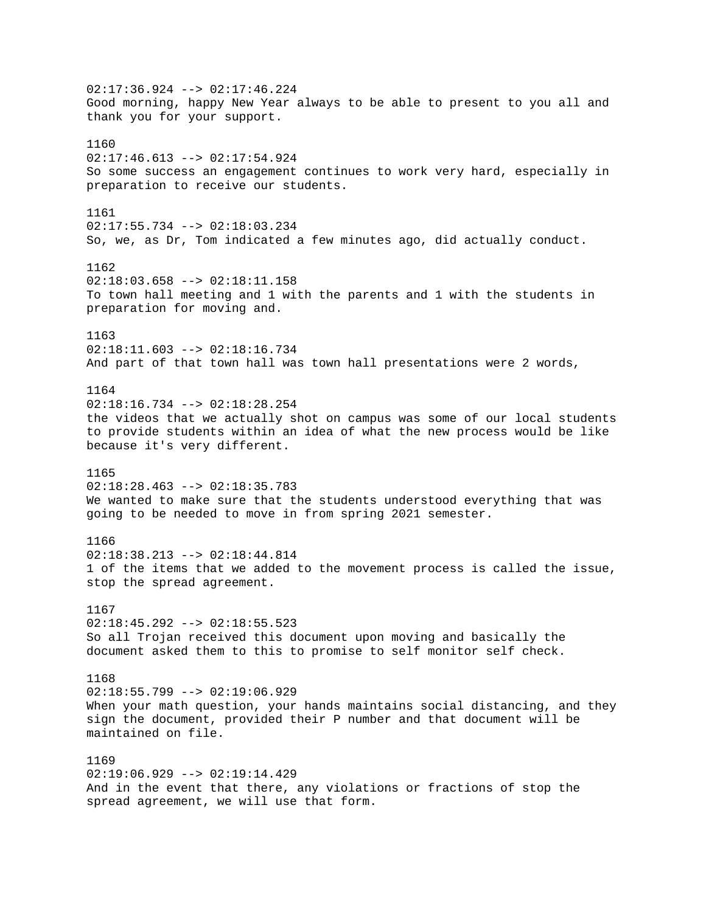$02:17:36.924$  -->  $02:17:46.224$ Good morning, happy New Year always to be able to present to you all and thank you for your support. 1160 02:17:46.613 --> 02:17:54.924 So some success an engagement continues to work very hard, especially in preparation to receive our students. 1161 02:17:55.734 --> 02:18:03.234 So, we, as Dr, Tom indicated a few minutes ago, did actually conduct. 1162 02:18:03.658 --> 02:18:11.158 To town hall meeting and 1 with the parents and 1 with the students in preparation for moving and. 1163  $02:18:11.603$  -->  $02:18:16.734$ And part of that town hall was town hall presentations were 2 words, 1164  $02:18:16.734$  -->  $02:18:28.254$ the videos that we actually shot on campus was some of our local students to provide students within an idea of what the new process would be like because it's very different. 1165  $02:18:28.463$  -->  $02:18:35.783$ We wanted to make sure that the students understood everything that was going to be needed to move in from spring 2021 semester. 1166 02:18:38.213 --> 02:18:44.814 1 of the items that we added to the movement process is called the issue, stop the spread agreement. 1167  $02:18:45.292$  -->  $02:18:55.523$ So all Trojan received this document upon moving and basically the document asked them to this to promise to self monitor self check. 1168  $02:18:55.799$  -->  $02:19:06.929$ When your math question, your hands maintains social distancing, and they sign the document, provided their P number and that document will be maintained on file. 1169  $02:19:06.929$  -->  $02:19:14.429$ And in the event that there, any violations or fractions of stop the spread agreement, we will use that form.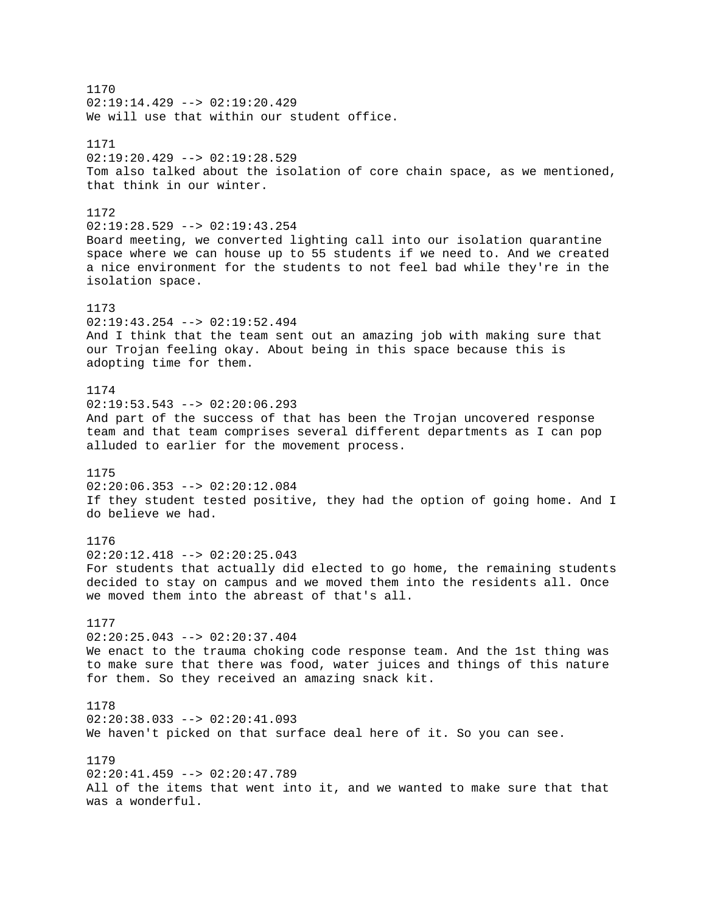1170  $02:19:14.429$  -->  $02:19:20.429$ We will use that within our student office. 1171  $02:19:20.429$  -->  $02:19:28.529$ Tom also talked about the isolation of core chain space, as we mentioned, that think in our winter. 1172 02:19:28.529 --> 02:19:43.254 Board meeting, we converted lighting call into our isolation quarantine space where we can house up to 55 students if we need to. And we created a nice environment for the students to not feel bad while they're in the isolation space. 1173 02:19:43.254 --> 02:19:52.494 And I think that the team sent out an amazing job with making sure that our Trojan feeling okay. About being in this space because this is adopting time for them. 1174  $02:19:53.543$  -->  $02:20:06.293$ And part of the success of that has been the Trojan uncovered response team and that team comprises several different departments as I can pop alluded to earlier for the movement process. 1175 02:20:06.353 --> 02:20:12.084 If they student tested positive, they had the option of going home. And I do believe we had. 1176 02:20:12.418 --> 02:20:25.043 For students that actually did elected to go home, the remaining students decided to stay on campus and we moved them into the residents all. Once we moved them into the abreast of that's all. 1177 02:20:25.043 --> 02:20:37.404 We enact to the trauma choking code response team. And the 1st thing was to make sure that there was food, water juices and things of this nature for them. So they received an amazing snack kit. 1178  $02:20:38.033$  -->  $02:20:41.093$ We haven't picked on that surface deal here of it. So you can see. 1179 02:20:41.459 --> 02:20:47.789 All of the items that went into it, and we wanted to make sure that that was a wonderful.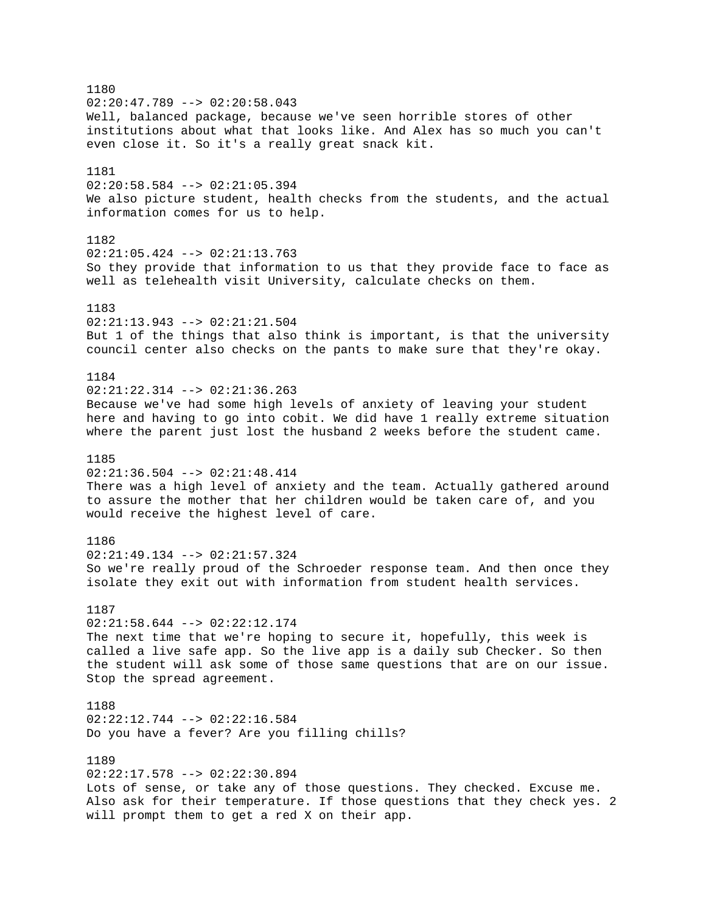1180  $02:20:47.789$  -->  $02:20:58.043$ Well, balanced package, because we've seen horrible stores of other institutions about what that looks like. And Alex has so much you can't even close it. So it's a really great snack kit. 1181 02:20:58.584 --> 02:21:05.394 We also picture student, health checks from the students, and the actual information comes for us to help. 1182  $02:21:05.424$  -->  $02:21:13.763$ So they provide that information to us that they provide face to face as well as telehealth visit University, calculate checks on them. 1183 02:21:13.943 --> 02:21:21.504 But 1 of the things that also think is important, is that the university council center also checks on the pants to make sure that they're okay. 1184 02:21:22.314 --> 02:21:36.263 Because we've had some high levels of anxiety of leaving your student here and having to go into cobit. We did have 1 really extreme situation where the parent just lost the husband 2 weeks before the student came. 1185 02:21:36.504 --> 02:21:48.414 There was a high level of anxiety and the team. Actually gathered around to assure the mother that her children would be taken care of, and you would receive the highest level of care. 1186 02:21:49.134 --> 02:21:57.324 So we're really proud of the Schroeder response team. And then once they isolate they exit out with information from student health services. 1187  $02:21:58.644$  -->  $02:22:12.174$ The next time that we're hoping to secure it, hopefully, this week is called a live safe app. So the live app is a daily sub Checker. So then the student will ask some of those same questions that are on our issue. Stop the spread agreement. 1188 02:22:12.744 --> 02:22:16.584 Do you have a fever? Are you filling chills? 1189 02:22:17.578 --> 02:22:30.894 Lots of sense, or take any of those questions. They checked. Excuse me. Also ask for their temperature. If those questions that they check yes. 2 will prompt them to get a red X on their app.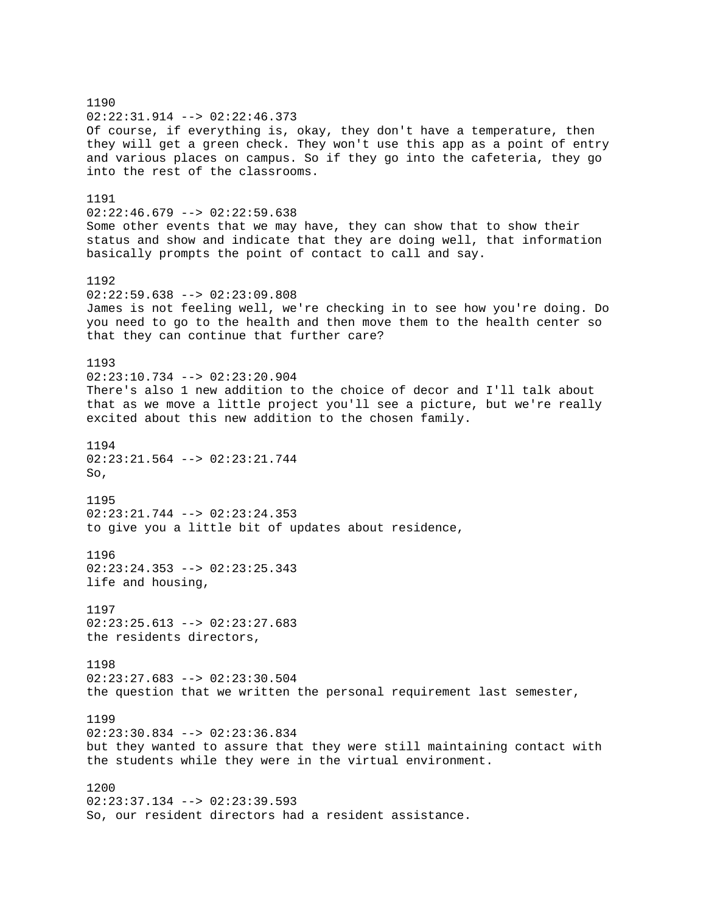1190 02:22:31.914 --> 02:22:46.373 Of course, if everything is, okay, they don't have a temperature, then they will get a green check. They won't use this app as a point of entry and various places on campus. So if they go into the cafeteria, they go into the rest of the classrooms. 1191  $02:22:46.679$  -->  $02:22:59.638$ Some other events that we may have, they can show that to show their status and show and indicate that they are doing well, that information basically prompts the point of contact to call and say. 1192  $02:22:59.638$  -->  $02:23:09.808$ James is not feeling well, we're checking in to see how you're doing. Do you need to go to the health and then move them to the health center so that they can continue that further care? 1193  $02:23:10.734$  -->  $02:23:20.904$ There's also 1 new addition to the choice of decor and I'll talk about that as we move a little project you'll see a picture, but we're really excited about this new addition to the chosen family. 1194  $02:23:21.564$  -->  $02:23:21.744$ So, 1195 02:23:21.744 --> 02:23:24.353 to give you a little bit of updates about residence, 1196  $02:23:24.353$  -->  $02:23:25.343$ life and housing, 1197  $02:23:25.613$  -->  $02:23:27.683$ the residents directors, 1198 02:23:27.683 --> 02:23:30.504 the question that we written the personal requirement last semester, 1199  $02:23:30.834$  -->  $02:23:36.834$ but they wanted to assure that they were still maintaining contact with the students while they were in the virtual environment. 1200 02:23:37.134 --> 02:23:39.593 So, our resident directors had a resident assistance.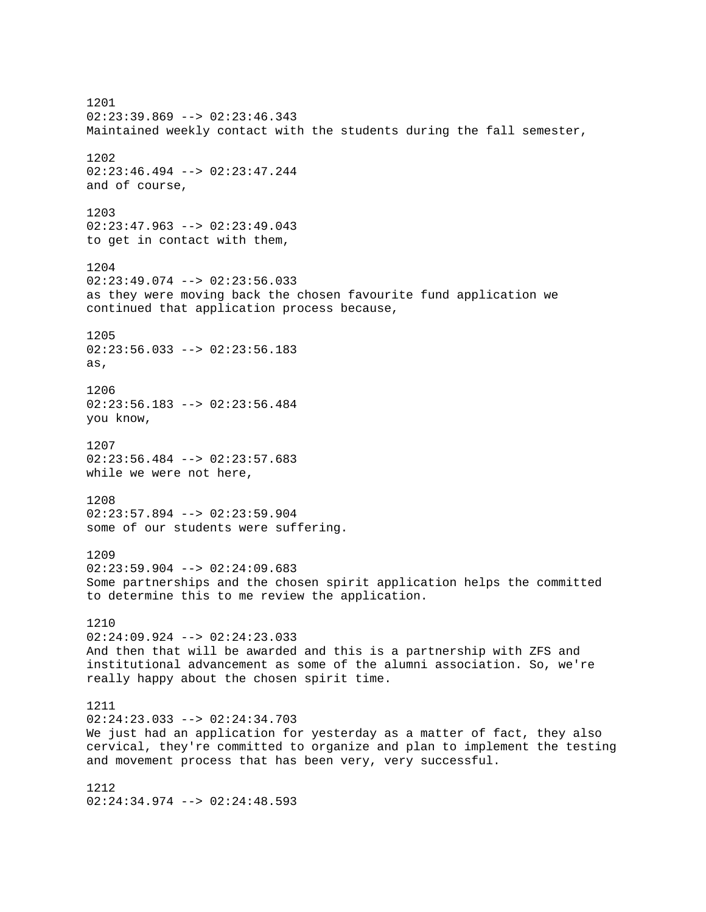1201 02:23:39.869 --> 02:23:46.343 Maintained weekly contact with the students during the fall semester, 1202 02:23:46.494 --> 02:23:47.244 and of course, 1203 02:23:47.963 --> 02:23:49.043 to get in contact with them, 1204 02:23:49.074 --> 02:23:56.033 as they were moving back the chosen favourite fund application we continued that application process because, 1205  $02:23:56.033$  -->  $02:23:56.183$ as, 1206 02:23:56.183 --> 02:23:56.484 you know, 1207  $02:23:56.484$  -->  $02:23:57.683$ while we were not here, 1208 02:23:57.894 --> 02:23:59.904 some of our students were suffering. 1209  $02:23:59.904$  -->  $02:24:09.683$ Some partnerships and the chosen spirit application helps the committed to determine this to me review the application. 1210 02:24:09.924 --> 02:24:23.033 And then that will be awarded and this is a partnership with ZFS and institutional advancement as some of the alumni association. So, we're really happy about the chosen spirit time. 1211 02:24:23.033 --> 02:24:34.703 We just had an application for yesterday as a matter of fact, they also cervical, they're committed to organize and plan to implement the testing and movement process that has been very, very successful. 1212 02:24:34.974 --> 02:24:48.593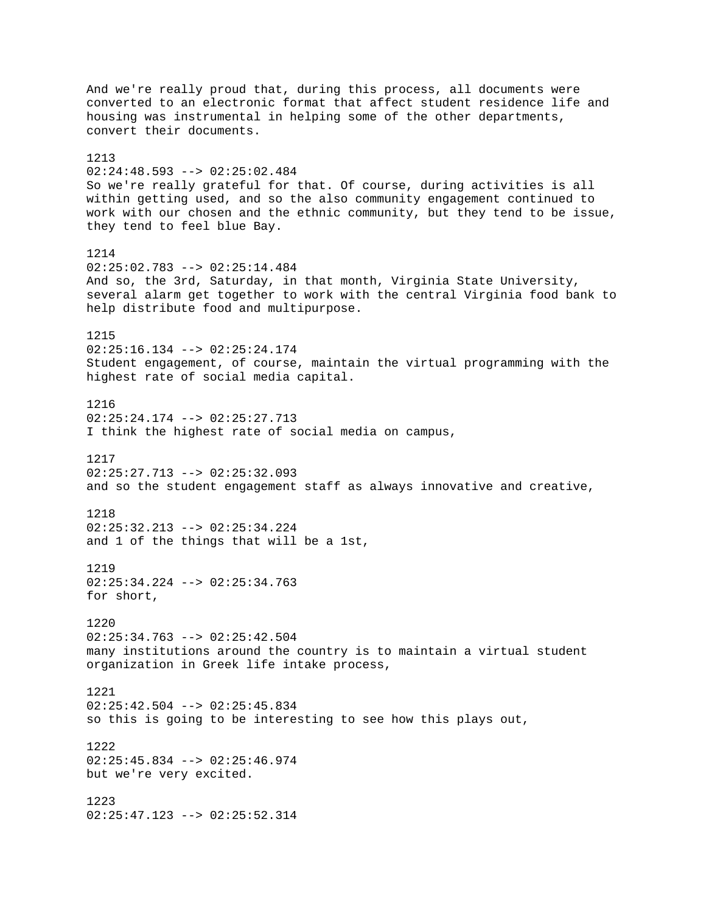And we're really proud that, during this process, all documents were converted to an electronic format that affect student residence life and housing was instrumental in helping some of the other departments, convert their documents. 1213 02:24:48.593 --> 02:25:02.484 So we're really grateful for that. Of course, during activities is all within getting used, and so the also community engagement continued to work with our chosen and the ethnic community, but they tend to be issue, they tend to feel blue Bay. 1214 02:25:02.783 --> 02:25:14.484 And so, the 3rd, Saturday, in that month, Virginia State University, several alarm get together to work with the central Virginia food bank to help distribute food and multipurpose. 1215  $02:25:16.134$  -->  $02:25:24.174$ Student engagement, of course, maintain the virtual programming with the highest rate of social media capital. 1216 02:25:24.174 --> 02:25:27.713 I think the highest rate of social media on campus, 1217 02:25:27.713 --> 02:25:32.093 and so the student engagement staff as always innovative and creative, 1218 02:25:32.213 --> 02:25:34.224 and 1 of the things that will be a 1st, 1219 02:25:34.224 --> 02:25:34.763 for short, 1220 02:25:34.763 --> 02:25:42.504 many institutions around the country is to maintain a virtual student organization in Greek life intake process, 1221 02:25:42.504 --> 02:25:45.834 so this is going to be interesting to see how this plays out, 1222 02:25:45.834 --> 02:25:46.974 but we're very excited. 1223 02:25:47.123 --> 02:25:52.314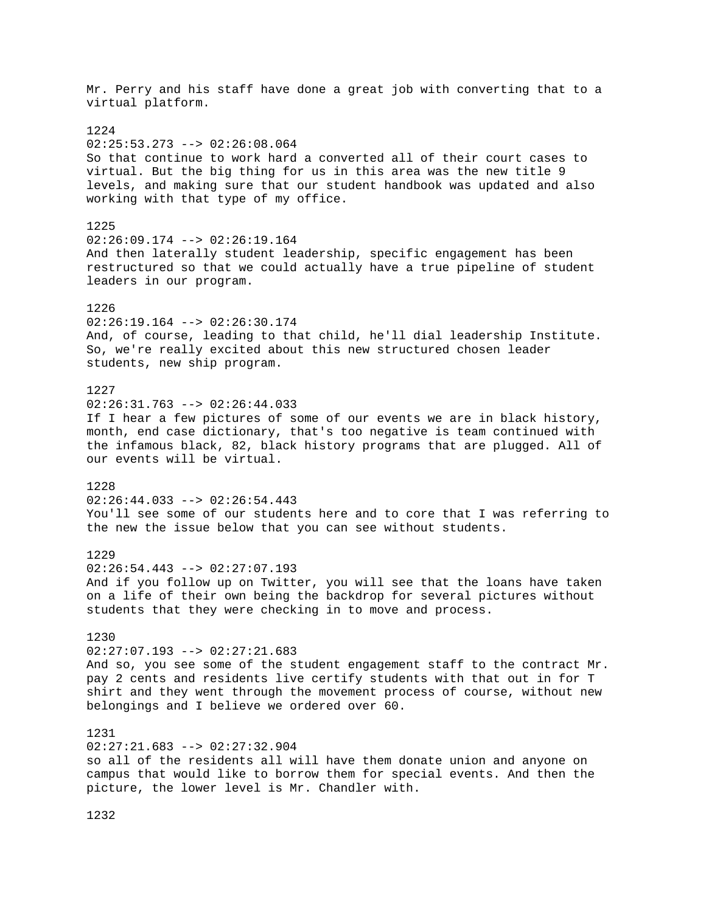Mr. Perry and his staff have done a great job with converting that to a virtual platform. 1224 02:25:53.273 --> 02:26:08.064 So that continue to work hard a converted all of their court cases to virtual. But the big thing for us in this area was the new title 9 levels, and making sure that our student handbook was updated and also working with that type of my office. 1225  $02:26:09.174$  -->  $02:26:19.164$ And then laterally student leadership, specific engagement has been restructured so that we could actually have a true pipeline of student leaders in our program. 1226 02:26:19.164 --> 02:26:30.174 And, of course, leading to that child, he'll dial leadership Institute. So, we're really excited about this new structured chosen leader students, new ship program. 1227  $02:26:31.763$  -->  $02:26:44.033$ If I hear a few pictures of some of our events we are in black history, month, end case dictionary, that's too negative is team continued with the infamous black, 82, black history programs that are plugged. All of our events will be virtual. 1228 02:26:44.033 --> 02:26:54.443 You'll see some of our students here and to core that I was referring to the new the issue below that you can see without students. 1229  $02:26:54.443$  -->  $02:27:07.193$ And if you follow up on Twitter, you will see that the loans have taken on a life of their own being the backdrop for several pictures without students that they were checking in to move and process. 1230 02:27:07.193 --> 02:27:21.683 And so, you see some of the student engagement staff to the contract Mr. pay 2 cents and residents live certify students with that out in for T shirt and they went through the movement process of course, without new belongings and I believe we ordered over 60. 1231 02:27:21.683 --> 02:27:32.904 so all of the residents all will have them donate union and anyone on campus that would like to borrow them for special events. And then the picture, the lower level is Mr. Chandler with.

1232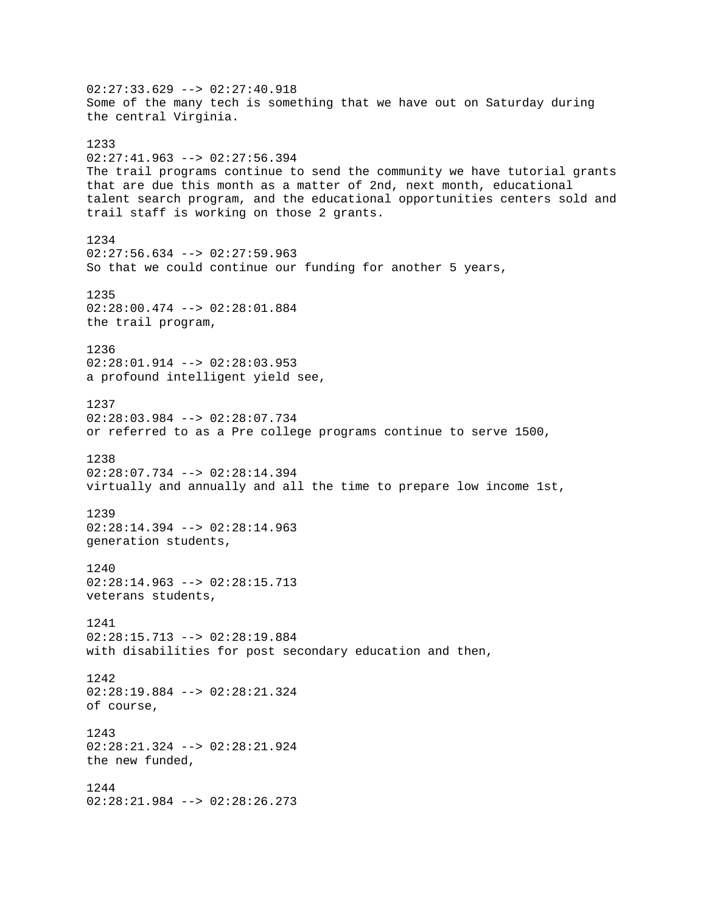02:27:33.629 --> 02:27:40.918 Some of the many tech is something that we have out on Saturday during the central Virginia. 1233 02:27:41.963 --> 02:27:56.394 The trail programs continue to send the community we have tutorial grants that are due this month as a matter of 2nd, next month, educational talent search program, and the educational opportunities centers sold and trail staff is working on those 2 grants. 1234  $02:27:56.634$  -->  $02:27:59.963$ So that we could continue our funding for another 5 years, 1235 02:28:00.474 --> 02:28:01.884 the trail program, 1236 02:28:01.914 --> 02:28:03.953 a profound intelligent yield see, 1237 02:28:03.984 --> 02:28:07.734 or referred to as a Pre college programs continue to serve 1500, 1238 02:28:07.734 --> 02:28:14.394 virtually and annually and all the time to prepare low income 1st, 1239 02:28:14.394 --> 02:28:14.963 generation students, 1240 02:28:14.963 --> 02:28:15.713 veterans students, 1241 02:28:15.713 --> 02:28:19.884 with disabilities for post secondary education and then, 1242 02:28:19.884 --> 02:28:21.324 of course, 1243 02:28:21.324 --> 02:28:21.924 the new funded, 1244 02:28:21.984 --> 02:28:26.273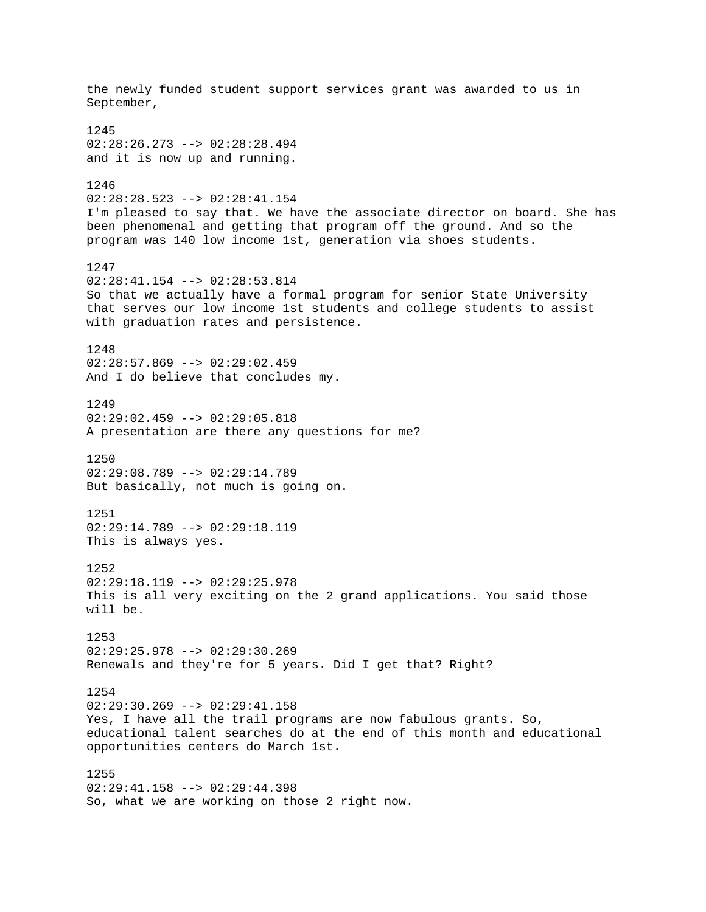the newly funded student support services grant was awarded to us in September, 1245 02:28:26.273 --> 02:28:28.494 and it is now up and running. 1246 02:28:28.523 --> 02:28:41.154 I'm pleased to say that. We have the associate director on board. She has been phenomenal and getting that program off the ground. And so the program was 140 low income 1st, generation via shoes students. 1247 02:28:41.154 --> 02:28:53.814 So that we actually have a formal program for senior State University that serves our low income 1st students and college students to assist with graduation rates and persistence. 1248 02:28:57.869 --> 02:29:02.459 And I do believe that concludes my. 1249 02:29:02.459 --> 02:29:05.818 A presentation are there any questions for me? 1250 02:29:08.789 --> 02:29:14.789 But basically, not much is going on. 1251 02:29:14.789 --> 02:29:18.119 This is always yes. 1252 02:29:18.119 --> 02:29:25.978 This is all very exciting on the 2 grand applications. You said those will be. 1253 02:29:25.978 --> 02:29:30.269 Renewals and they're for 5 years. Did I get that? Right? 1254 02:29:30.269 --> 02:29:41.158 Yes, I have all the trail programs are now fabulous grants. So, educational talent searches do at the end of this month and educational opportunities centers do March 1st. 1255  $02:29:41.158$  -->  $02:29:44.398$ So, what we are working on those 2 right now.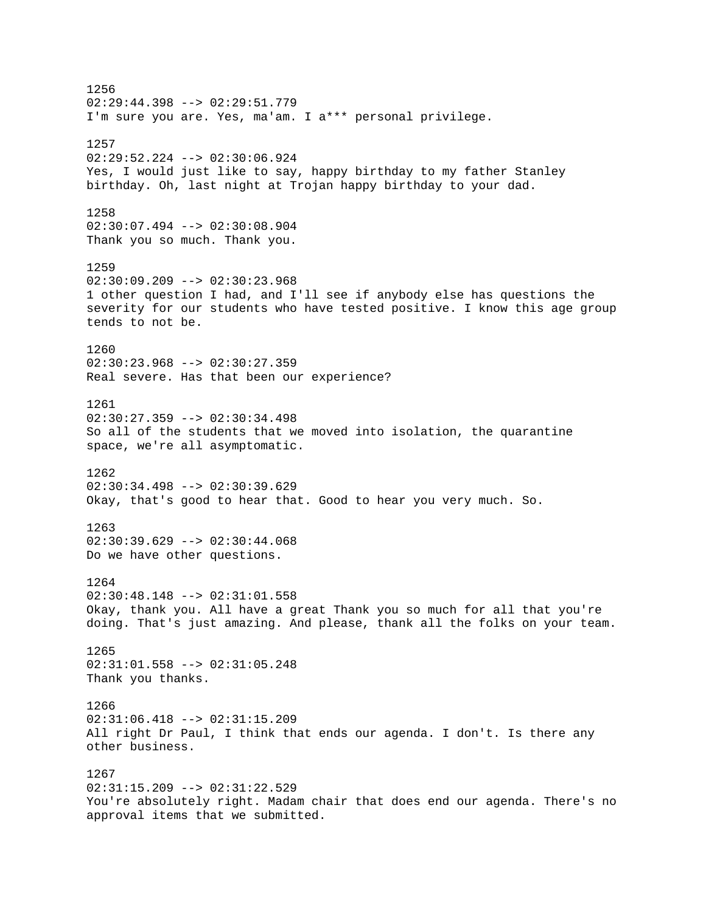1256  $02:29:44.398$  -->  $02:29:51.779$ I'm sure you are. Yes, ma'am. I a\*\*\* personal privilege. 1257 02:29:52.224 --> 02:30:06.924 Yes, I would just like to say, happy birthday to my father Stanley birthday. Oh, last night at Trojan happy birthday to your dad. 1258 02:30:07.494 --> 02:30:08.904 Thank you so much. Thank you. 1259  $02:30:09.209$  -->  $02:30:23.968$ 1 other question I had, and I'll see if anybody else has questions the severity for our students who have tested positive. I know this age group tends to not be. 1260 02:30:23.968 --> 02:30:27.359 Real severe. Has that been our experience? 1261 02:30:27.359 --> 02:30:34.498 So all of the students that we moved into isolation, the quarantine space, we're all asymptomatic. 1262 02:30:34.498 --> 02:30:39.629 Okay, that's good to hear that. Good to hear you very much. So. 1263  $02:30:39.629$  -->  $02:30:44.068$ Do we have other questions. 1264  $02:30:48.148$  -->  $02:31:01.558$ Okay, thank you. All have a great Thank you so much for all that you're doing. That's just amazing. And please, thank all the folks on your team. 1265 02:31:01.558 --> 02:31:05.248 Thank you thanks. 1266 02:31:06.418 --> 02:31:15.209 All right Dr Paul, I think that ends our agenda. I don't. Is there any other business. 1267  $02:31:15.209$  -->  $02:31:22.529$ You're absolutely right. Madam chair that does end our agenda. There's no approval items that we submitted.